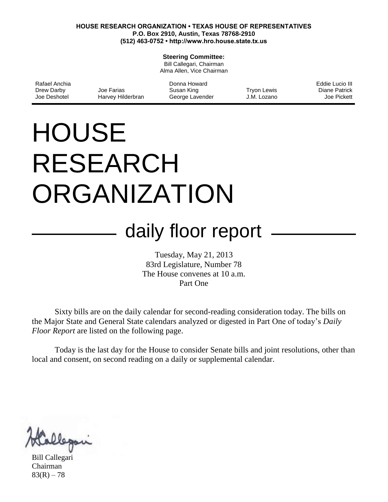#### **HOUSE RESEARCH ORGANIZATION • TEXAS HOUSE OF REPRESENTATIVES P.O. Box 2910, Austin, Texas 78768-2910 (512) 463-0752 • http://www.hro.house.state.tx.us**

#### **Steering Committee:**

Bill Callegari, Chairman Alma Allen, Vice Chairman

| Rafael Anchia |                   | Donna Howard    |             | Eddie Lucio III |
|---------------|-------------------|-----------------|-------------|-----------------|
| Drew Darby    | Joe Farias        | Susan King      | Tryon Lewis | Diane Patrick   |
| Joe Deshotel  | Harvey Hilderbran | George Lavender | J.M. Lozano | Joe Pickett     |

# **HOUSE** RESEARCH ORGANIZATION

# daily floor report

Tuesday, May 21, 2013 83rd Legislature, Number 78 The House convenes at 10 a.m. Part One

Sixty bills are on the daily calendar for second-reading consideration today. The bills on the Major State and General State calendars analyzed or digested in Part One of today's *Daily Floor Report* are listed on the following page.

Today is the last day for the House to consider Senate bills and joint resolutions, other than local and consent, on second reading on a daily or supplemental calendar.

Bill Callegari Chairman  $83(R) - 78$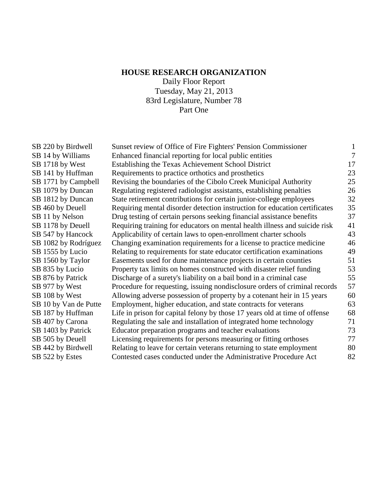# **HOUSE RESEARCH ORGANIZATION**

Daily Floor Report Tuesday, May 21, 2013 83rd Legislature, Number 78 Part One

| SB 220 by Birdwell    | Sunset review of Office of Fire Fighters' Pension Commissioner             |                |
|-----------------------|----------------------------------------------------------------------------|----------------|
| SB 14 by Williams     | Enhanced financial reporting for local public entities                     | $\overline{7}$ |
| SB 1718 by West       | Establishing the Texas Achievement School District                         | 17             |
| SB 141 by Huffman     | Requirements to practice orthotics and prosthetics                         | 23             |
| SB 1771 by Campbell   | Revising the boundaries of the Cibolo Creek Municipal Authority            | 25             |
| SB 1079 by Duncan     | Regulating registered radiologist assistants, establishing penalties       | 26             |
| SB 1812 by Duncan     | State retirement contributions for certain junior-college employees        | 32             |
| SB 460 by Deuell      | Requiring mental disorder detection instruction for education certificates | 35             |
| SB 11 by Nelson       | Drug testing of certain persons seeking financial assistance benefits      | 37             |
| SB 1178 by Deuell     | Requiring training for educators on mental health illness and suicide risk | 41             |
| SB 547 by Hancock     | Applicability of certain laws to open-enrollment charter schools           | 43             |
| SB 1082 by Rodríguez  | Changing examination requirements for a license to practice medicine       | 46             |
| SB 1555 by Lucio      | Relating to requirements for state educator certification examinations     | 49             |
| SB 1560 by Taylor     | Easements used for dune maintenance projects in certain counties           | 51             |
| SB 835 by Lucio       | Property tax limits on homes constructed with disaster relief funding      | 53             |
| SB 876 by Patrick     | Discharge of a surety's liability on a bail bond in a criminal case        | 55             |
| SB 977 by West        | Procedure for requesting, issuing nondisclosure orders of criminal records | 57             |
| SB 108 by West        | Allowing adverse possession of property by a cotenant heir in 15 years     | 60             |
| SB 10 by Van de Putte | Employment, higher education, and state contracts for veterans             | 63             |
| SB 187 by Huffman     | Life in prison for capital felony by those 17 years old at time of offense | 68             |
| SB 407 by Carona      | Regulating the sale and installation of integrated home technology         | 71             |
| SB 1403 by Patrick    | Educator preparation programs and teacher evaluations                      | 73             |
| SB 505 by Deuell      | Licensing requirements for persons measuring or fitting orthoses           | 77             |
| SB 442 by Birdwell    | Relating to leave for certain veterans returning to state employment       | 80             |
| SB 522 by Estes       | Contested cases conducted under the Administrative Procedure Act           | 82             |
|                       |                                                                            |                |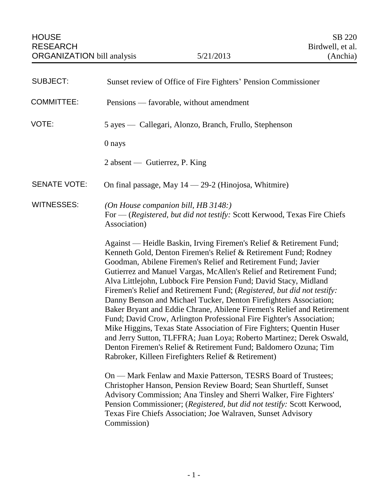<span id="page-2-0"></span>

| <b>SUBJECT:</b>     | Sunset review of Office of Fire Fighters' Pension Commissioner                                                                                                                                                                                                                                                                                                                                                                                                                                                                                                                                                                                                                                                                                                                                                                                                                                                                                                                                                                                                                                                                                                                                                                                                                                      |
|---------------------|-----------------------------------------------------------------------------------------------------------------------------------------------------------------------------------------------------------------------------------------------------------------------------------------------------------------------------------------------------------------------------------------------------------------------------------------------------------------------------------------------------------------------------------------------------------------------------------------------------------------------------------------------------------------------------------------------------------------------------------------------------------------------------------------------------------------------------------------------------------------------------------------------------------------------------------------------------------------------------------------------------------------------------------------------------------------------------------------------------------------------------------------------------------------------------------------------------------------------------------------------------------------------------------------------------|
| <b>COMMITTEE:</b>   | Pensions — favorable, without amendment                                                                                                                                                                                                                                                                                                                                                                                                                                                                                                                                                                                                                                                                                                                                                                                                                                                                                                                                                                                                                                                                                                                                                                                                                                                             |
| VOTE:               | 5 ayes — Callegari, Alonzo, Branch, Frullo, Stephenson                                                                                                                                                                                                                                                                                                                                                                                                                                                                                                                                                                                                                                                                                                                                                                                                                                                                                                                                                                                                                                                                                                                                                                                                                                              |
|                     | 0 nays                                                                                                                                                                                                                                                                                                                                                                                                                                                                                                                                                                                                                                                                                                                                                                                                                                                                                                                                                                                                                                                                                                                                                                                                                                                                                              |
|                     | 2 absent — Gutierrez, P. King                                                                                                                                                                                                                                                                                                                                                                                                                                                                                                                                                                                                                                                                                                                                                                                                                                                                                                                                                                                                                                                                                                                                                                                                                                                                       |
| <b>SENATE VOTE:</b> | On final passage, May $14 - 29-2$ (Hinojosa, Whitmire)                                                                                                                                                                                                                                                                                                                                                                                                                                                                                                                                                                                                                                                                                                                                                                                                                                                                                                                                                                                                                                                                                                                                                                                                                                              |
| <b>WITNESSES:</b>   | (On House companion bill, HB 3148:)<br>For — (Registered, but did not testify: Scott Kerwood, Texas Fire Chiefs<br>Association)                                                                                                                                                                                                                                                                                                                                                                                                                                                                                                                                                                                                                                                                                                                                                                                                                                                                                                                                                                                                                                                                                                                                                                     |
|                     | Against — Heidle Baskin, Irving Firemen's Relief & Retirement Fund;<br>Kenneth Gold, Denton Firemen's Relief & Retirement Fund; Rodney<br>Goodman, Abilene Firemen's Relief and Retirement Fund; Javier<br>Gutierrez and Manuel Vargas, McAllen's Relief and Retirement Fund;<br>Alva Littlejohn, Lubbock Fire Pension Fund; David Stacy, Midland<br>Firemen's Relief and Retirement Fund; (Registered, but did not testify:<br>Danny Benson and Michael Tucker, Denton Firefighters Association;<br>Baker Bryant and Eddie Chrane, Abilene Firemen's Relief and Retirement<br>Fund; David Crow, Arlington Professional Fire Fighter's Association;<br>Mike Higgins, Texas State Association of Fire Fighters; Quentin Huser<br>and Jerry Sutton, TLFFRA; Juan Loya; Roberto Martinez; Derek Oswald,<br>Denton Firemen's Relief & Retirement Fund; Baldomero Ozuna; Tim<br>Rabroker, Killeen Firefighters Relief & Retirement)<br>On — Mark Fenlaw and Maxie Patterson, TESRS Board of Trustees;<br>Christopher Hanson, Pension Review Board; Sean Shurtleff, Sunset<br>Advisory Commission; Ana Tinsley and Sherri Walker, Fire Fighters'<br>Pension Commissioner; (Registered, but did not testify: Scott Kerwood,<br>Texas Fire Chiefs Association; Joe Walraven, Sunset Advisory<br>Commission) |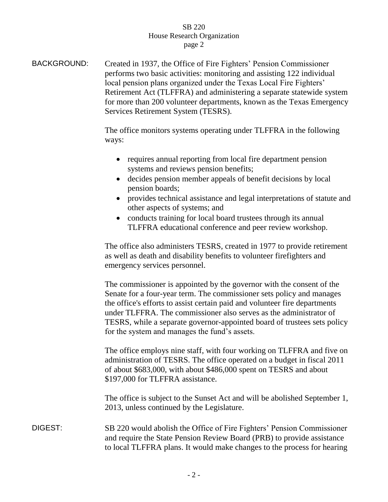BACKGROUND: Created in 1937, the Office of Fire Fighters' Pension Commissioner performs two basic activities: monitoring and assisting 122 individual local pension plans organized under the Texas Local Fire Fighters' Retirement Act (TLFFRA) and administering a separate statewide system for more than 200 volunteer departments, known as the Texas Emergency Services Retirement System (TESRS).

> The office monitors systems operating under TLFFRA in the following ways:

- requires annual reporting from local fire department pension systems and reviews pension benefits;
- decides pension member appeals of benefit decisions by local pension boards;
- provides technical assistance and legal interpretations of statute and other aspects of systems; and
- conducts training for local board trustees through its annual TLFFRA educational conference and peer review workshop.

The office also administers TESRS, created in 1977 to provide retirement as well as death and disability benefits to volunteer firefighters and emergency services personnel.

The commissioner is appointed by the governor with the consent of the Senate for a four-year term. The commissioner sets policy and manages the office's efforts to assist certain paid and volunteer fire departments under TLFFRA. The commissioner also serves as the administrator of TESRS, while a separate governor-appointed board of trustees sets policy for the system and manages the fund's assets.

The office employs nine staff, with four working on TLFFRA and five on administration of TESRS. The office operated on a budget in fiscal 2011 of about \$683,000, with about \$486,000 spent on TESRS and about \$197,000 for TLFFRA assistance.

The office is subject to the Sunset Act and will be abolished September 1, 2013, unless continued by the Legislature.

DIGEST: SB 220 would abolish the Office of Fire Fighters' Pension Commissioner and require the State Pension Review Board (PRB) to provide assistance to local TLFFRA plans. It would make changes to the process for hearing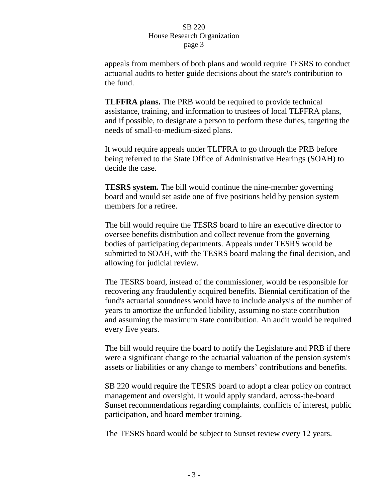appeals from members of both plans and would require TESRS to conduct actuarial audits to better guide decisions about the state's contribution to the fund.

**TLFFRA plans.** The PRB would be required to provide technical assistance, training, and information to trustees of local TLFFRA plans, and if possible, to designate a person to perform these duties, targeting the needs of small-to-medium-sized plans.

It would require appeals under TLFFRA to go through the PRB before being referred to the State Office of Administrative Hearings (SOAH) to decide the case.

**TESRS system.** The bill would continue the nine-member governing board and would set aside one of five positions held by pension system members for a retiree.

The bill would require the TESRS board to hire an executive director to oversee benefits distribution and collect revenue from the governing bodies of participating departments. Appeals under TESRS would be submitted to SOAH, with the TESRS board making the final decision, and allowing for judicial review.

The TESRS board, instead of the commissioner, would be responsible for recovering any fraudulently acquired benefits. Biennial certification of the fund's actuarial soundness would have to include analysis of the number of years to amortize the unfunded liability, assuming no state contribution and assuming the maximum state contribution. An audit would be required every five years.

The bill would require the board to notify the Legislature and PRB if there were a significant change to the actuarial valuation of the pension system's assets or liabilities or any change to members' contributions and benefits.

SB 220 would require the TESRS board to adopt a clear policy on contract management and oversight. It would apply standard, across-the-board Sunset recommendations regarding complaints, conflicts of interest, public participation, and board member training.

The TESRS board would be subject to Sunset review every 12 years.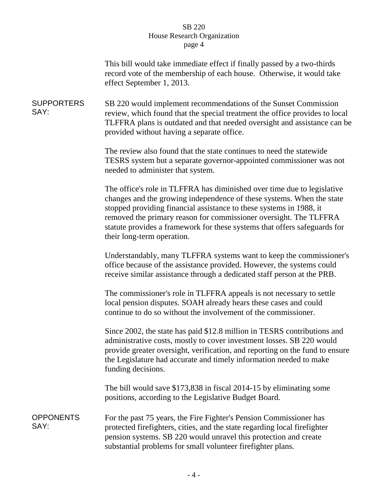This bill would take immediate effect if finally passed by a two-thirds record vote of the membership of each house. Otherwise, it would take effect September 1, 2013.

**SUPPORTERS** SAY: SB 220 would implement recommendations of the Sunset Commission review, which found that the special treatment the office provides to local TLFFRA plans is outdated and that needed oversight and assistance can be provided without having a separate office.

> The review also found that the state continues to need the statewide TESRS system but a separate governor-appointed commissioner was not needed to administer that system.

> The office's role in TLFFRA has diminished over time due to legislative changes and the growing independence of these systems. When the state stopped providing financial assistance to these systems in 1988, it removed the primary reason for commissioner oversight. The TLFFRA statute provides a framework for these systems that offers safeguards for their long-term operation.

Understandably, many TLFFRA systems want to keep the commissioner's office because of the assistance provided. However, the systems could receive similar assistance through a dedicated staff person at the PRB.

The commissioner's role in TLFFRA appeals is not necessary to settle local pension disputes. SOAH already hears these cases and could continue to do so without the involvement of the commissioner.

Since 2002, the state has paid \$12.8 million in TESRS contributions and administrative costs, mostly to cover investment losses. SB 220 would provide greater oversight, verification, and reporting on the fund to ensure the Legislature had accurate and timely information needed to make funding decisions.

The bill would save \$173,838 in fiscal 2014-15 by eliminating some positions, according to the Legislative Budget Board.

**OPPONENTS** SAY: For the past 75 years, the Fire Fighter's Pension Commissioner has protected firefighters, cities, and the state regarding local firefighter pension systems. SB 220 would unravel this protection and create substantial problems for small volunteer firefighter plans.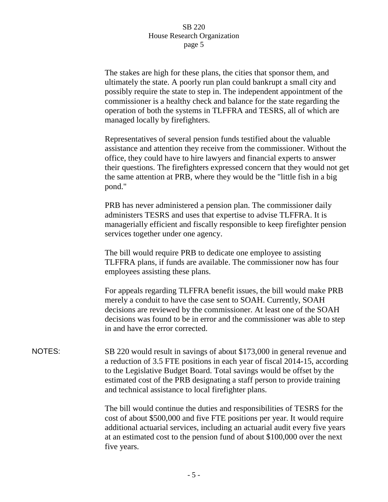| The stakes are high for these plans, the cities that sponsor them, and    |
|---------------------------------------------------------------------------|
| ultimately the state. A poorly run plan could bankrupt a small city and   |
| possibly require the state to step in. The independent appointment of the |
| commissioner is a healthy check and balance for the state regarding the   |
| operation of both the systems in TLFFRA and TESRS, all of which are       |
| managed locally by fire fighters.                                         |

Representatives of several pension funds testified about the valuable assistance and attention they receive from the commissioner. Without the office, they could have to hire lawyers and financial experts to answer their questions. The firefighters expressed concern that they would not get the same attention at PRB, where they would be the "little fish in a big pond."

PRB has never administered a pension plan. The commissioner daily administers TESRS and uses that expertise to advise TLFFRA. It is managerially efficient and fiscally responsible to keep firefighter pension services together under one agency.

The bill would require PRB to dedicate one employee to assisting TLFFRA plans, if funds are available. The commissioner now has four employees assisting these plans.

For appeals regarding TLFFRA benefit issues, the bill would make PRB merely a conduit to have the case sent to SOAH. Currently, SOAH decisions are reviewed by the commissioner. At least one of the SOAH decisions was found to be in error and the commissioner was able to step in and have the error corrected.

NOTES: SB 220 would result in savings of about \$173,000 in general revenue and a reduction of 3.5 FTE positions in each year of fiscal 2014-15, according to the Legislative Budget Board. Total savings would be offset by the estimated cost of the PRB designating a staff person to provide training and technical assistance to local firefighter plans.

> The bill would continue the duties and responsibilities of TESRS for the cost of about \$500,000 and five FTE positions per year. It would require additional actuarial services, including an actuarial audit every five years at an estimated cost to the pension fund of about \$100,000 over the next five years.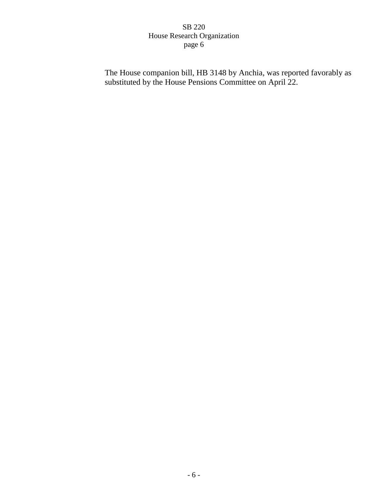The House companion bill, HB 3148 by Anchia, was reported favorably as substituted by the House Pensions Committee on April 22.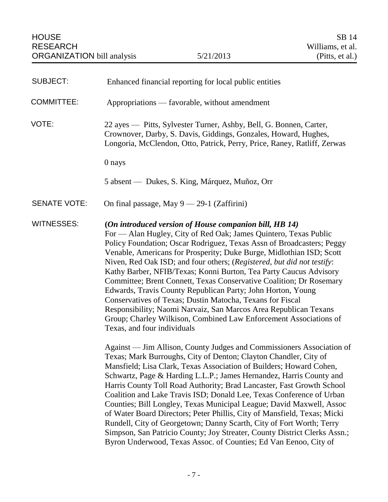<span id="page-8-0"></span>

| <b>SUBJECT:</b>     | Enhanced financial reporting for local public entities                                                                                                                                                                                                                                                                                                                                                                                                                                                                                                                                                                                                                                                                                                                                                                |
|---------------------|-----------------------------------------------------------------------------------------------------------------------------------------------------------------------------------------------------------------------------------------------------------------------------------------------------------------------------------------------------------------------------------------------------------------------------------------------------------------------------------------------------------------------------------------------------------------------------------------------------------------------------------------------------------------------------------------------------------------------------------------------------------------------------------------------------------------------|
| <b>COMMITTEE:</b>   | Appropriations — favorable, without amendment                                                                                                                                                                                                                                                                                                                                                                                                                                                                                                                                                                                                                                                                                                                                                                         |
| VOTE:               | 22 ayes — Pitts, Sylvester Turner, Ashby, Bell, G. Bonnen, Carter,<br>Crownover, Darby, S. Davis, Giddings, Gonzales, Howard, Hughes,<br>Longoria, McClendon, Otto, Patrick, Perry, Price, Raney, Ratliff, Zerwas                                                                                                                                                                                                                                                                                                                                                                                                                                                                                                                                                                                                     |
|                     | 0 nays                                                                                                                                                                                                                                                                                                                                                                                                                                                                                                                                                                                                                                                                                                                                                                                                                |
|                     | 5 absent — Dukes, S. King, Márquez, Muñoz, Orr                                                                                                                                                                                                                                                                                                                                                                                                                                                                                                                                                                                                                                                                                                                                                                        |
| <b>SENATE VOTE:</b> | On final passage, May $9 - 29-1$ (Zaffirini)                                                                                                                                                                                                                                                                                                                                                                                                                                                                                                                                                                                                                                                                                                                                                                          |
| <b>WITNESSES:</b>   | (On introduced version of House companion bill, HB 14)<br>For — Alan Hugley, City of Red Oak; James Quintero, Texas Public<br>Policy Foundation; Oscar Rodriguez, Texas Assn of Broadcasters; Peggy<br>Venable, Americans for Prosperity; Duke Burge, Midlothian ISD; Scott<br>Niven, Red Oak ISD; and four others; (Registered, but did not testify:<br>Kathy Barber, NFIB/Texas; Konni Burton, Tea Party Caucus Advisory<br>Committee; Brent Connett, Texas Conservative Coalition; Dr Rosemary<br>Edwards, Travis County Republican Party; John Horton, Young<br>Conservatives of Texas; Dustin Matocha, Texans for Fiscal<br>Responsibility; Naomi Narvaiz, San Marcos Area Republican Texans<br>Group; Charley Wilkison, Combined Law Enforcement Associations of<br>Texas, and four individuals                 |
|                     | Against — Jim Allison, County Judges and Commissioners Association of<br>Texas; Mark Burroughs, City of Denton; Clayton Chandler, City of<br>Mansfield; Lisa Clark, Texas Association of Builders; Howard Cohen,<br>Schwartz, Page & Harding L.L.P.; James Hernandez, Harris County and<br>Harris County Toll Road Authority; Brad Lancaster, Fast Growth School<br>Coalition and Lake Travis ISD; Donald Lee, Texas Conference of Urban<br>Counties; Bill Longley, Texas Municipal League; David Maxwell, Assoc<br>of Water Board Directors; Peter Phillis, City of Mansfield, Texas; Micki<br>Rundell, City of Georgetown; Danny Scarth, City of Fort Worth; Terry<br>Simpson, San Patricio County; Joy Streater, County District Clerks Assn.;<br>Byron Underwood, Texas Assoc. of Counties; Ed Van Eenoo, City of |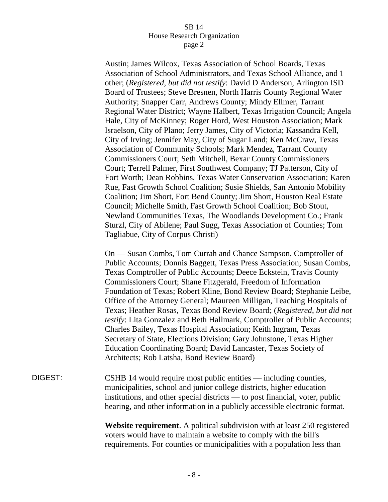Austin; James Wilcox, Texas Association of School Boards, Texas Association of School Administrators, and Texas School Alliance, and 1 other; (*Registered, but did not testify*: David D Anderson, Arlington ISD Board of Trustees; Steve Bresnen, North Harris County Regional Water Authority; Snapper Carr, Andrews County; Mindy Ellmer, Tarrant Regional Water District; Wayne Halbert, Texas Irrigation Council; Angela Hale, City of McKinney; Roger Hord, West Houston Association; Mark Israelson, City of Plano; Jerry James, City of Victoria; Kassandra Kell, City of Irving; Jennifer May, City of Sugar Land; Ken McCraw, Texas Association of Community Schools; Mark Mendez, Tarrant County Commissioners Court; Seth Mitchell, Bexar County Commissioners Court; Terrell Palmer, First Southwest Company; TJ Patterson, City of Fort Worth; Dean Robbins, Texas Water Conservation Association; Karen Rue, Fast Growth School Coalition; Susie Shields, San Antonio Mobility Coalition; Jim Short, Fort Bend County; Jim Short, Houston Real Estate Council; Michelle Smith, Fast Growth School Coalition; Bob Stout, Newland Communities Texas, The Woodlands Development Co.; Frank Sturzl, City of Abilene; Paul Sugg, Texas Association of Counties; Tom Tagliabue, City of Corpus Christi)

On — Susan Combs, Tom Currah and Chance Sampson, Comptroller of Public Accounts; Donnis Baggett, Texas Press Association; Susan Combs, Texas Comptroller of Public Accounts; Deece Eckstein, Travis County Commissioners Court; Shane Fitzgerald, Freedom of Information Foundation of Texas; Robert Kline, Bond Review Board; Stephanie Leibe, Office of the Attorney General; Maureen Milligan, Teaching Hospitals of Texas; Heather Rosas, Texas Bond Review Board; (*Registered, but did not testify*: Lita Gonzalez and Beth Hallmark, Comptroller of Public Accounts; Charles Bailey, Texas Hospital Association; Keith Ingram, Texas Secretary of State, Elections Division; Gary Johnstone, Texas Higher Education Coordinating Board; David Lancaster, Texas Society of Architects; Rob Latsha, Bond Review Board)

DIGEST: CSHB 14 would require most public entities — including counties, municipalities, school and junior college districts, higher education institutions, and other special districts — to post financial, voter, public hearing, and other information in a publicly accessible electronic format.

> **Website requirement**. A political subdivision with at least 250 registered voters would have to maintain a website to comply with the bill's requirements. For counties or municipalities with a population less than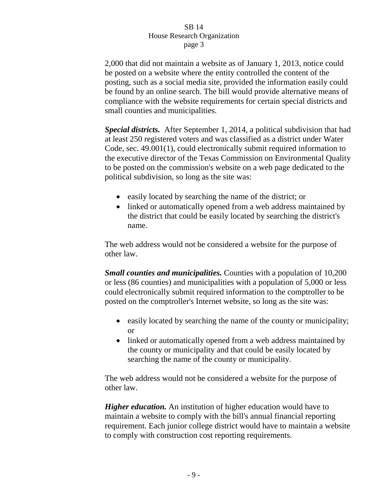2,000 that did not maintain a website as of January 1, 2013, notice could be posted on a website where the entity controlled the content of the posting, such as a social media site, provided the information easily could be found by an online search. The bill would provide alternative means of compliance with the website requirements for certain special districts and small counties and municipalities.

*Special districts.* After September 1, 2014, a political subdivision that had at least 250 registered voters and was classified as a district under Water Code, sec. 49.001(1), could electronically submit required information to the executive director of the Texas Commission on Environmental Quality to be posted on the commission's website on a web page dedicated to the political subdivision, so long as the site was:

- easily located by searching the name of the district; or
- linked or automatically opened from a web address maintained by the district that could be easily located by searching the district's name.

The web address would not be considered a website for the purpose of other law.

*Small counties and municipalities.* Counties with a population of 10,200 or less (86 counties) and municipalities with a population of 5,000 or less could electronically submit required information to the comptroller to be posted on the comptroller's Internet website, so long as the site was:

- easily located by searching the name of the county or municipality; or
- linked or automatically opened from a web address maintained by the county or municipality and that could be easily located by searching the name of the county or municipality.

The web address would not be considered a website for the purpose of other law.

*Higher education.* An institution of higher education would have to maintain a website to comply with the bill's annual financial reporting requirement. Each junior college district would have to maintain a website to comply with construction cost reporting requirements.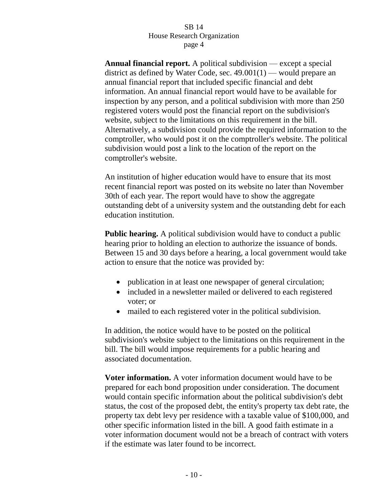**Annual financial report.** A political subdivision — except a special district as defined by Water Code, sec.  $49.001(1)$  — would prepare an annual financial report that included specific financial and debt information. An annual financial report would have to be available for inspection by any person, and a political subdivision with more than 250 registered voters would post the financial report on the subdivision's website, subject to the limitations on this requirement in the bill. Alternatively, a subdivision could provide the required information to the comptroller, who would post it on the comptroller's website. The political subdivision would post a link to the location of the report on the comptroller's website.

An institution of higher education would have to ensure that its most recent financial report was posted on its website no later than November 30th of each year. The report would have to show the aggregate outstanding debt of a university system and the outstanding debt for each education institution.

**Public hearing.** A political subdivision would have to conduct a public hearing prior to holding an election to authorize the issuance of bonds. Between 15 and 30 days before a hearing, a local government would take action to ensure that the notice was provided by:

- publication in at least one newspaper of general circulation;
- included in a newsletter mailed or delivered to each registered voter; or
- mailed to each registered voter in the political subdivision.

In addition, the notice would have to be posted on the political subdivision's website subject to the limitations on this requirement in the bill. The bill would impose requirements for a public hearing and associated documentation.

**Voter information.** A voter information document would have to be prepared for each bond proposition under consideration. The document would contain specific information about the political subdivision's debt status, the cost of the proposed debt, the entity's property tax debt rate, the property tax debt levy per residence with a taxable value of \$100,000, and other specific information listed in the bill. A good faith estimate in a voter information document would not be a breach of contract with voters if the estimate was later found to be incorrect.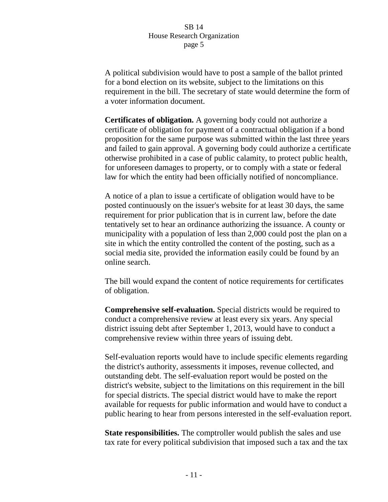A political subdivision would have to post a sample of the ballot printed for a bond election on its website, subject to the limitations on this requirement in the bill. The secretary of state would determine the form of a voter information document.

**Certificates of obligation.** A governing body could not authorize a certificate of obligation for payment of a contractual obligation if a bond proposition for the same purpose was submitted within the last three years and failed to gain approval. A governing body could authorize a certificate otherwise prohibited in a case of public calamity, to protect public health, for unforeseen damages to property, or to comply with a state or federal law for which the entity had been officially notified of noncompliance.

A notice of a plan to issue a certificate of obligation would have to be posted continuously on the issuer's website for at least 30 days, the same requirement for prior publication that is in current law, before the date tentatively set to hear an ordinance authorizing the issuance. A county or municipality with a population of less than 2,000 could post the plan on a site in which the entity controlled the content of the posting, such as a social media site, provided the information easily could be found by an online search.

The bill would expand the content of notice requirements for certificates of obligation.

**Comprehensive self-evaluation.** Special districts would be required to conduct a comprehensive review at least every six years. Any special district issuing debt after September 1, 2013, would have to conduct a comprehensive review within three years of issuing debt.

Self-evaluation reports would have to include specific elements regarding the district's authority, assessments it imposes, revenue collected, and outstanding debt. The self-evaluation report would be posted on the district's website, subject to the limitations on this requirement in the bill for special districts. The special district would have to make the report available for requests for public information and would have to conduct a public hearing to hear from persons interested in the self-evaluation report.

**State responsibilities.** The comptroller would publish the sales and use tax rate for every political subdivision that imposed such a tax and the tax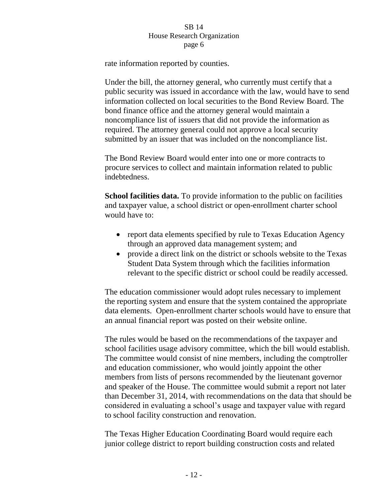rate information reported by counties.

Under the bill, the attorney general, who currently must certify that a public security was issued in accordance with the law, would have to send information collected on local securities to the Bond Review Board. The bond finance office and the attorney general would maintain a noncompliance list of issuers that did not provide the information as required. The attorney general could not approve a local security submitted by an issuer that was included on the noncompliance list.

The Bond Review Board would enter into one or more contracts to procure services to collect and maintain information related to public indebtedness.

**School facilities data.** To provide information to the public on facilities and taxpayer value, a school district or open-enrollment charter school would have to:

- report data elements specified by rule to Texas Education Agency through an approved data management system; and
- provide a direct link on the district or schools website to the Texas Student Data System through which the facilities information relevant to the specific district or school could be readily accessed.

The education commissioner would adopt rules necessary to implement the reporting system and ensure that the system contained the appropriate data elements. Open-enrollment charter schools would have to ensure that an annual financial report was posted on their website online.

The rules would be based on the recommendations of the taxpayer and school facilities usage advisory committee, which the bill would establish. The committee would consist of nine members, including the comptroller and education commissioner, who would jointly appoint the other members from lists of persons recommended by the lieutenant governor and speaker of the House. The committee would submit a report not later than December 31, 2014, with recommendations on the data that should be considered in evaluating a school's usage and taxpayer value with regard to school facility construction and renovation.

The Texas Higher Education Coordinating Board would require each junior college district to report building construction costs and related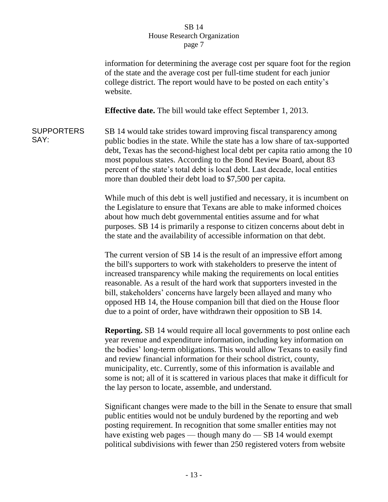information for determining the average cost per square foot for the region of the state and the average cost per full-time student for each junior college district. The report would have to be posted on each entity's website.

**Effective date.** The bill would take effect September 1, 2013.

**SUPPORTERS** SAY: SB 14 would take strides toward improving fiscal transparency among public bodies in the state. While the state has a low share of tax-supported debt, Texas has the second-highest local debt per capita ratio among the 10 most populous states. According to the Bond Review Board, about 83 percent of the state's total debt is local debt. Last decade, local entities more than doubled their debt load to \$7,500 per capita.

> While much of this debt is well justified and necessary, it is incumbent on the Legislature to ensure that Texans are able to make informed choices about how much debt governmental entities assume and for what purposes. SB 14 is primarily a response to citizen concerns about debt in the state and the availability of accessible information on that debt.

The current version of SB 14 is the result of an impressive effort among the bill's supporters to work with stakeholders to preserve the intent of increased transparency while making the requirements on local entities reasonable. As a result of the hard work that supporters invested in the bill, stakeholders' concerns have largely been allayed and many who opposed HB 14, the House companion bill that died on the House floor due to a point of order, have withdrawn their opposition to SB 14.

**Reporting.** SB 14 would require all local governments to post online each year revenue and expenditure information, including key information on the bodies' long-term obligations. This would allow Texans to easily find and review financial information for their school district, county, municipality, etc. Currently, some of this information is available and some is not; all of it is scattered in various places that make it difficult for the lay person to locate, assemble, and understand.

Significant changes were made to the bill in the Senate to ensure that small public entities would not be unduly burdened by the reporting and web posting requirement. In recognition that some smaller entities may not have existing web pages — though many do — SB 14 would exempt political subdivisions with fewer than 250 registered voters from website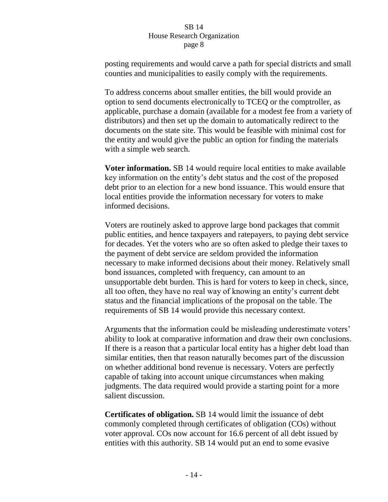posting requirements and would carve a path for special districts and small counties and municipalities to easily comply with the requirements.

To address concerns about smaller entities, the bill would provide an option to send documents electronically to TCEQ or the comptroller, as applicable, purchase a domain (available for a modest fee from a variety of distributors) and then set up the domain to automatically redirect to the documents on the state site. This would be feasible with minimal cost for the entity and would give the public an option for finding the materials with a simple web search.

**Voter information.** SB 14 would require local entities to make available key information on the entity's debt status and the cost of the proposed debt prior to an election for a new bond issuance. This would ensure that local entities provide the information necessary for voters to make informed decisions.

Voters are routinely asked to approve large bond packages that commit public entities, and hence taxpayers and ratepayers, to paying debt service for decades. Yet the voters who are so often asked to pledge their taxes to the payment of debt service are seldom provided the information necessary to make informed decisions about their money. Relatively small bond issuances, completed with frequency, can amount to an unsupportable debt burden. This is hard for voters to keep in check, since, all too often, they have no real way of knowing an entity's current debt status and the financial implications of the proposal on the table. The requirements of SB 14 would provide this necessary context.

Arguments that the information could be misleading underestimate voters' ability to look at comparative information and draw their own conclusions. If there is a reason that a particular local entity has a higher debt load than similar entities, then that reason naturally becomes part of the discussion on whether additional bond revenue is necessary. Voters are perfectly capable of taking into account unique circumstances when making judgments. The data required would provide a starting point for a more salient discussion.

**Certificates of obligation.** SB 14 would limit the issuance of debt commonly completed through certificates of obligation (COs) without voter approval. COs now account for 16.6 percent of all debt issued by entities with this authority. SB 14 would put an end to some evasive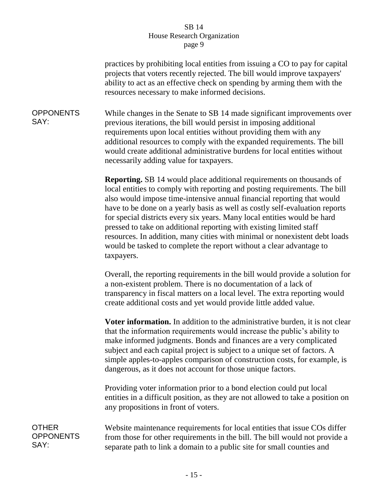practices by prohibiting local entities from issuing a CO to pay for capital projects that voters recently rejected. The bill would improve taxpayers' ability to act as an effective check on spending by arming them with the resources necessary to make informed decisions.

**OPPONENTS** SAY: While changes in the Senate to SB 14 made significant improvements over previous iterations, the bill would persist in imposing additional requirements upon local entities without providing them with any additional resources to comply with the expanded requirements. The bill would create additional administrative burdens for local entities without necessarily adding value for taxpayers.

> **Reporting.** SB 14 would place additional requirements on thousands of local entities to comply with reporting and posting requirements. The bill also would impose time-intensive annual financial reporting that would have to be done on a yearly basis as well as costly self-evaluation reports for special districts every six years. Many local entities would be hard pressed to take on additional reporting with existing limited staff resources. In addition, many cities with minimal or nonexistent debt loads would be tasked to complete the report without a clear advantage to taxpayers.

> Overall, the reporting requirements in the bill would provide a solution for a non-existent problem. There is no documentation of a lack of transparency in fiscal matters on a local level. The extra reporting would create additional costs and yet would provide little added value.

> **Voter information.** In addition to the administrative burden, it is not clear that the information requirements would increase the public's ability to make informed judgments. Bonds and finances are a very complicated subject and each capital project is subject to a unique set of factors. A simple apples-to-apples comparison of construction costs, for example, is dangerous, as it does not account for those unique factors.

> Providing voter information prior to a bond election could put local entities in a difficult position, as they are not allowed to take a position on any propositions in front of voters.

**OTHER OPPONENTS** SAY:

Website maintenance requirements for local entities that issue COs differ from those for other requirements in the bill. The bill would not provide a separate path to link a domain to a public site for small counties and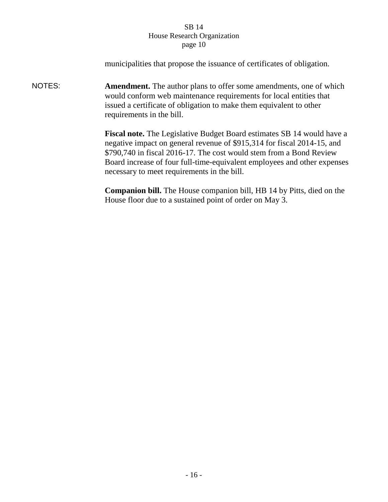|        | municipalities that propose the issuance of certificates of obligation.                                                                                                                                                                                                                                                                                    |
|--------|------------------------------------------------------------------------------------------------------------------------------------------------------------------------------------------------------------------------------------------------------------------------------------------------------------------------------------------------------------|
| NOTES: | <b>Amendment.</b> The author plans to offer some amendments, one of which<br>would conform web maintenance requirements for local entities that<br>issued a certificate of obligation to make them equivalent to other<br>requirements in the bill.                                                                                                        |
|        | <b>Fiscal note.</b> The Legislative Budget Board estimates SB 14 would have a<br>negative impact on general revenue of \$915,314 for fiscal 2014-15, and<br>\$790,740 in fiscal 2016-17. The cost would stem from a Bond Review<br>Board increase of four full-time-equivalent employees and other expenses<br>necessary to meet requirements in the bill. |
|        | <b>Companion bill.</b> The House companion bill, HB 14 by Pitts, died on the<br>House floor due to a sustained point of order on May 3.                                                                                                                                                                                                                    |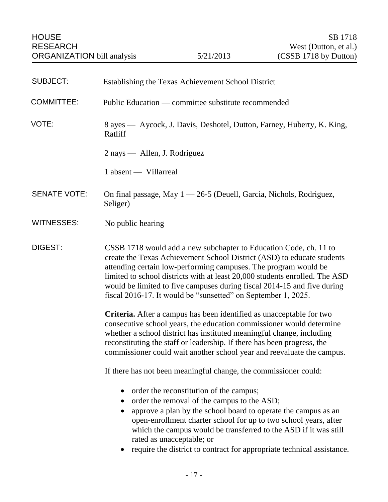<span id="page-18-0"></span>

| <b>SUBJECT:</b>     | Establishing the Texas Achievement School District                                                                                                                                                                                                                                                                                                                                                                                        |
|---------------------|-------------------------------------------------------------------------------------------------------------------------------------------------------------------------------------------------------------------------------------------------------------------------------------------------------------------------------------------------------------------------------------------------------------------------------------------|
| <b>COMMITTEE:</b>   | Public Education — committee substitute recommended                                                                                                                                                                                                                                                                                                                                                                                       |
| VOTE:               | 8 ayes — Aycock, J. Davis, Deshotel, Dutton, Farney, Huberty, K. King,<br>Ratliff                                                                                                                                                                                                                                                                                                                                                         |
|                     | $2$ nays — Allen, J. Rodriguez                                                                                                                                                                                                                                                                                                                                                                                                            |
|                     | 1 absent — Villarreal                                                                                                                                                                                                                                                                                                                                                                                                                     |
| <b>SENATE VOTE:</b> | On final passage, May $1 - 26 - 5$ (Deuell, Garcia, Nichols, Rodriguez,<br>Seliger)                                                                                                                                                                                                                                                                                                                                                       |
| <b>WITNESSES:</b>   | No public hearing                                                                                                                                                                                                                                                                                                                                                                                                                         |
| DIGEST:             | CSSB 1718 would add a new subchapter to Education Code, ch. 11 to<br>create the Texas Achievement School District (ASD) to educate students<br>attending certain low-performing campuses. The program would be<br>limited to school districts with at least 20,000 students enrolled. The ASD<br>would be limited to five campuses during fiscal 2014-15 and five during<br>fiscal 2016-17. It would be "sunsetted" on September 1, 2025. |
|                     | Criteria. After a campus has been identified as unacceptable for two<br>consecutive school years, the education commissioner would determine<br>whether a school district has instituted meaningful change, including<br>reconstituting the staff or leadership. If there has been progress, the<br>commissioner could wait another school year and reevaluate the campus.                                                                |
|                     | If there has not been meaningful change, the commissioner could:                                                                                                                                                                                                                                                                                                                                                                          |
|                     | order the reconstitution of the campus;<br>order the removal of the campus to the ASD;<br>$\bullet$<br>approve a plan by the school board to operate the campus as an<br>$\bullet$<br>open-enrollment charter school for up to two school years, after<br>which the campus would be transferred to the ASD if it was still<br>rated as unacceptable; or<br>require the district to contract for appropriate technical assistance.         |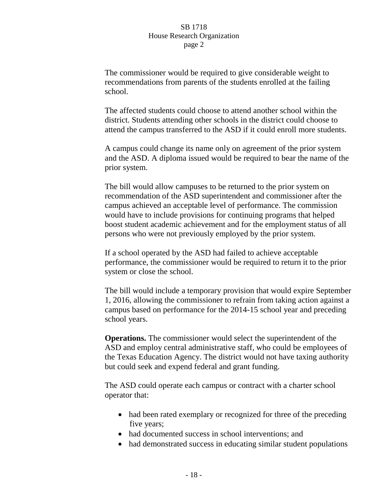The commissioner would be required to give considerable weight to recommendations from parents of the students enrolled at the failing school.

The affected students could choose to attend another school within the district. Students attending other schools in the district could choose to attend the campus transferred to the ASD if it could enroll more students.

A campus could change its name only on agreement of the prior system and the ASD. A diploma issued would be required to bear the name of the prior system.

The bill would allow campuses to be returned to the prior system on recommendation of the ASD superintendent and commissioner after the campus achieved an acceptable level of performance. The commission would have to include provisions for continuing programs that helped boost student academic achievement and for the employment status of all persons who were not previously employed by the prior system.

If a school operated by the ASD had failed to achieve acceptable performance, the commissioner would be required to return it to the prior system or close the school.

The bill would include a temporary provision that would expire September 1, 2016, allowing the commissioner to refrain from taking action against a campus based on performance for the 2014-15 school year and preceding school years.

**Operations.** The commissioner would select the superintendent of the ASD and employ central administrative staff, who could be employees of the Texas Education Agency. The district would not have taxing authority but could seek and expend federal and grant funding.

The ASD could operate each campus or contract with a charter school operator that:

- had been rated exemplary or recognized for three of the preceding five years;
- had documented success in school interventions; and
- had demonstrated success in educating similar student populations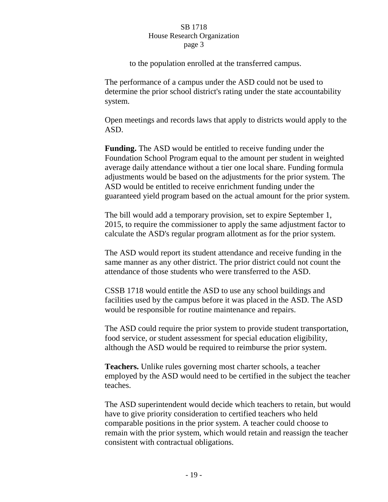to the population enrolled at the transferred campus.

The performance of a campus under the ASD could not be used to determine the prior school district's rating under the state accountability system.

Open meetings and records laws that apply to districts would apply to the ASD.

**Funding.** The ASD would be entitled to receive funding under the Foundation School Program equal to the amount per student in weighted average daily attendance without a tier one local share. Funding formula adjustments would be based on the adjustments for the prior system. The ASD would be entitled to receive enrichment funding under the guaranteed yield program based on the actual amount for the prior system.

The bill would add a temporary provision, set to expire September 1, 2015, to require the commissioner to apply the same adjustment factor to calculate the ASD's regular program allotment as for the prior system.

The ASD would report its student attendance and receive funding in the same manner as any other district. The prior district could not count the attendance of those students who were transferred to the ASD.

CSSB 1718 would entitle the ASD to use any school buildings and facilities used by the campus before it was placed in the ASD. The ASD would be responsible for routine maintenance and repairs.

The ASD could require the prior system to provide student transportation, food service, or student assessment for special education eligibility, although the ASD would be required to reimburse the prior system.

**Teachers.** Unlike rules governing most charter schools, a teacher employed by the ASD would need to be certified in the subject the teacher teaches.

The ASD superintendent would decide which teachers to retain, but would have to give priority consideration to certified teachers who held comparable positions in the prior system. A teacher could choose to remain with the prior system, which would retain and reassign the teacher consistent with contractual obligations.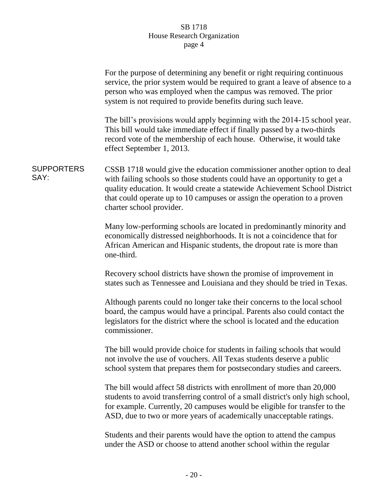|                           | For the purpose of determining any benefit or right requiring continuous<br>service, the prior system would be required to grant a leave of absence to a<br>person who was employed when the campus was removed. The prior<br>system is not required to provide benefits during such leave.                                               |
|---------------------------|-------------------------------------------------------------------------------------------------------------------------------------------------------------------------------------------------------------------------------------------------------------------------------------------------------------------------------------------|
|                           | The bill's provisions would apply beginning with the 2014-15 school year.<br>This bill would take immediate effect if finally passed by a two-thirds<br>record vote of the membership of each house. Otherwise, it would take<br>effect September 1, 2013.                                                                                |
| <b>SUPPORTERS</b><br>SAY: | CSSB 1718 would give the education commissioner another option to deal<br>with failing schools so those students could have an opportunity to get a<br>quality education. It would create a statewide Achievement School District<br>that could operate up to 10 campuses or assign the operation to a proven<br>charter school provider. |
|                           | Many low-performing schools are located in predominantly minority and<br>economically distressed neighborhoods. It is not a coincidence that for<br>African American and Hispanic students, the dropout rate is more than<br>one-third.                                                                                                   |
|                           | Recovery school districts have shown the promise of improvement in<br>states such as Tennessee and Louisiana and they should be tried in Texas.                                                                                                                                                                                           |
|                           | Although parents could no longer take their concerns to the local school<br>board, the campus would have a principal. Parents also could contact the<br>legislators for the district where the school is located and the education<br>commissioner.                                                                                       |
|                           | The bill would provide choice for students in failing schools that would<br>not involve the use of vouchers. All Texas students deserve a public<br>school system that prepares them for postsecondary studies and careers.                                                                                                               |
|                           | The bill would affect 58 districts with enrollment of more than 20,000<br>students to avoid transferring control of a small district's only high school,<br>for example. Currently, 20 campuses would be eligible for transfer to the<br>ASD, due to two or more years of academically unacceptable ratings.                              |
|                           | Students and their parents would have the option to attend the campus<br>under the ASD or choose to attend another school within the regular                                                                                                                                                                                              |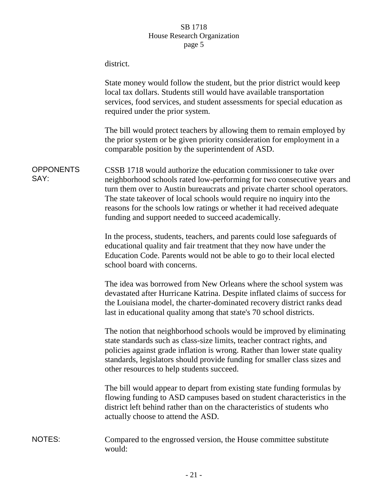|                          | district.                                                                                                                                                                                                                                                                                                                                                                                                                             |
|--------------------------|---------------------------------------------------------------------------------------------------------------------------------------------------------------------------------------------------------------------------------------------------------------------------------------------------------------------------------------------------------------------------------------------------------------------------------------|
|                          | State money would follow the student, but the prior district would keep<br>local tax dollars. Students still would have available transportation<br>services, food services, and student assessments for special education as<br>required under the prior system.                                                                                                                                                                     |
|                          | The bill would protect teachers by allowing them to remain employed by<br>the prior system or be given priority consideration for employment in a<br>comparable position by the superintendent of ASD.                                                                                                                                                                                                                                |
| <b>OPPONENTS</b><br>SAY: | CSSB 1718 would authorize the education commissioner to take over<br>neighborhood schools rated low-performing for two consecutive years and<br>turn them over to Austin bureaucrats and private charter school operators.<br>The state takeover of local schools would require no inquiry into the<br>reasons for the schools low ratings or whether it had received adequate<br>funding and support needed to succeed academically. |
|                          | In the process, students, teachers, and parents could lose safeguards of<br>educational quality and fair treatment that they now have under the<br>Education Code. Parents would not be able to go to their local elected<br>school board with concerns.                                                                                                                                                                              |
|                          | The idea was borrowed from New Orleans where the school system was<br>devastated after Hurricane Katrina. Despite inflated claims of success for<br>the Louisiana model, the charter-dominated recovery district ranks dead<br>last in educational quality among that state's 70 school districts.                                                                                                                                    |
|                          | The notion that neighborhood schools would be improved by eliminating<br>state standards such as class-size limits, teacher contract rights, and<br>policies against grade inflation is wrong. Rather than lower state quality<br>standards, legislators should provide funding for smaller class sizes and<br>other resources to help students succeed.                                                                              |
|                          | The bill would appear to depart from existing state funding formulas by<br>flowing funding to ASD campuses based on student characteristics in the<br>district left behind rather than on the characteristics of students who<br>actually choose to attend the ASD.                                                                                                                                                                   |
| <b>NOTES:</b>            | Compared to the engrossed version, the House committee substitute<br>would:                                                                                                                                                                                                                                                                                                                                                           |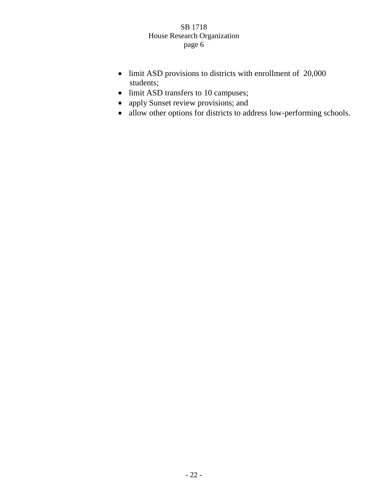- limit ASD provisions to districts with enrollment of 20,000 students;
- limit ASD transfers to 10 campuses;
- apply Sunset review provisions; and
- allow other options for districts to address low-performing schools.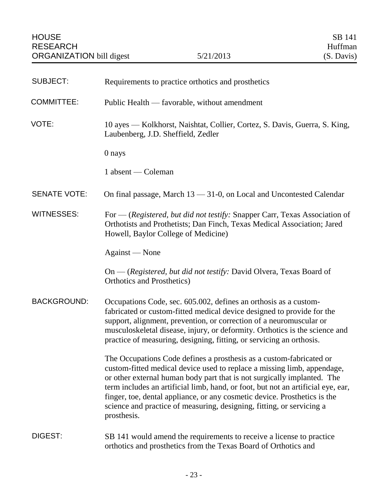<span id="page-24-0"></span>

| <b>SUBJECT:</b>     | Requirements to practice orthotics and prosthetics                                                                                                                                                                                                                                                                                                                                                                                                                                 |
|---------------------|------------------------------------------------------------------------------------------------------------------------------------------------------------------------------------------------------------------------------------------------------------------------------------------------------------------------------------------------------------------------------------------------------------------------------------------------------------------------------------|
| <b>COMMITTEE:</b>   | Public Health — favorable, without amendment                                                                                                                                                                                                                                                                                                                                                                                                                                       |
| VOTE:               | 10 ayes — Kolkhorst, Naishtat, Collier, Cortez, S. Davis, Guerra, S. King,<br>Laubenberg, J.D. Sheffield, Zedler                                                                                                                                                                                                                                                                                                                                                                   |
|                     | 0 nays                                                                                                                                                                                                                                                                                                                                                                                                                                                                             |
|                     | 1 absent — Coleman                                                                                                                                                                                                                                                                                                                                                                                                                                                                 |
| <b>SENATE VOTE:</b> | On final passage, March 13 - 31-0, on Local and Uncontested Calendar                                                                                                                                                                                                                                                                                                                                                                                                               |
| <b>WITNESSES:</b>   | For — (Registered, but did not testify: Snapper Carr, Texas Association of<br>Orthotists and Prothetists; Dan Finch, Texas Medical Association; Jared<br>Howell, Baylor College of Medicine)                                                                                                                                                                                                                                                                                       |
|                     | Against — None                                                                                                                                                                                                                                                                                                                                                                                                                                                                     |
|                     | On - (Registered, but did not testify: David Olvera, Texas Board of<br><b>Orthotics and Prosthetics</b> )                                                                                                                                                                                                                                                                                                                                                                          |
| <b>BACKGROUND:</b>  | Occupations Code, sec. 605.002, defines an orthosis as a custom-<br>fabricated or custom-fitted medical device designed to provide for the<br>support, alignment, prevention, or correction of a neuromuscular or<br>musculoskeletal disease, injury, or deformity. Orthotics is the science and<br>practice of measuring, designing, fitting, or servicing an orthosis.                                                                                                           |
|                     | The Occupations Code defines a prosthesis as a custom-fabricated or<br>custom-fitted medical device used to replace a missing limb, appendage,<br>or other external human body part that is not surgically implanted. The<br>term includes an artificial limb, hand, or foot, but not an artificial eye, ear,<br>finger, toe, dental appliance, or any cosmetic device. Prosthetics is the<br>science and practice of measuring, designing, fitting, or servicing a<br>prosthesis. |
| DIGEST:             | SB 141 would amend the requirements to receive a license to practice<br>orthotics and prosthetics from the Texas Board of Orthotics and                                                                                                                                                                                                                                                                                                                                            |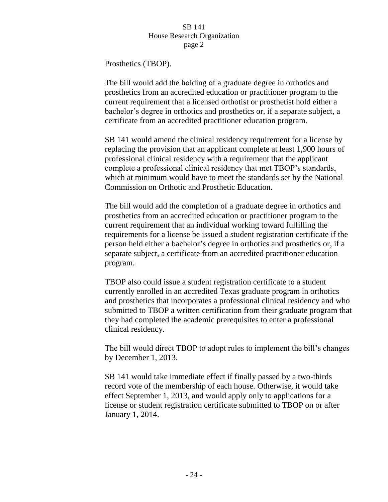Prosthetics (TBOP).

The bill would add the holding of a graduate degree in orthotics and prosthetics from an accredited education or practitioner program to the current requirement that a licensed orthotist or prosthetist hold either a bachelor's degree in orthotics and prosthetics or, if a separate subject, a certificate from an accredited practitioner education program.

SB 141 would amend the clinical residency requirement for a license by replacing the provision that an applicant complete at least 1,900 hours of professional clinical residency with a requirement that the applicant complete a professional clinical residency that met TBOP's standards, which at minimum would have to meet the standards set by the National Commission on Orthotic and Prosthetic Education.

The bill would add the completion of a graduate degree in orthotics and prosthetics from an accredited education or practitioner program to the current requirement that an individual working toward fulfilling the requirements for a license be issued a student registration certificate if the person held either a bachelor's degree in orthotics and prosthetics or, if a separate subject, a certificate from an accredited practitioner education program.

TBOP also could issue a student registration certificate to a student currently enrolled in an accredited Texas graduate program in orthotics and prosthetics that incorporates a professional clinical residency and who submitted to TBOP a written certification from their graduate program that they had completed the academic prerequisites to enter a professional clinical residency.

The bill would direct TBOP to adopt rules to implement the bill's changes by December 1, 2013.

SB 141 would take immediate effect if finally passed by a two-thirds record vote of the membership of each house. Otherwise, it would take effect September 1, 2013, and would apply only to applications for a license or student registration certificate submitted to TBOP on or after January 1, 2014.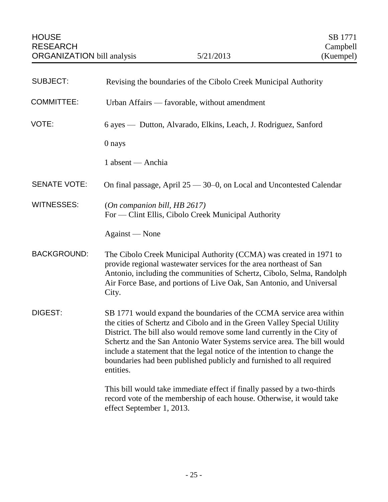<span id="page-26-0"></span>

| <b>SUBJECT:</b>     | Revising the boundaries of the Cibolo Creek Municipal Authority                                                                                                                                                                                                                                                                                                                                                                                                       |
|---------------------|-----------------------------------------------------------------------------------------------------------------------------------------------------------------------------------------------------------------------------------------------------------------------------------------------------------------------------------------------------------------------------------------------------------------------------------------------------------------------|
| <b>COMMITTEE:</b>   | Urban Affairs — favorable, without amendment                                                                                                                                                                                                                                                                                                                                                                                                                          |
| VOTE:               | 6 ayes — Dutton, Alvarado, Elkins, Leach, J. Rodriguez, Sanford                                                                                                                                                                                                                                                                                                                                                                                                       |
|                     | 0 nays                                                                                                                                                                                                                                                                                                                                                                                                                                                                |
|                     | 1 absent — Anchia                                                                                                                                                                                                                                                                                                                                                                                                                                                     |
| <b>SENATE VOTE:</b> | On final passage, April $25 - 30 - 0$ , on Local and Uncontested Calendar                                                                                                                                                                                                                                                                                                                                                                                             |
| <b>WITNESSES:</b>   | (On companion bill, HB $2617$ )<br>For — Clint Ellis, Cibolo Creek Municipal Authority                                                                                                                                                                                                                                                                                                                                                                                |
|                     | Against — None                                                                                                                                                                                                                                                                                                                                                                                                                                                        |
| <b>BACKGROUND:</b>  | The Cibolo Creek Municipal Authority (CCMA) was created in 1971 to<br>provide regional wastewater services for the area northeast of San<br>Antonio, including the communities of Schertz, Cibolo, Selma, Randolph<br>Air Force Base, and portions of Live Oak, San Antonio, and Universal<br>City.                                                                                                                                                                   |
| DIGEST:             | SB 1771 would expand the boundaries of the CCMA service area within<br>the cities of Schertz and Cibolo and in the Green Valley Special Utility<br>District. The bill also would remove some land currently in the City of<br>Schertz and the San Antonio Water Systems service area. The bill would<br>include a statement that the legal notice of the intention to change the<br>boundaries had been published publicly and furnished to all required<br>entities. |
|                     | This bill would take immediate effect if finally passed by a two-thirds<br>record vote of the membership of each house. Otherwise, it would take<br>effect September 1, 2013.                                                                                                                                                                                                                                                                                         |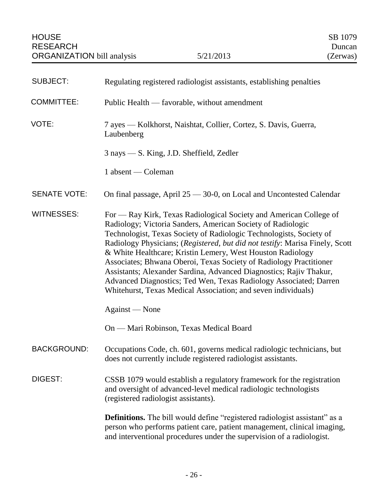<span id="page-27-0"></span>

| <b>SUBJECT:</b>     | Regulating registered radiologist assistants, establishing penalties                                                                                                                                                                                                                                                                                                                                                                                                                                                                                                                                                                                       |
|---------------------|------------------------------------------------------------------------------------------------------------------------------------------------------------------------------------------------------------------------------------------------------------------------------------------------------------------------------------------------------------------------------------------------------------------------------------------------------------------------------------------------------------------------------------------------------------------------------------------------------------------------------------------------------------|
| <b>COMMITTEE:</b>   | Public Health — favorable, without amendment                                                                                                                                                                                                                                                                                                                                                                                                                                                                                                                                                                                                               |
| VOTE:               | 7 ayes — Kolkhorst, Naishtat, Collier, Cortez, S. Davis, Guerra,<br>Laubenberg                                                                                                                                                                                                                                                                                                                                                                                                                                                                                                                                                                             |
|                     | 3 nays — S. King, J.D. Sheffield, Zedler                                                                                                                                                                                                                                                                                                                                                                                                                                                                                                                                                                                                                   |
|                     | 1 absent — Coleman                                                                                                                                                                                                                                                                                                                                                                                                                                                                                                                                                                                                                                         |
| <b>SENATE VOTE:</b> | On final passage, April 25 - 30-0, on Local and Uncontested Calendar                                                                                                                                                                                                                                                                                                                                                                                                                                                                                                                                                                                       |
| <b>WITNESSES:</b>   | For — Ray Kirk, Texas Radiological Society and American College of<br>Radiology; Victoria Sanders, American Society of Radiologic<br>Technologist, Texas Society of Radiologic Technologists, Society of<br>Radiology Physicians; (Registered, but did not testify: Marisa Finely, Scott<br>& White Healthcare; Kristin Lemery, West Houston Radiology<br>Associates; Bhwana Oberoi, Texas Society of Radiology Practitioner<br>Assistants; Alexander Sardina, Advanced Diagnostics; Rajiv Thakur,<br>Advanced Diagnostics; Ted Wen, Texas Radiology Associated; Darren<br>Whitehurst, Texas Medical Association; and seven individuals)<br>Against — None |
|                     | On — Mari Robinson, Texas Medical Board                                                                                                                                                                                                                                                                                                                                                                                                                                                                                                                                                                                                                    |
| <b>BACKGROUND:</b>  | Occupations Code, ch. 601, governs medical radiologic technicians, but<br>does not currently include registered radiologist assistants.                                                                                                                                                                                                                                                                                                                                                                                                                                                                                                                    |
| DIGEST:             | CSSB 1079 would establish a regulatory framework for the registration<br>and oversight of advanced-level medical radiologic technologists<br>(registered radiologist assistants).                                                                                                                                                                                                                                                                                                                                                                                                                                                                          |
|                     | <b>Definitions.</b> The bill would define "registered radiologist assistant" as a<br>person who performs patient care, patient management, clinical imaging,<br>and interventional procedures under the supervision of a radiologist.                                                                                                                                                                                                                                                                                                                                                                                                                      |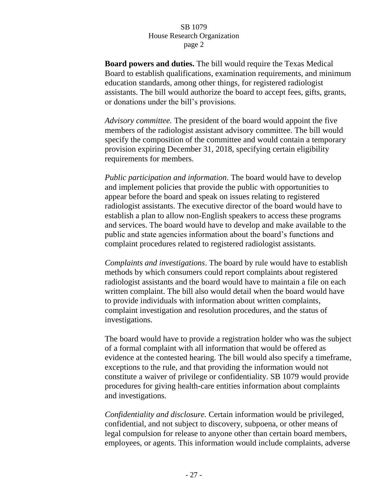**Board powers and duties.** The bill would require the Texas Medical Board to establish qualifications, examination requirements, and minimum education standards, among other things, for registered radiologist assistants. The bill would authorize the board to accept fees, gifts, grants, or donations under the bill's provisions.

*Advisory committee.* The president of the board would appoint the five members of the radiologist assistant advisory committee. The bill would specify the composition of the committee and would contain a temporary provision expiring December 31, 2018, specifying certain eligibility requirements for members.

*Public participation and information*. The board would have to develop and implement policies that provide the public with opportunities to appear before the board and speak on issues relating to registered radiologist assistants. The executive director of the board would have to establish a plan to allow non-English speakers to access these programs and services. The board would have to develop and make available to the public and state agencies information about the board's functions and complaint procedures related to registered radiologist assistants.

*Complaints and investigations*. The board by rule would have to establish methods by which consumers could report complaints about registered radiologist assistants and the board would have to maintain a file on each written complaint. The bill also would detail when the board would have to provide individuals with information about written complaints, complaint investigation and resolution procedures, and the status of investigations.

The board would have to provide a registration holder who was the subject of a formal complaint with all information that would be offered as evidence at the contested hearing. The bill would also specify a timeframe, exceptions to the rule, and that providing the information would not constitute a waiver of privilege or confidentiality. SB 1079 would provide procedures for giving health-care entities information about complaints and investigations.

*Confidentiality and disclosure.* Certain information would be privileged, confidential, and not subject to discovery, subpoena, or other means of legal compulsion for release to anyone other than certain board members, employees, or agents. This information would include complaints, adverse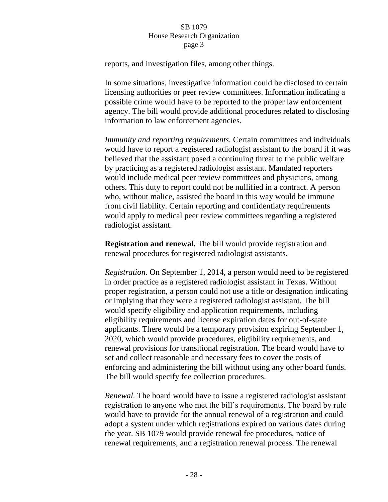reports, and investigation files, among other things.

In some situations, investigative information could be disclosed to certain licensing authorities or peer review committees. Information indicating a possible crime would have to be reported to the proper law enforcement agency. The bill would provide additional procedures related to disclosing information to law enforcement agencies.

*Immunity and reporting requirements.* Certain committees and individuals would have to report a registered radiologist assistant to the board if it was believed that the assistant posed a continuing threat to the public welfare by practicing as a registered radiologist assistant. Mandated reporters would include medical peer review committees and physicians, among others. This duty to report could not be nullified in a contract. A person who, without malice, assisted the board in this way would be immune from civil liability. Certain reporting and confidentiaty requirements would apply to medical peer review committees regarding a registered radiologist assistant.

**Registration and renewal.** The bill would provide registration and renewal procedures for registered radiologist assistants.

*Registration.* On September 1, 2014, a person would need to be registered in order practice as a registered radiologist assistant in Texas. Without proper registration, a person could not use a title or designation indicating or implying that they were a registered radiologist assistant. The bill would specify eligibility and application requirements, including eligibility requirements and license expiration dates for out-of-state applicants. There would be a temporary provision expiring September 1, 2020, which would provide procedures, eligibility requirements, and renewal provisions for transitional registration. The board would have to set and collect reasonable and necessary fees to cover the costs of enforcing and administering the bill without using any other board funds. The bill would specify fee collection procedures.

*Renewal.* The board would have to issue a registered radiologist assistant registration to anyone who met the bill's requirements. The board by rule would have to provide for the annual renewal of a registration and could adopt a system under which registrations expired on various dates during the year. SB 1079 would provide renewal fee procedures, notice of renewal requirements, and a registration renewal process. The renewal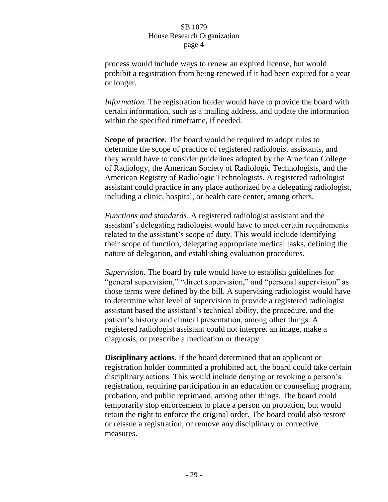process would include ways to renew an expired license, but would prohibit a registration from being renewed if it had been expired for a year or longer.

*Information.* The registration holder would have to provide the board with certain information, such as a mailing address, and update the information within the specified timeframe, if needed.

**Scope of practice.** The board would be required to adopt rules to determine the scope of practice of registered radiologist assistants, and they would have to consider guidelines adopted by the American College of Radiology, the American Society of Radiologic Technologists, and the American Registry of Radiologic Technologists. A registered radiologist assistant could practice in any place authorized by a delegating radiologist, including a clinic, hospital, or health care center, among others.

*Functions and standards*. A registered radiologist assistant and the assistant's delegating radiologist would have to meet certain requirements related to the assistant's scope of duty. This would include identifying their scope of function, delegating appropriate medical tasks, defining the nature of delegation, and establishing evaluation procedures.

*Supervision.* The board by rule would have to establish guidelines for "general supervision," "direct supervision," and "personal supervision" as those terms were defined by the bill. A supervising radiologist would have to determine what level of supervision to provide a registered radiologist assistant based the assistant's technical ability, the procedure, and the patient's history and clinical presentation, among other things. A registered radiologist assistant could not interpret an image, make a diagnosis, or prescribe a medication or therapy.

**Disciplinary actions.** If the board determined that an applicant or registration holder committed a prohibited act, the board could take certain disciplinary actions. This would include denying or revoking a person's registration, requiring participation in an education or counseling program, probation, and public reprimand, among other things. The board could temporarily stop enforcement to place a person on probation, but would retain the right to enforce the original order. The board could also restore or reissue a registration, or remove any disciplinary or corrective measures.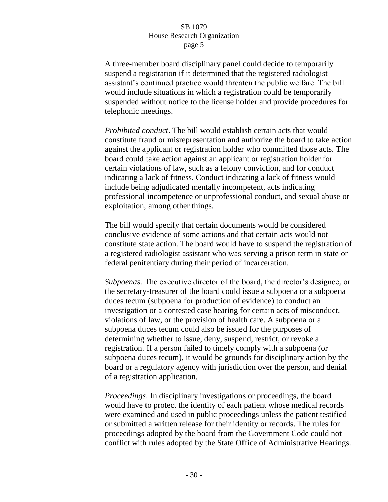A three-member board disciplinary panel could decide to temporarily suspend a registration if it determined that the registered radiologist assistant's continued practice would threaten the public welfare. The bill would include situations in which a registration could be temporarily suspended without notice to the license holder and provide procedures for telephonic meetings.

*Prohibited conduct*. The bill would establish certain acts that would constitute fraud or misrepresentation and authorize the board to take action against the applicant or registration holder who committed those acts. The board could take action against an applicant or registration holder for certain violations of law, such as a felony conviction, and for conduct indicating a lack of fitness. Conduct indicating a lack of fitness would include being adjudicated mentally incompetent, acts indicating professional incompetence or unprofessional conduct, and sexual abuse or exploitation, among other things.

The bill would specify that certain documents would be considered conclusive evidence of some actions and that certain acts would not constitute state action. The board would have to suspend the registration of a registered radiologist assistant who was serving a prison term in state or federal penitentiary during their period of incarceration.

*Subpoenas.* The executive director of the board, the director's designee, or the secretary-treasurer of the board could issue a subpoena or a subpoena duces tecum (subpoena for production of evidence) to conduct an investigation or a contested case hearing for certain acts of misconduct, violations of law, or the provision of health care. A subpoena or a subpoena duces tecum could also be issued for the purposes of determining whether to issue, deny, suspend, restrict, or revoke a registration. If a person failed to timely comply with a subpoena (or subpoena duces tecum), it would be grounds for disciplinary action by the board or a regulatory agency with jurisdiction over the person, and denial of a registration application.

*Proceedings.* In disciplinary investigations or proceedings, the board would have to protect the identity of each patient whose medical records were examined and used in public proceedings unless the patient testified or submitted a written release for their identity or records. The rules for proceedings adopted by the board from the Government Code could not conflict with rules adopted by the State Office of Administrative Hearings.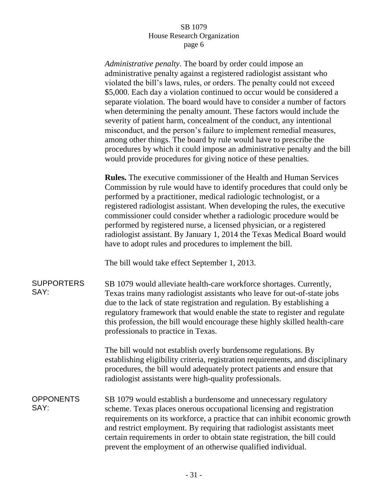*Administrative penalty*. The board by order could impose an administrative penalty against a registered radiologist assistant who violated the bill's laws, rules, or orders. The penalty could not exceed \$5,000. Each day a violation continued to occur would be considered a separate violation. The board would have to consider a number of factors when determining the penalty amount. These factors would include the severity of patient harm, concealment of the conduct, any intentional misconduct, and the person's failure to implement remedial measures, among other things. The board by rule would have to prescribe the procedures by which it could impose an administrative penalty and the bill would provide procedures for giving notice of these penalties.

**Rules.** The executive commissioner of the Health and Human Services Commission by rule would have to identify procedures that could only be performed by a practitioner, medical radiologic technologist, or a registered radiologist assistant. When developing the rules, the executive commissioner could consider whether a radiologic procedure would be performed by registered nurse, a licensed physician, or a registered radiologist assistant. By January 1, 2014 the Texas Medical Board would have to adopt rules and procedures to implement the bill.

The bill would take effect September 1, 2013.

SUPPORTERS SAY: SB 1079 would alleviate health-care workforce shortages. Currently, Texas trains many radiologist assistants who leave for out-of-state jobs due to the lack of state registration and regulation. By establishing a regulatory framework that would enable the state to register and regulate this profession, the bill would encourage these highly skilled health-care professionals to practice in Texas.

> The bill would not establish overly burdensome regulations. By establishing eligibility criteria, registration requirements, and disciplinary procedures, the bill would adequately protect patients and ensure that radiologist assistants were high-quality professionals.

**OPPONENTS** SAY:

SB 1079 would establish a burdensome and unnecessary regulatory scheme. Texas places onerous occupational licensing and registration requirements on its workforce, a practice that can inhibit economic growth and restrict employment. By requiring that radiologist assistants meet certain requirements in order to obtain state registration, the bill could prevent the employment of an otherwise qualified individual.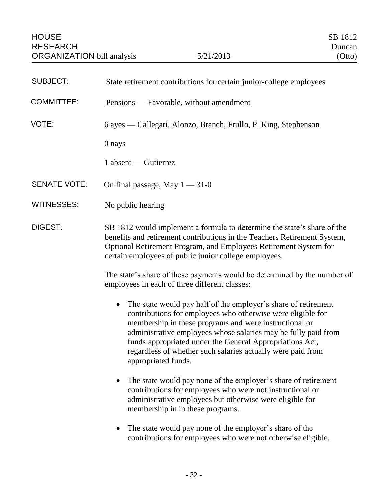<span id="page-33-0"></span>

| <b>SUBJECT:</b>     | State retirement contributions for certain junior-college employees                                                                                                                                                                                                                                                                                                                                                                                                                                                                                                                                                                                                                                                   |
|---------------------|-----------------------------------------------------------------------------------------------------------------------------------------------------------------------------------------------------------------------------------------------------------------------------------------------------------------------------------------------------------------------------------------------------------------------------------------------------------------------------------------------------------------------------------------------------------------------------------------------------------------------------------------------------------------------------------------------------------------------|
| <b>COMMITTEE:</b>   | Pensions — Favorable, without amendment                                                                                                                                                                                                                                                                                                                                                                                                                                                                                                                                                                                                                                                                               |
| VOTE:               | 6 ayes — Callegari, Alonzo, Branch, Frullo, P. King, Stephenson                                                                                                                                                                                                                                                                                                                                                                                                                                                                                                                                                                                                                                                       |
|                     | 0 nays                                                                                                                                                                                                                                                                                                                                                                                                                                                                                                                                                                                                                                                                                                                |
|                     | 1 absent — Gutierrez                                                                                                                                                                                                                                                                                                                                                                                                                                                                                                                                                                                                                                                                                                  |
| <b>SENATE VOTE:</b> | On final passage, May $1 - 31 - 0$                                                                                                                                                                                                                                                                                                                                                                                                                                                                                                                                                                                                                                                                                    |
| <b>WITNESSES:</b>   | No public hearing                                                                                                                                                                                                                                                                                                                                                                                                                                                                                                                                                                                                                                                                                                     |
| <b>DIGEST:</b>      | SB 1812 would implement a formula to determine the state's share of the<br>benefits and retirement contributions in the Teachers Retirement System,<br>Optional Retirement Program, and Employees Retirement System for<br>certain employees of public junior college employees.<br>The state's share of these payments would be determined by the number of                                                                                                                                                                                                                                                                                                                                                          |
|                     | employees in each of three different classes:<br>The state would pay half of the employer's share of retirement<br>$\bullet$<br>contributions for employees who otherwise were eligible for<br>membership in these programs and were instructional or<br>administrative employees whose salaries may be fully paid from<br>funds appropriated under the General Appropriations Act,<br>regardless of whether such salaries actually were paid from<br>appropriated funds.<br>The state would pay none of the employer's share of retirement<br>$\bullet$<br>contributions for employees who were not instructional or<br>administrative employees but otherwise were eligible for<br>membership in in these programs. |

 The state would pay none of the employer's share of the contributions for employees who were not otherwise eligible.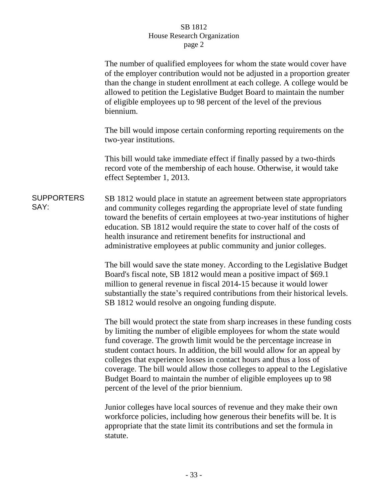|                           | The number of qualified employees for whom the state would cover have<br>of the employer contribution would not be adjusted in a proportion greater<br>than the change in student enrollment at each college. A college would be<br>allowed to petition the Legislative Budget Board to maintain the number<br>of eligible employees up to 98 percent of the level of the previous<br>biennium.                                                                                                                                                                                     |
|---------------------------|-------------------------------------------------------------------------------------------------------------------------------------------------------------------------------------------------------------------------------------------------------------------------------------------------------------------------------------------------------------------------------------------------------------------------------------------------------------------------------------------------------------------------------------------------------------------------------------|
|                           | The bill would impose certain conforming reporting requirements on the<br>two-year institutions.                                                                                                                                                                                                                                                                                                                                                                                                                                                                                    |
|                           | This bill would take immediate effect if finally passed by a two-thirds<br>record vote of the membership of each house. Otherwise, it would take<br>effect September 1, 2013.                                                                                                                                                                                                                                                                                                                                                                                                       |
| <b>SUPPORTERS</b><br>SAY: | SB 1812 would place in statute an agreement between state appropriators<br>and community colleges regarding the appropriate level of state funding<br>toward the benefits of certain employees at two-year institutions of higher<br>education. SB 1812 would require the state to cover half of the costs of<br>health insurance and retirement benefits for instructional and<br>administrative employees at public community and junior colleges.                                                                                                                                |
|                           | The bill would save the state money. According to the Legislative Budget<br>Board's fiscal note, SB 1812 would mean a positive impact of \$69.1<br>million to general revenue in fiscal 2014-15 because it would lower<br>substantially the state's required contributions from their historical levels.<br>SB 1812 would resolve an ongoing funding dispute.                                                                                                                                                                                                                       |
|                           | The bill would protect the state from sharp increases in these funding costs<br>by limiting the number of eligible employees for whom the state would<br>fund coverage. The growth limit would be the percentage increase in<br>student contact hours. In addition, the bill would allow for an appeal by<br>colleges that experience losses in contact hours and thus a loss of<br>coverage. The bill would allow those colleges to appeal to the Legislative<br>Budget Board to maintain the number of eligible employees up to 98<br>percent of the level of the prior biennium. |
|                           | Innior colleges have local sources of revenue and they make their own                                                                                                                                                                                                                                                                                                                                                                                                                                                                                                               |

Junior colleges have local sources of revenue and they make their own workforce policies, including how generous their benefits will be. It is appropriate that the state limit its contributions and set the formula in statute.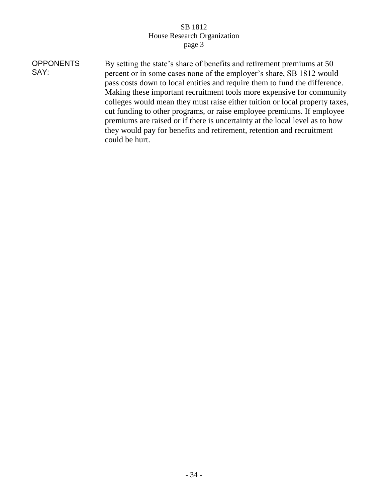| <b>OPPONENTS</b><br>SAY: | By setting the state's share of benefits and retirement premiums at 50<br>percent or in some cases none of the employer's share, SB 1812 would<br>pass costs down to local entities and require them to fund the difference.<br>Making these important recruitment tools more expensive for community<br>colleges would mean they must raise either tuition or local property taxes,<br>cut funding to other programs, or raise employee premiums. If employee<br>premiums are raised or if there is uncertainty at the local level as to how |
|--------------------------|-----------------------------------------------------------------------------------------------------------------------------------------------------------------------------------------------------------------------------------------------------------------------------------------------------------------------------------------------------------------------------------------------------------------------------------------------------------------------------------------------------------------------------------------------|
|                          | they would pay for benefits and retirement, retention and recruitment<br>could be hurt.                                                                                                                                                                                                                                                                                                                                                                                                                                                       |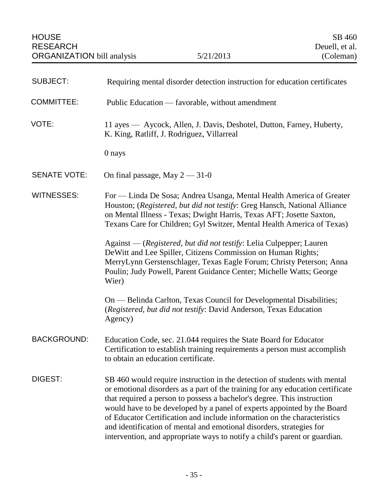| <b>SUBJECT:</b>     | Requiring mental disorder detection instruction for education certificates                                                                                                                                                                                                                                                                                                                                                                                                                                                                          |
|---------------------|-----------------------------------------------------------------------------------------------------------------------------------------------------------------------------------------------------------------------------------------------------------------------------------------------------------------------------------------------------------------------------------------------------------------------------------------------------------------------------------------------------------------------------------------------------|
| <b>COMMITTEE:</b>   | Public Education — favorable, without amendment                                                                                                                                                                                                                                                                                                                                                                                                                                                                                                     |
| VOTE:               | 11 ayes — Aycock, Allen, J. Davis, Deshotel, Dutton, Farney, Huberty,<br>K. King, Ratliff, J. Rodriguez, Villarreal                                                                                                                                                                                                                                                                                                                                                                                                                                 |
|                     | 0 nays                                                                                                                                                                                                                                                                                                                                                                                                                                                                                                                                              |
| <b>SENATE VOTE:</b> | On final passage, May $2 - 31 - 0$                                                                                                                                                                                                                                                                                                                                                                                                                                                                                                                  |
| <b>WITNESSES:</b>   | For — Linda De Sosa; Andrea Usanga, Mental Health America of Greater<br>Houston; (Registered, but did not testify: Greg Hansch, National Alliance<br>on Mental Illness - Texas; Dwight Harris, Texas AFT; Josette Saxton,<br>Texans Care for Children; Gyl Switzer, Mental Health America of Texas)                                                                                                                                                                                                                                                 |
|                     | Against — (Registered, but did not testify: Lelia Culpepper; Lauren<br>DeWitt and Lee Spiller, Citizens Commission on Human Rights;<br>MerryLynn Gerstenschlager, Texas Eagle Forum; Christy Peterson; Anna<br>Poulin; Judy Powell, Parent Guidance Center; Michelle Watts; George<br>Wier)                                                                                                                                                                                                                                                         |
|                     | On — Belinda Carlton, Texas Council for Developmental Disabilities;<br>(Registered, but did not testify: David Anderson, Texas Education<br>Agency)                                                                                                                                                                                                                                                                                                                                                                                                 |
| <b>BACKGROUND:</b>  | Education Code, sec. 21.044 requires the State Board for Educator<br>Certification to establish training requirements a person must accomplish<br>to obtain an education certificate.                                                                                                                                                                                                                                                                                                                                                               |
| DIGEST:             | SB 460 would require instruction in the detection of students with mental<br>or emotional disorders as a part of the training for any education certificate<br>that required a person to possess a bachelor's degree. This instruction<br>would have to be developed by a panel of experts appointed by the Board<br>of Educator Certification and include information on the characteristics<br>and identification of mental and emotional disorders, strategies for<br>intervention, and appropriate ways to notify a child's parent or guardian. |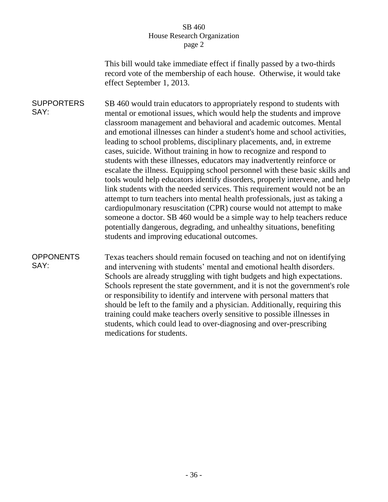This bill would take immediate effect if finally passed by a two-thirds record vote of the membership of each house. Otherwise, it would take effect September 1, 2013.

**SUPPORTERS** SAY: SB 460 would train educators to appropriately respond to students with mental or emotional issues, which would help the students and improve classroom management and behavioral and academic outcomes. Mental and emotional illnesses can hinder a student's home and school activities, leading to school problems, disciplinary placements, and, in extreme cases, suicide. Without training in how to recognize and respond to students with these illnesses, educators may inadvertently reinforce or escalate the illness. Equipping school personnel with these basic skills and tools would help educators identify disorders, properly intervene, and help link students with the needed services. This requirement would not be an attempt to turn teachers into mental health professionals, just as taking a cardiopulmonary resuscitation (CPR) course would not attempt to make someone a doctor. SB 460 would be a simple way to help teachers reduce potentially dangerous, degrading, and unhealthy situations, benefiting students and improving educational outcomes.

## **OPPONENTS** SAY:

Texas teachers should remain focused on teaching and not on identifying and intervening with students' mental and emotional health disorders. Schools are already struggling with tight budgets and high expectations. Schools represent the state government, and it is not the government's role or responsibility to identify and intervene with personal matters that should be left to the family and a physician. Additionally, requiring this training could make teachers overly sensitive to possible illnesses in students, which could lead to over-diagnosing and over-prescribing medications for students.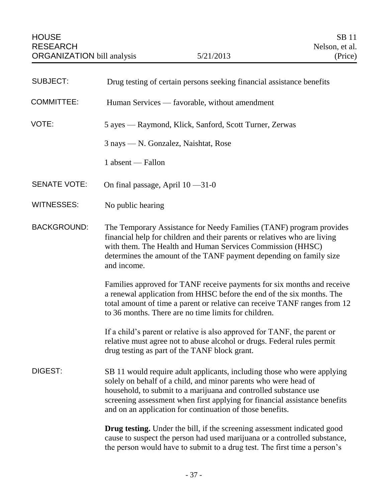| <b>SUBJECT:</b>     | Drug testing of certain persons seeking financial assistance benefits                                                                                                                                                                                                                                                                                     |
|---------------------|-----------------------------------------------------------------------------------------------------------------------------------------------------------------------------------------------------------------------------------------------------------------------------------------------------------------------------------------------------------|
| <b>COMMITTEE:</b>   | Human Services — favorable, without amendment                                                                                                                                                                                                                                                                                                             |
| VOTE:               | 5 ayes — Raymond, Klick, Sanford, Scott Turner, Zerwas                                                                                                                                                                                                                                                                                                    |
|                     | 3 nays — N. Gonzalez, Naishtat, Rose                                                                                                                                                                                                                                                                                                                      |
|                     | 1 absent — Fallon                                                                                                                                                                                                                                                                                                                                         |
| <b>SENATE VOTE:</b> | On final passage, April $10 - 31 - 0$                                                                                                                                                                                                                                                                                                                     |
| <b>WITNESSES:</b>   | No public hearing                                                                                                                                                                                                                                                                                                                                         |
| <b>BACKGROUND:</b>  | The Temporary Assistance for Needy Families (TANF) program provides<br>financial help for children and their parents or relatives who are living<br>with them. The Health and Human Services Commission (HHSC)<br>determines the amount of the TANF payment depending on family size<br>and income.                                                       |
|                     | Families approved for TANF receive payments for six months and receive<br>a renewal application from HHSC before the end of the six months. The<br>total amount of time a parent or relative can receive TANF ranges from 12<br>to 36 months. There are no time limits for children.                                                                      |
|                     | If a child's parent or relative is also approved for TANF, the parent or<br>relative must agree not to abuse alcohol or drugs. Federal rules permit<br>drug testing as part of the TANF block grant.                                                                                                                                                      |
| DIGEST:             | SB 11 would require adult applicants, including those who were applying<br>solely on behalf of a child, and minor parents who were head of<br>household, to submit to a marijuana and controlled substance use<br>screening assessment when first applying for financial assistance benefits<br>and on an application for continuation of those benefits. |
|                     | <b>Drug testing.</b> Under the bill, if the screening assessment indicated good<br>cause to suspect the person had used marijuana or a controlled substance,<br>the person would have to submit to a drug test. The first time a person's                                                                                                                 |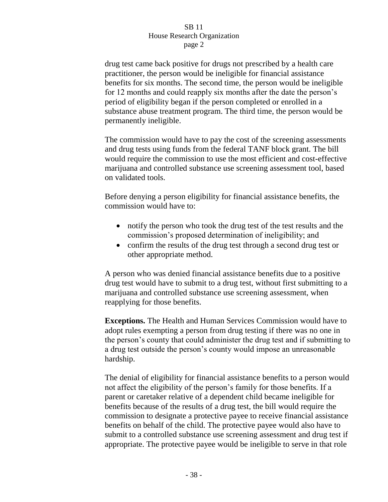drug test came back positive for drugs not prescribed by a health care practitioner, the person would be ineligible for financial assistance benefits for six months. The second time, the person would be ineligible for 12 months and could reapply six months after the date the person's period of eligibility began if the person completed or enrolled in a substance abuse treatment program. The third time, the person would be permanently ineligible.

The commission would have to pay the cost of the screening assessments and drug tests using funds from the federal TANF block grant. The bill would require the commission to use the most efficient and cost-effective marijuana and controlled substance use screening assessment tool, based on validated tools.

Before denying a person eligibility for financial assistance benefits, the commission would have to:

- notify the person who took the drug test of the test results and the commission's proposed determination of ineligibility; and
- confirm the results of the drug test through a second drug test or other appropriate method.

A person who was denied financial assistance benefits due to a positive drug test would have to submit to a drug test, without first submitting to a marijuana and controlled substance use screening assessment, when reapplying for those benefits.

**Exceptions.** The Health and Human Services Commission would have to adopt rules exempting a person from drug testing if there was no one in the person's county that could administer the drug test and if submitting to a drug test outside the person's county would impose an unreasonable hardship.

The denial of eligibility for financial assistance benefits to a person would not affect the eligibility of the person's family for those benefits. If a parent or caretaker relative of a dependent child became ineligible for benefits because of the results of a drug test, the bill would require the commission to designate a protective payee to receive financial assistance benefits on behalf of the child. The protective payee would also have to submit to a controlled substance use screening assessment and drug test if appropriate. The protective payee would be ineligible to serve in that role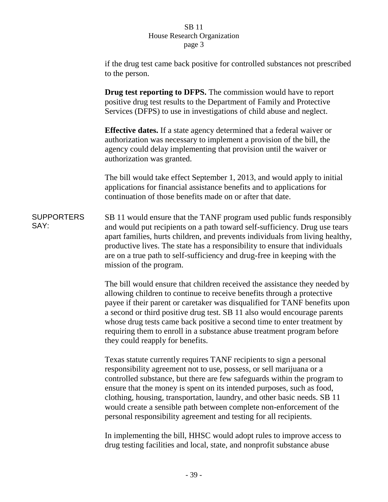if the drug test came back positive for controlled substances not prescribed to the person.

**Drug test reporting to DFPS.** The commission would have to report positive drug test results to the Department of Family and Protective Services (DFPS) to use in investigations of child abuse and neglect.

**Effective dates.** If a state agency determined that a federal waiver or authorization was necessary to implement a provision of the bill, the agency could delay implementing that provision until the waiver or authorization was granted.

The bill would take effect September 1, 2013, and would apply to initial applications for financial assistance benefits and to applications for continuation of those benefits made on or after that date.

**SUPPORTERS** SAY: SB 11 would ensure that the TANF program used public funds responsibly and would put recipients on a path toward self-sufficiency. Drug use tears apart families, hurts children, and prevents individuals from living healthy, productive lives. The state has a responsibility to ensure that individuals are on a true path to self-sufficiency and drug-free in keeping with the mission of the program.

> The bill would ensure that children received the assistance they needed by allowing children to continue to receive benefits through a protective payee if their parent or caretaker was disqualified for TANF benefits upon a second or third positive drug test. SB 11 also would encourage parents whose drug tests came back positive a second time to enter treatment by requiring them to enroll in a substance abuse treatment program before they could reapply for benefits.

Texas statute currently requires TANF recipients to sign a personal responsibility agreement not to use, possess, or sell marijuana or a controlled substance, but there are few safeguards within the program to ensure that the money is spent on its intended purposes, such as food, clothing, housing, transportation, laundry, and other basic needs. SB 11 would create a sensible path between complete non-enforcement of the personal responsibility agreement and testing for all recipients.

In implementing the bill, HHSC would adopt rules to improve access to drug testing facilities and local, state, and nonprofit substance abuse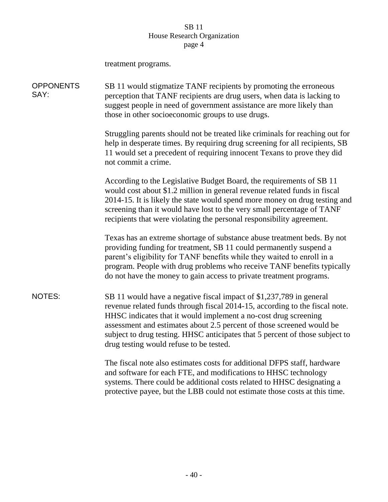|                          | treatment programs.                                                                                                                                                                                                                                                                                                                                                                                                       |
|--------------------------|---------------------------------------------------------------------------------------------------------------------------------------------------------------------------------------------------------------------------------------------------------------------------------------------------------------------------------------------------------------------------------------------------------------------------|
| <b>OPPONENTS</b><br>SAY: | SB 11 would stigmatize TANF recipients by promoting the erroneous<br>perception that TANF recipients are drug users, when data is lacking to<br>suggest people in need of government assistance are more likely than<br>those in other socioeconomic groups to use drugs.                                                                                                                                                 |
|                          | Struggling parents should not be treated like criminals for reaching out for<br>help in desperate times. By requiring drug screening for all recipients, SB<br>11 would set a precedent of requiring innocent Texans to prove they did<br>not commit a crime.                                                                                                                                                             |
|                          | According to the Legislative Budget Board, the requirements of SB 11<br>would cost about \$1.2 million in general revenue related funds in fiscal<br>2014-15. It is likely the state would spend more money on drug testing and<br>screening than it would have lost to the very small percentage of TANF<br>recipients that were violating the personal responsibility agreement.                                        |
|                          | Texas has an extreme shortage of substance abuse treatment beds. By not<br>providing funding for treatment, SB 11 could permanently suspend a<br>parent's eligibility for TANF benefits while they waited to enroll in a<br>program. People with drug problems who receive TANF benefits typically<br>do not have the money to gain access to private treatment programs.                                                 |
| <b>NOTES:</b>            | SB 11 would have a negative fiscal impact of \$1,237,789 in general<br>revenue related funds through fiscal 2014-15, according to the fiscal note.<br>HHSC indicates that it would implement a no-cost drug screening<br>assessment and estimates about 2.5 percent of those screened would be<br>subject to drug testing. HHSC anticipates that 5 percent of those subject to<br>drug testing would refuse to be tested. |
|                          | The fiscal note also estimates costs for additional DFPS staff, hardware<br>and software for each FTE, and modifications to HHSC technology<br>systems. There could be additional costs related to HHSC designating a                                                                                                                                                                                                     |

protective payee, but the LBB could not estimate those costs at this time.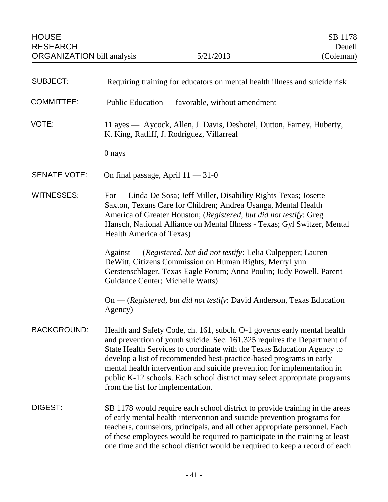| <b>SUBJECT:</b>     | Requiring training for educators on mental health illness and suicide risk                                                                                                                                                                                                                                                                                                                                                                                                                        |
|---------------------|---------------------------------------------------------------------------------------------------------------------------------------------------------------------------------------------------------------------------------------------------------------------------------------------------------------------------------------------------------------------------------------------------------------------------------------------------------------------------------------------------|
| <b>COMMITTEE:</b>   | Public Education — favorable, without amendment                                                                                                                                                                                                                                                                                                                                                                                                                                                   |
| VOTE:               | 11 ayes — Aycock, Allen, J. Davis, Deshotel, Dutton, Farney, Huberty,<br>K. King, Ratliff, J. Rodriguez, Villarreal                                                                                                                                                                                                                                                                                                                                                                               |
|                     | 0 nays                                                                                                                                                                                                                                                                                                                                                                                                                                                                                            |
| <b>SENATE VOTE:</b> | On final passage, April $11 - 31 - 0$                                                                                                                                                                                                                                                                                                                                                                                                                                                             |
| <b>WITNESSES:</b>   | For — Linda De Sosa; Jeff Miller, Disability Rights Texas; Josette<br>Saxton, Texans Care for Children; Andrea Usanga, Mental Health<br>America of Greater Houston; (Registered, but did not testify: Greg<br>Hansch, National Alliance on Mental Illness - Texas; Gyl Switzer, Mental<br>Health America of Texas)                                                                                                                                                                                |
|                     | Against - (Registered, but did not testify: Lelia Culpepper; Lauren<br>DeWitt, Citizens Commission on Human Rights; MerryLynn<br>Gerstenschlager, Texas Eagle Forum; Anna Poulin; Judy Powell, Parent<br>Guidance Center; Michelle Watts)                                                                                                                                                                                                                                                         |
|                     | On — (Registered, but did not testify: David Anderson, Texas Education<br>Agency)                                                                                                                                                                                                                                                                                                                                                                                                                 |
| <b>BACKGROUND:</b>  | Health and Safety Code, ch. 161, subch. O-1 governs early mental health<br>and prevention of youth suicide. Sec. 161.325 requires the Department of<br>State Health Services to coordinate with the Texas Education Agency to<br>develop a list of recommended best-practice-based programs in early<br>mental health intervention and suicide prevention for implementation in<br>public K-12 schools. Each school district may select appropriate programs<br>from the list for implementation. |
| DIGEST:             | SB 1178 would require each school district to provide training in the areas<br>of early mental health intervention and suicide prevention programs for<br>teachers, counselors, principals, and all other appropriate personnel. Each<br>of these employees would be required to participate in the training at least<br>one time and the school district would be required to keep a record of each                                                                                              |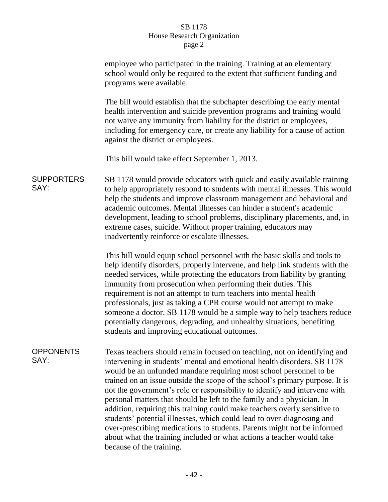|                           | employee who participated in the training. Training at an elementary<br>school would only be required to the extent that sufficient funding and<br>programs were available.                                                                                                                                                                                                                                                                                                                                                                                                                                                                                                                                                                                                                              |
|---------------------------|----------------------------------------------------------------------------------------------------------------------------------------------------------------------------------------------------------------------------------------------------------------------------------------------------------------------------------------------------------------------------------------------------------------------------------------------------------------------------------------------------------------------------------------------------------------------------------------------------------------------------------------------------------------------------------------------------------------------------------------------------------------------------------------------------------|
|                           | The bill would establish that the subchapter describing the early mental<br>health intervention and suicide prevention programs and training would<br>not waive any immunity from liability for the district or employees,<br>including for emergency care, or create any liability for a cause of action<br>against the district or employees.                                                                                                                                                                                                                                                                                                                                                                                                                                                          |
|                           | This bill would take effect September 1, 2013.                                                                                                                                                                                                                                                                                                                                                                                                                                                                                                                                                                                                                                                                                                                                                           |
| <b>SUPPORTERS</b><br>SAY: | SB 1178 would provide educators with quick and easily available training<br>to help appropriately respond to students with mental illnesses. This would<br>help the students and improve classroom management and behavioral and<br>academic outcomes. Mental illnesses can hinder a student's academic<br>development, leading to school problems, disciplinary placements, and, in<br>extreme cases, suicide. Without proper training, educators may<br>inadvertently reinforce or escalate illnesses.                                                                                                                                                                                                                                                                                                 |
|                           | This bill would equip school personnel with the basic skills and tools to<br>help identify disorders, properly intervene, and help link students with the<br>needed services, while protecting the educators from liability by granting<br>immunity from prosecution when performing their duties. This<br>requirement is not an attempt to turn teachers into mental health<br>professionals, just as taking a CPR course would not attempt to make<br>someone a doctor. SB 1178 would be a simple way to help teachers reduce<br>potentially dangerous, degrading, and unhealthy situations, benefiting<br>students and improving educational outcomes.                                                                                                                                                |
| <b>OPPONENTS</b><br>SAY:  | Texas teachers should remain focused on teaching, not on identifying and<br>intervening in students' mental and emotional health disorders. SB 1178<br>would be an unfunded mandate requiring most school personnel to be<br>trained on an issue outside the scope of the school's primary purpose. It is<br>not the government's role or responsibility to identify and intervene with<br>personal matters that should be left to the family and a physician. In<br>addition, requiring this training could make teachers overly sensitive to<br>students' potential illnesses, which could lead to over-diagnosing and<br>over-prescribing medications to students. Parents might not be informed<br>about what the training included or what actions a teacher would take<br>because of the training. |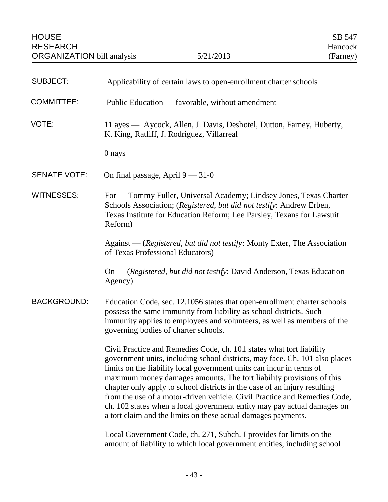| <b>SUBJECT:</b>     | Applicability of certain laws to open-enrollment charter schools                                                                                                                                                                                                                                                                                                                                                                                                                                                                                                                                          |
|---------------------|-----------------------------------------------------------------------------------------------------------------------------------------------------------------------------------------------------------------------------------------------------------------------------------------------------------------------------------------------------------------------------------------------------------------------------------------------------------------------------------------------------------------------------------------------------------------------------------------------------------|
| <b>COMMITTEE:</b>   | Public Education — favorable, without amendment                                                                                                                                                                                                                                                                                                                                                                                                                                                                                                                                                           |
| VOTE:               | 11 ayes — Aycock, Allen, J. Davis, Deshotel, Dutton, Farney, Huberty,<br>K. King, Ratliff, J. Rodriguez, Villarreal                                                                                                                                                                                                                                                                                                                                                                                                                                                                                       |
|                     | 0 nays                                                                                                                                                                                                                                                                                                                                                                                                                                                                                                                                                                                                    |
| <b>SENATE VOTE:</b> | On final passage, April $9 - 31 - 0$                                                                                                                                                                                                                                                                                                                                                                                                                                                                                                                                                                      |
| <b>WITNESSES:</b>   | For — Tommy Fuller, Universal Academy; Lindsey Jones, Texas Charter<br>Schools Association; (Registered, but did not testify: Andrew Erben,<br>Texas Institute for Education Reform; Lee Parsley, Texans for Lawsuit<br>Reform)                                                                                                                                                                                                                                                                                                                                                                           |
|                     | Against — (Registered, but did not testify: Monty Exter, The Association<br>of Texas Professional Educators)                                                                                                                                                                                                                                                                                                                                                                                                                                                                                              |
|                     | On — (Registered, but did not testify: David Anderson, Texas Education<br>Agency)                                                                                                                                                                                                                                                                                                                                                                                                                                                                                                                         |
| <b>BACKGROUND:</b>  | Education Code, sec. 12.1056 states that open-enrollment charter schools<br>possess the same immunity from liability as school districts. Such<br>immunity applies to employees and volunteers, as well as members of the<br>governing bodies of charter schools.                                                                                                                                                                                                                                                                                                                                         |
|                     | Civil Practice and Remedies Code, ch. 101 states what tort liability<br>government units, including school districts, may face. Ch. 101 also places<br>limits on the liability local government units can incur in terms of<br>maximum money damages amounts. The tort liability provisions of this<br>chapter only apply to school districts in the case of an injury resulting<br>from the use of a motor-driven vehicle. Civil Practice and Remedies Code,<br>ch. 102 states when a local government entity may pay actual damages on<br>a tort claim and the limits on these actual damages payments. |
|                     | Local Government Code, ch. 271, Subch. I provides for limits on the<br>amount of liability to which local government entities, including school                                                                                                                                                                                                                                                                                                                                                                                                                                                           |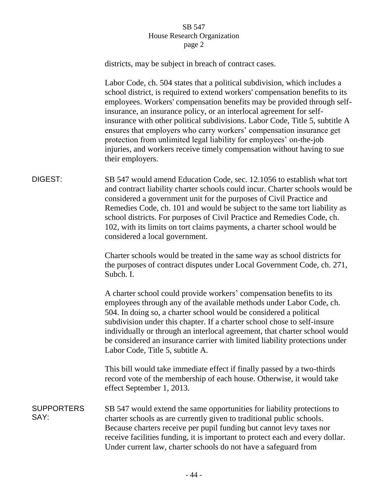|                           | districts, may be subject in breach of contract cases.                                                                                                                                                                                                                                                                                                                                                                                                                                                                                                                                                                                     |
|---------------------------|--------------------------------------------------------------------------------------------------------------------------------------------------------------------------------------------------------------------------------------------------------------------------------------------------------------------------------------------------------------------------------------------------------------------------------------------------------------------------------------------------------------------------------------------------------------------------------------------------------------------------------------------|
|                           | Labor Code, ch. 504 states that a political subdivision, which includes a<br>school district, is required to extend workers' compensation benefits to its<br>employees. Workers' compensation benefits may be provided through self-<br>insurance, an insurance policy, or an interlocal agreement for self-<br>insurance with other political subdivisions. Labor Code, Title 5, subtitle A<br>ensures that employers who carry workers' compensation insurance get<br>protection from unlimited legal liability for employees' on-the-job<br>injuries, and workers receive timely compensation without having to sue<br>their employers. |
| DIGEST:                   | SB 547 would amend Education Code, sec. 12.1056 to establish what tort<br>and contract liability charter schools could incur. Charter schools would be<br>considered a government unit for the purposes of Civil Practice and<br>Remedies Code, ch. 101 and would be subject to the same tort liability as<br>school districts. For purposes of Civil Practice and Remedies Code, ch.<br>102, with its limits on tort claims payments, a charter school would be<br>considered a local government.                                                                                                                                         |
|                           | Charter schools would be treated in the same way as school districts for<br>the purposes of contract disputes under Local Government Code, ch. 271,<br>Subch. I.                                                                                                                                                                                                                                                                                                                                                                                                                                                                           |
|                           | A charter school could provide workers' compensation benefits to its<br>employees through any of the available methods under Labor Code, ch.<br>504. In doing so, a charter school would be considered a political<br>subdivision under this chapter. If a charter school chose to self-insure<br>individually or through an interlocal agreement, that charter school would<br>be considered an insurance carrier with limited liability protections under<br>Labor Code, Title 5, subtitle A.                                                                                                                                            |
|                           | This bill would take immediate effect if finally passed by a two-thirds<br>record vote of the membership of each house. Otherwise, it would take<br>effect September 1, 2013.                                                                                                                                                                                                                                                                                                                                                                                                                                                              |
| <b>SUPPORTERS</b><br>SAY: | SB 547 would extend the same opportunities for liability protections to<br>charter schools as are currently given to traditional public schools.<br>Because charters receive per pupil funding but cannot levy taxes nor<br>receive facilities funding, it is important to protect each and every dollar.<br>Under current law, charter schools do not have a safeguard from                                                                                                                                                                                                                                                               |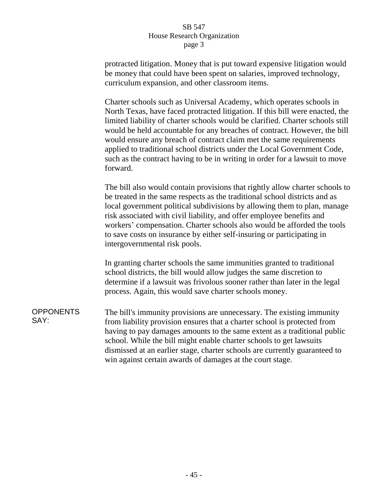protracted litigation. Money that is put toward expensive litigation would be money that could have been spent on salaries, improved technology, curriculum expansion, and other classroom items.

Charter schools such as Universal Academy, which operates schools in North Texas, have faced protracted litigation. If this bill were enacted, the limited liability of charter schools would be clarified. Charter schools still would be held accountable for any breaches of contract. However, the bill would ensure any breach of contract claim met the same requirements applied to traditional school districts under the Local Government Code, such as the contract having to be in writing in order for a lawsuit to move forward.

The bill also would contain provisions that rightly allow charter schools to be treated in the same respects as the traditional school districts and as local government political subdivisions by allowing them to plan, manage risk associated with civil liability, and offer employee benefits and workers' compensation. Charter schools also would be afforded the tools to save costs on insurance by either self-insuring or participating in intergovernmental risk pools.

In granting charter schools the same immunities granted to traditional school districts, the bill would allow judges the same discretion to determine if a lawsuit was frivolous sooner rather than later in the legal process. Again, this would save charter schools money.

**OPPONENTS** SAY: The bill's immunity provisions are unnecessary. The existing immunity from liability provision ensures that a charter school is protected from having to pay damages amounts to the same extent as a traditional public school. While the bill might enable charter schools to get lawsuits dismissed at an earlier stage, charter schools are currently guaranteed to win against certain awards of damages at the court stage.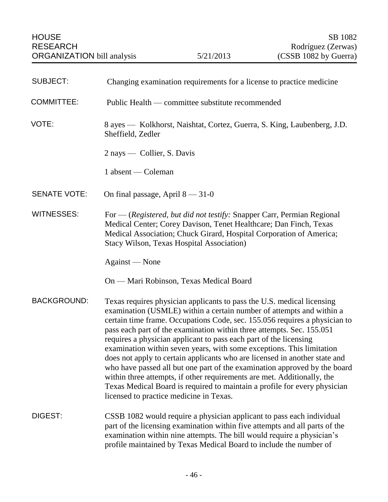| <b>SUBJECT:</b>     | Changing examination requirements for a license to practice medicine                                                                                                                                                                                                                                                                                                                                                                                                                                                                                                                                                                                                                                                                                                                                              |
|---------------------|-------------------------------------------------------------------------------------------------------------------------------------------------------------------------------------------------------------------------------------------------------------------------------------------------------------------------------------------------------------------------------------------------------------------------------------------------------------------------------------------------------------------------------------------------------------------------------------------------------------------------------------------------------------------------------------------------------------------------------------------------------------------------------------------------------------------|
| <b>COMMITTEE:</b>   | Public Health — committee substitute recommended                                                                                                                                                                                                                                                                                                                                                                                                                                                                                                                                                                                                                                                                                                                                                                  |
| VOTE:               | 8 ayes — Kolkhorst, Naishtat, Cortez, Guerra, S. King, Laubenberg, J.D.<br>Sheffield, Zedler                                                                                                                                                                                                                                                                                                                                                                                                                                                                                                                                                                                                                                                                                                                      |
|                     | 2 nays — Collier, S. Davis                                                                                                                                                                                                                                                                                                                                                                                                                                                                                                                                                                                                                                                                                                                                                                                        |
|                     | 1 absent — Coleman                                                                                                                                                                                                                                                                                                                                                                                                                                                                                                                                                                                                                                                                                                                                                                                                |
| <b>SENATE VOTE:</b> | On final passage, April $8 - 31 - 0$                                                                                                                                                                                                                                                                                                                                                                                                                                                                                                                                                                                                                                                                                                                                                                              |
| <b>WITNESSES:</b>   | For — (Registered, but did not testify: Snapper Carr, Permian Regional<br>Medical Center; Corey Davison, Tenet Healthcare; Dan Finch, Texas<br>Medical Association; Chuck Girard, Hospital Corporation of America;<br><b>Stacy Wilson, Texas Hospital Association)</b>                                                                                                                                                                                                                                                                                                                                                                                                                                                                                                                                            |
|                     | Against — None                                                                                                                                                                                                                                                                                                                                                                                                                                                                                                                                                                                                                                                                                                                                                                                                    |
|                     | On — Mari Robinson, Texas Medical Board                                                                                                                                                                                                                                                                                                                                                                                                                                                                                                                                                                                                                                                                                                                                                                           |
| <b>BACKGROUND:</b>  | Texas requires physician applicants to pass the U.S. medical licensing<br>examination (USMLE) within a certain number of attempts and within a<br>certain time frame. Occupations Code, sec. 155.056 requires a physician to<br>pass each part of the examination within three attempts. Sec. 155.051<br>requires a physician applicant to pass each part of the licensing<br>examination within seven years, with some exceptions. This limitation<br>does not apply to certain applicants who are licensed in another state and<br>who have passed all but one part of the examination approved by the board<br>within three attempts, if other requirements are met. Additionally, the<br>Texas Medical Board is required to maintain a profile for every physician<br>licensed to practice medicine in Texas. |
| DIGEST:             | CSSB 1082 would require a physician applicant to pass each individual<br>part of the licensing examination within five attempts and all parts of the<br>examination within nine attempts. The bill would require a physician's<br>profile maintained by Texas Medical Board to include the number of                                                                                                                                                                                                                                                                                                                                                                                                                                                                                                              |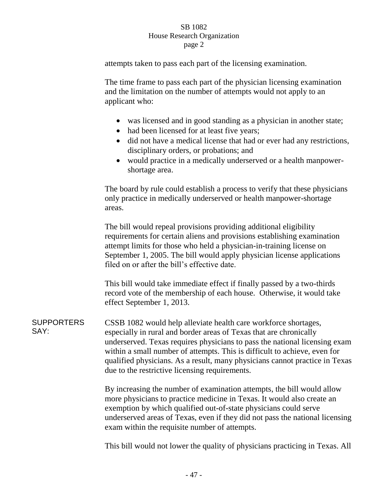attempts taken to pass each part of the licensing examination.

The time frame to pass each part of the physician licensing examination and the limitation on the number of attempts would not apply to an applicant who:

- was licensed and in good standing as a physician in another state;
- had been licensed for at least five years;
- did not have a medical license that had or ever had any restrictions, disciplinary orders, or probations; and
- would practice in a medically underserved or a health manpowershortage area.

The board by rule could establish a process to verify that these physicians only practice in medically underserved or health manpower-shortage areas.

The bill would repeal provisions providing additional eligibility requirements for certain aliens and provisions establishing examination attempt limits for those who held a physician-in-training license on September 1, 2005. The bill would apply physician license applications filed on or after the bill's effective date.

This bill would take immediate effect if finally passed by a two-thirds record vote of the membership of each house. Otherwise, it would take effect September 1, 2013.

**SUPPORTERS** SAY: CSSB 1082 would help alleviate health care workforce shortages, especially in rural and border areas of Texas that are chronically underserved. Texas requires physicians to pass the national licensing exam within a small number of attempts. This is difficult to achieve, even for qualified physicians. As a result, many physicians cannot practice in Texas due to the restrictive licensing requirements.

> By increasing the number of examination attempts, the bill would allow more physicians to practice medicine in Texas. It would also create an exemption by which qualified out-of-state physicians could serve underserved areas of Texas, even if they did not pass the national licensing exam within the requisite number of attempts.

> This bill would not lower the quality of physicians practicing in Texas. All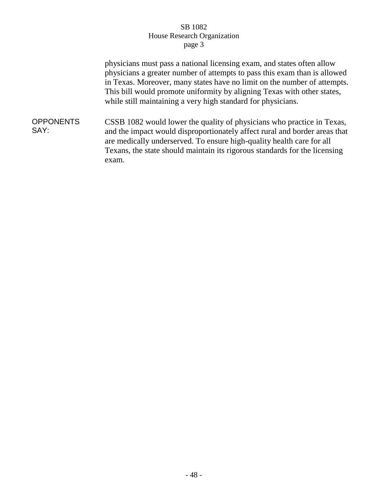physicians must pass a national licensing exam, and states often allow physicians a greater number of attempts to pass this exam than is allowed in Texas. Moreover, many states have no limit on the number of attempts. This bill would promote uniformity by aligning Texas with other states, while still maintaining a very high standard for physicians.

**OPPONENTS** SAY: CSSB 1082 would lower the quality of physicians who practice in Texas, and the impact would disproportionately affect rural and border areas that are medically underserved. To ensure high-quality health care for all Texans, the state should maintain its rigorous standards for the licensing exam.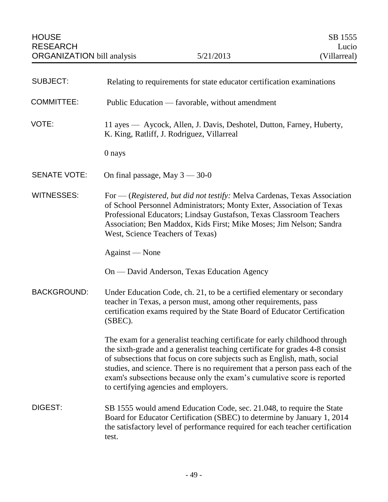| <b>SUBJECT:</b>     | Relating to requirements for state educator certification examinations                                                                                                                                                                                                                                                                                                                                                                     |
|---------------------|--------------------------------------------------------------------------------------------------------------------------------------------------------------------------------------------------------------------------------------------------------------------------------------------------------------------------------------------------------------------------------------------------------------------------------------------|
| <b>COMMITTEE:</b>   | Public Education — favorable, without amendment                                                                                                                                                                                                                                                                                                                                                                                            |
| VOTE:               | 11 ayes — Aycock, Allen, J. Davis, Deshotel, Dutton, Farney, Huberty,<br>K. King, Ratliff, J. Rodriguez, Villarreal                                                                                                                                                                                                                                                                                                                        |
|                     | 0 nays                                                                                                                                                                                                                                                                                                                                                                                                                                     |
| <b>SENATE VOTE:</b> | On final passage, May $3 - 30 - 0$                                                                                                                                                                                                                                                                                                                                                                                                         |
| <b>WITNESSES:</b>   | For — (Registered, but did not testify: Melva Cardenas, Texas Association<br>of School Personnel Administrators; Monty Exter, Association of Texas<br>Professional Educators; Lindsay Gustafson, Texas Classroom Teachers<br>Association; Ben Maddox, Kids First; Mike Moses; Jim Nelson; Sandra<br>West, Science Teachers of Texas)                                                                                                       |
|                     | Against — None                                                                                                                                                                                                                                                                                                                                                                                                                             |
|                     | On — David Anderson, Texas Education Agency                                                                                                                                                                                                                                                                                                                                                                                                |
| <b>BACKGROUND:</b>  | Under Education Code, ch. 21, to be a certified elementary or secondary<br>teacher in Texas, a person must, among other requirements, pass<br>certification exams required by the State Board of Educator Certification<br>(SBEC).                                                                                                                                                                                                         |
|                     | The exam for a generalist teaching certificate for early childhood through<br>the sixth-grade and a generalist teaching certificate for grades 4-8 consist<br>of subsections that focus on core subjects such as English, math, social<br>studies, and science. There is no requirement that a person pass each of the<br>exam's subsections because only the exam's cumulative score is reported<br>to certifying agencies and employers. |
| DIGEST:             | SB 1555 would amend Education Code, sec. 21.048, to require the State<br>Board for Educator Certification (SBEC) to determine by January 1, 2014<br>the satisfactory level of performance required for each teacher certification<br>test.                                                                                                                                                                                                 |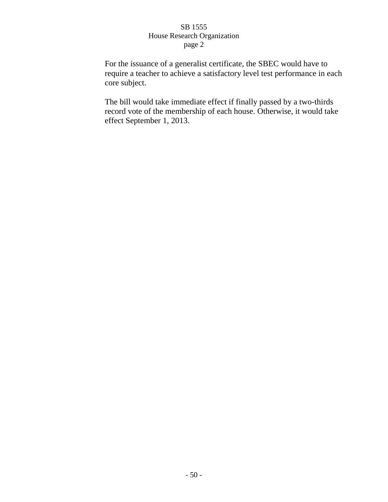For the issuance of a generalist certificate, the SBEC would have to require a teacher to achieve a satisfactory level test performance in each core subject.

The bill would take immediate effect if finally passed by a two-thirds record vote of the membership of each house. Otherwise, it would take effect September 1, 2013.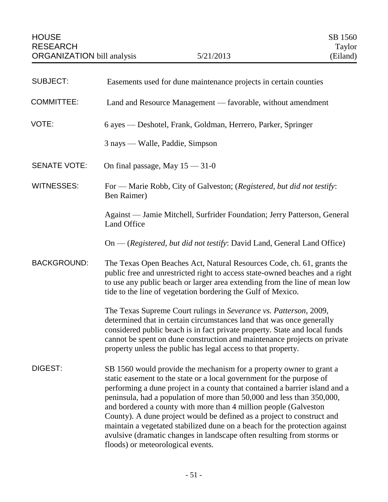| <b>SUBJECT:</b>     | Easements used for dune maintenance projects in certain counties                                                                                                                                                                                                                                                                                                                                                                                                                                                                                                                                                                                 |
|---------------------|--------------------------------------------------------------------------------------------------------------------------------------------------------------------------------------------------------------------------------------------------------------------------------------------------------------------------------------------------------------------------------------------------------------------------------------------------------------------------------------------------------------------------------------------------------------------------------------------------------------------------------------------------|
| <b>COMMITTEE:</b>   | Land and Resource Management — favorable, without amendment                                                                                                                                                                                                                                                                                                                                                                                                                                                                                                                                                                                      |
| VOTE:               | 6 ayes — Deshotel, Frank, Goldman, Herrero, Parker, Springer                                                                                                                                                                                                                                                                                                                                                                                                                                                                                                                                                                                     |
|                     | 3 nays — Walle, Paddie, Simpson                                                                                                                                                                                                                                                                                                                                                                                                                                                                                                                                                                                                                  |
| <b>SENATE VOTE:</b> | On final passage, May $15 - 31 - 0$                                                                                                                                                                                                                                                                                                                                                                                                                                                                                                                                                                                                              |
| <b>WITNESSES:</b>   | For - Marie Robb, City of Galveston; (Registered, but did not testify:<br>Ben Raimer)                                                                                                                                                                                                                                                                                                                                                                                                                                                                                                                                                            |
|                     | Against — Jamie Mitchell, Surfrider Foundation; Jerry Patterson, General<br>Land Office                                                                                                                                                                                                                                                                                                                                                                                                                                                                                                                                                          |
|                     | On — (Registered, but did not testify: David Land, General Land Office)                                                                                                                                                                                                                                                                                                                                                                                                                                                                                                                                                                          |
| <b>BACKGROUND:</b>  | The Texas Open Beaches Act, Natural Resources Code, ch. 61, grants the<br>public free and unrestricted right to access state-owned beaches and a right<br>to use any public beach or larger area extending from the line of mean low<br>tide to the line of vegetation bordering the Gulf of Mexico.                                                                                                                                                                                                                                                                                                                                             |
|                     | The Texas Supreme Court rulings in Severance vs. Patterson, 2009,<br>determined that in certain circumstances land that was once generally<br>considered public beach is in fact private property. State and local funds<br>cannot be spent on dune construction and maintenance projects on private<br>property unless the public has legal access to that property.                                                                                                                                                                                                                                                                            |
| DIGEST:             | SB 1560 would provide the mechanism for a property owner to grant a<br>static easement to the state or a local government for the purpose of<br>performing a dune project in a county that contained a barrier island and a<br>peninsula, had a population of more than 50,000 and less than 350,000,<br>and bordered a county with more than 4 million people (Galveston<br>County). A dune project would be defined as a project to construct and<br>maintain a vegetated stabilized dune on a beach for the protection against<br>avulsive (dramatic changes in landscape often resulting from storms or<br>floods) or meteorological events. |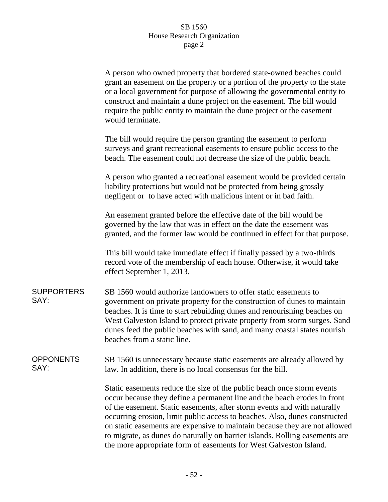| A person who owned property that bordered state-owned beaches could         |  |
|-----------------------------------------------------------------------------|--|
| grant an easement on the property or a portion of the property to the state |  |
| or a local government for purpose of allowing the governmental entity to    |  |
| construct and maintain a dune project on the easement. The bill would       |  |
| require the public entity to maintain the dune project or the easement      |  |
| would terminate.                                                            |  |

The bill would require the person granting the easement to perform surveys and grant recreational easements to ensure public access to the beach. The easement could not decrease the size of the public beach.

A person who granted a recreational easement would be provided certain liability protections but would not be protected from being grossly negligent or to have acted with malicious intent or in bad faith.

An easement granted before the effective date of the bill would be governed by the law that was in effect on the date the easement was granted, and the former law would be continued in effect for that purpose.

This bill would take immediate effect if finally passed by a two-thirds record vote of the membership of each house. Otherwise, it would take effect September 1, 2013.

**SUPPORTERS** SAY: SB 1560 would authorize landowners to offer static easements to government on private property for the construction of dunes to maintain beaches. It is time to start rebuilding dunes and renourishing beaches on West Galveston Island to protect private property from storm surges. Sand dunes feed the public beaches with sand, and many coastal states nourish beaches from a static line.

#### **OPPONENTS** SAY: SB 1560 is unnecessary because static easements are already allowed by law. In addition, there is no local consensus for the bill.

Static easements reduce the size of the public beach once storm events occur because they define a permanent line and the beach erodes in front of the easement. Static easements, after storm events and with naturally occurring erosion, limit public access to beaches. Also, dunes constructed on static easements are expensive to maintain because they are not allowed to migrate, as dunes do naturally on barrier islands. Rolling easements are the more appropriate form of easements for West Galveston Island.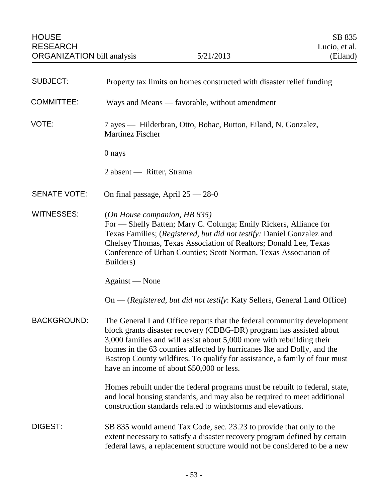| <b>SUBJECT:</b>     | Property tax limits on homes constructed with disaster relief funding                                                                                                                                                                                                                                                                                                                                                       |
|---------------------|-----------------------------------------------------------------------------------------------------------------------------------------------------------------------------------------------------------------------------------------------------------------------------------------------------------------------------------------------------------------------------------------------------------------------------|
| <b>COMMITTEE:</b>   | Ways and Means — favorable, without amendment                                                                                                                                                                                                                                                                                                                                                                               |
| VOTE:               | 7 ayes — Hilderbran, Otto, Bohac, Button, Eiland, N. Gonzalez,<br><b>Martinez Fischer</b>                                                                                                                                                                                                                                                                                                                                   |
|                     | 0 nays                                                                                                                                                                                                                                                                                                                                                                                                                      |
|                     | 2 absent — Ritter, Strama                                                                                                                                                                                                                                                                                                                                                                                                   |
| <b>SENATE VOTE:</b> | On final passage, April $25 - 28 - 0$                                                                                                                                                                                                                                                                                                                                                                                       |
| WITNESSES:          | (On House companion, HB 835)<br>For — Shelly Batten; Mary C. Colunga; Emily Rickers, Alliance for<br>Texas Families; (Registered, but did not testify: Daniel Gonzalez and<br>Chelsey Thomas, Texas Association of Realtors; Donald Lee, Texas<br>Conference of Urban Counties; Scott Norman, Texas Association of<br>Builders)                                                                                             |
|                     | Against — None                                                                                                                                                                                                                                                                                                                                                                                                              |
|                     | On — (Registered, but did not testify: Katy Sellers, General Land Office)                                                                                                                                                                                                                                                                                                                                                   |
| <b>BACKGROUND:</b>  | The General Land Office reports that the federal community development<br>block grants disaster recovery (CDBG-DR) program has assisted about<br>3,000 families and will assist about 5,000 more with rebuilding their<br>homes in the 63 counties affected by hurricanes Ike and Dolly, and the<br>Bastrop County wildfires. To qualify for assistance, a family of four must<br>have an income of about \$50,000 or less. |
|                     | Homes rebuilt under the federal programs must be rebuilt to federal, state,<br>and local housing standards, and may also be required to meet additional<br>construction standards related to windstorms and elevations.                                                                                                                                                                                                     |
| DIGEST:             | SB 835 would amend Tax Code, sec. 23.23 to provide that only to the<br>extent necessary to satisfy a disaster recovery program defined by certain<br>federal laws, a replacement structure would not be considered to be a new                                                                                                                                                                                              |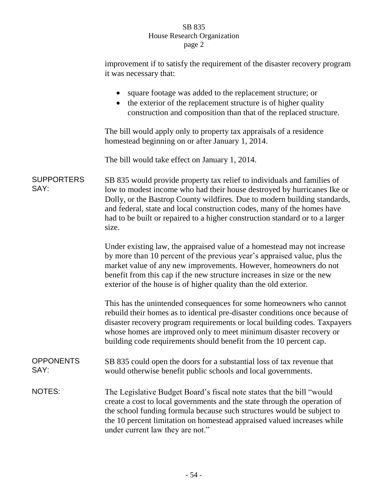improvement if to satisfy the requirement of the disaster recovery program it was necessary that:

|                           | square footage was added to the replacement structure; or<br>the exterior of the replacement structure is of higher quality<br>$\bullet$<br>construction and composition than that of the replaced structure.                                                                                                                                                                                       |
|---------------------------|-----------------------------------------------------------------------------------------------------------------------------------------------------------------------------------------------------------------------------------------------------------------------------------------------------------------------------------------------------------------------------------------------------|
|                           | The bill would apply only to property tax appraisals of a residence<br>homestead beginning on or after January 1, 2014.                                                                                                                                                                                                                                                                             |
|                           | The bill would take effect on January 1, 2014.                                                                                                                                                                                                                                                                                                                                                      |
| <b>SUPPORTERS</b><br>SAY: | SB 835 would provide property tax relief to individuals and families of<br>low to modest income who had their house destroyed by hurricanes Ike or<br>Dolly, or the Bastrop County wildfires. Due to modern building standards,<br>and federal, state and local construction codes, many of the homes have<br>had to be built or repaired to a higher construction standard or to a larger<br>size. |
|                           | Under existing law, the appraised value of a homestead may not increase<br>by more than 10 percent of the previous year's appraised value, plus the<br>market value of any new improvements. However, homeowners do not<br>benefit from this cap if the new structure increases in size or the new<br>exterior of the house is of higher quality than the old exterior.                             |
|                           | This has the unintended consequences for some homeowners who cannot<br>rebuild their homes as to identical pre-disaster conditions once because of<br>disaster recovery program requirements or local building codes. Taxpayers<br>whose homes are improved only to meet minimum disaster recovery or<br>building code requirements should benefit from the 10 percent cap.                         |
| <b>OPPONENTS</b><br>SAY:  | SB 835 could open the doors for a substantial loss of tax revenue that<br>would otherwise benefit public schools and local governments.                                                                                                                                                                                                                                                             |
| NOTES:                    | The Legislative Budget Board's fiscal note states that the bill "would"<br>create a cost to local governments and the state through the operation of<br>the school funding formula because such structures would be subject to<br>the 10 percent limitation on homestead appraised valued increases while<br>under current law they are not."                                                       |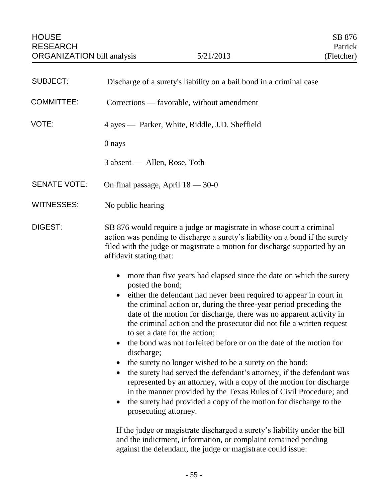| <b>SUBJECT:</b>     | Discharge of a surety's liability on a bail bond in a criminal case                                                                                                                                                                                                                                                                                                                                                                                                                                                                                                                                                                                                                                                                                                                                                                                                                                                                                                                                                                                                            |
|---------------------|--------------------------------------------------------------------------------------------------------------------------------------------------------------------------------------------------------------------------------------------------------------------------------------------------------------------------------------------------------------------------------------------------------------------------------------------------------------------------------------------------------------------------------------------------------------------------------------------------------------------------------------------------------------------------------------------------------------------------------------------------------------------------------------------------------------------------------------------------------------------------------------------------------------------------------------------------------------------------------------------------------------------------------------------------------------------------------|
| <b>COMMITTEE:</b>   | Corrections — favorable, without amendment                                                                                                                                                                                                                                                                                                                                                                                                                                                                                                                                                                                                                                                                                                                                                                                                                                                                                                                                                                                                                                     |
| VOTE:               | 4 ayes — Parker, White, Riddle, J.D. Sheffield                                                                                                                                                                                                                                                                                                                                                                                                                                                                                                                                                                                                                                                                                                                                                                                                                                                                                                                                                                                                                                 |
|                     | 0 nays                                                                                                                                                                                                                                                                                                                                                                                                                                                                                                                                                                                                                                                                                                                                                                                                                                                                                                                                                                                                                                                                         |
|                     | 3 absent — Allen, Rose, Toth                                                                                                                                                                                                                                                                                                                                                                                                                                                                                                                                                                                                                                                                                                                                                                                                                                                                                                                                                                                                                                                   |
| <b>SENATE VOTE:</b> | On final passage, April $18 - 30 - 0$                                                                                                                                                                                                                                                                                                                                                                                                                                                                                                                                                                                                                                                                                                                                                                                                                                                                                                                                                                                                                                          |
| <b>WITNESSES:</b>   | No public hearing                                                                                                                                                                                                                                                                                                                                                                                                                                                                                                                                                                                                                                                                                                                                                                                                                                                                                                                                                                                                                                                              |
| DIGEST:             | SB 876 would require a judge or magistrate in whose court a criminal<br>action was pending to discharge a surety's liability on a bond if the surety<br>filed with the judge or magistrate a motion for discharge supported by an<br>affidavit stating that:                                                                                                                                                                                                                                                                                                                                                                                                                                                                                                                                                                                                                                                                                                                                                                                                                   |
|                     | more than five years had elapsed since the date on which the surety<br>$\bullet$<br>posted the bond;<br>either the defendant had never been required to appear in court in<br>the criminal action or, during the three-year period preceding the<br>date of the motion for discharge, there was no apparent activity in<br>the criminal action and the prosecutor did not file a written request<br>to set a date for the action;<br>the bond was not forfeited before or on the date of the motion for<br>$\bullet$<br>discharge;<br>the surety no longer wished to be a surety on the bond;<br>the surety had served the defendant's attorney, if the defendant was<br>$\bullet$<br>represented by an attorney, with a copy of the motion for discharge<br>in the manner provided by the Texas Rules of Civil Procedure; and<br>the surety had provided a copy of the motion for discharge to the<br>prosecuting attorney.<br>If the judge or magistrate discharged a surety's liability under the bill<br>. The distance of the following the second contract $\mathcal{L}$ |

and the indictment, information, or complaint remained pending against the defendant, the judge or magistrate could issue: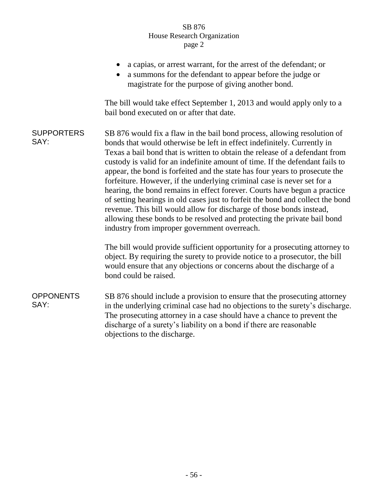|                           | a capias, or arrest warrant, for the arrest of the defendant; or<br>a summons for the defendant to appear before the judge or<br>magistrate for the purpose of giving another bond.                                                                                                                                                                                                                                                                                                                                                                                                                                                                                                                                                                                                                                                             |
|---------------------------|-------------------------------------------------------------------------------------------------------------------------------------------------------------------------------------------------------------------------------------------------------------------------------------------------------------------------------------------------------------------------------------------------------------------------------------------------------------------------------------------------------------------------------------------------------------------------------------------------------------------------------------------------------------------------------------------------------------------------------------------------------------------------------------------------------------------------------------------------|
|                           | The bill would take effect September 1, 2013 and would apply only to a<br>bail bond executed on or after that date.                                                                                                                                                                                                                                                                                                                                                                                                                                                                                                                                                                                                                                                                                                                             |
| <b>SUPPORTERS</b><br>SAY: | SB 876 would fix a flaw in the bail bond process, allowing resolution of<br>bonds that would otherwise be left in effect indefinitely. Currently in<br>Texas a bail bond that is written to obtain the release of a defendant from<br>custody is valid for an indefinite amount of time. If the defendant fails to<br>appear, the bond is forfeited and the state has four years to prosecute the<br>forfeiture. However, if the underlying criminal case is never set for a<br>hearing, the bond remains in effect forever. Courts have begun a practice<br>of setting hearings in old cases just to forfeit the bond and collect the bond<br>revenue. This bill would allow for discharge of those bonds instead,<br>allowing these bonds to be resolved and protecting the private bail bond<br>industry from improper government overreach. |
|                           | The bill would provide sufficient opportunity for a prosecuting attorney to<br>object. By requiring the surety to provide notice to a prosecutor, the bill<br>would ensure that any objections or concerns about the discharge of a<br>bond could be raised.                                                                                                                                                                                                                                                                                                                                                                                                                                                                                                                                                                                    |
| <b>OPPONENTS</b><br>SAY:  | SB 876 should include a provision to ensure that the prosecuting attorney<br>in the underlying criminal case had no objections to the surety's discharge.<br>The prosecuting attorney in a case should have a chance to prevent the<br>discharge of a surety's liability on a bond if there are reasonable<br>objections to the discharge.                                                                                                                                                                                                                                                                                                                                                                                                                                                                                                      |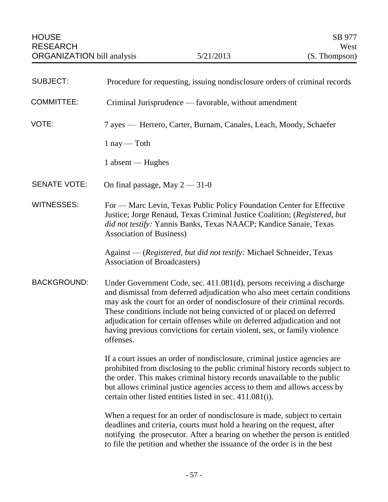| <b>SUBJECT:</b>     | Procedure for requesting, issuing nondisclosure orders of criminal records                                                                                                                                                                                                                                                                                                                                                                                                     |
|---------------------|--------------------------------------------------------------------------------------------------------------------------------------------------------------------------------------------------------------------------------------------------------------------------------------------------------------------------------------------------------------------------------------------------------------------------------------------------------------------------------|
| <b>COMMITTEE:</b>   | Criminal Jurisprudence — favorable, without amendment                                                                                                                                                                                                                                                                                                                                                                                                                          |
| VOTE:               | 7 ayes — Herrero, Carter, Burnam, Canales, Leach, Moody, Schaefer                                                                                                                                                                                                                                                                                                                                                                                                              |
|                     | $1$ nay — Toth                                                                                                                                                                                                                                                                                                                                                                                                                                                                 |
|                     | 1 absent — Hughes                                                                                                                                                                                                                                                                                                                                                                                                                                                              |
| <b>SENATE VOTE:</b> | On final passage, May $2 - 31 - 0$                                                                                                                                                                                                                                                                                                                                                                                                                                             |
| <b>WITNESSES:</b>   | For — Marc Levin, Texas Public Policy Foundation Center for Effective<br>Justice; Jorge Renaud, Texas Criminal Justice Coalition; (Registered, but<br>did not testify: Yannis Banks, Texas NAACP; Kandice Sanaie, Texas<br><b>Association of Business)</b>                                                                                                                                                                                                                     |
|                     | Against — (Registered, but did not testify: Michael Schneider, Texas<br>Association of Broadcasters)                                                                                                                                                                                                                                                                                                                                                                           |
| <b>BACKGROUND:</b>  | Under Government Code, sec. 411.081(d), persons receiving a discharge<br>and dismissal from deferred adjudication who also meet certain conditions<br>may ask the court for an order of nondisclosure of their criminal records.<br>These conditions include not being convicted of or placed on deferred<br>adjudication for certain offenses while on deferred adjudication and not<br>having previous convictions for certain violent, sex, or family violence<br>offenses. |
|                     | If a court issues an order of nondisclosure, criminal justice agencies are<br>prohibited from disclosing to the public criminal history records subject to<br>the order. This makes criminal history records unavailable to the public<br>but allows criminal justice agencies access to them and allows access by<br>certain other listed entities listed in sec. 411.081(i).                                                                                                 |
|                     | When a request for an order of nondisclosure is made, subject to certain<br>deadlines and criteria, courts must hold a hearing on the request, after<br>notifying the prosecutor. After a hearing on whether the person is entitled<br>to file the petition and whether the issuance of the order is in the best                                                                                                                                                               |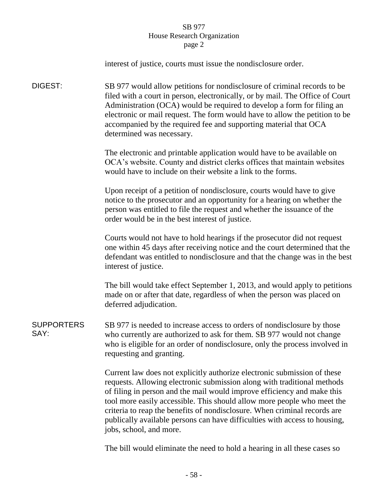|                           | interest of justice, courts must issue the nondisclosure order.                                                                                                                                                                                                                                                                                                                                                                                                                                 |
|---------------------------|-------------------------------------------------------------------------------------------------------------------------------------------------------------------------------------------------------------------------------------------------------------------------------------------------------------------------------------------------------------------------------------------------------------------------------------------------------------------------------------------------|
| DIGEST:                   | SB 977 would allow petitions for nondisclosure of criminal records to be<br>filed with a court in person, electronically, or by mail. The Office of Court<br>Administration (OCA) would be required to develop a form for filing an<br>electronic or mail request. The form would have to allow the petition to be<br>accompanied by the required fee and supporting material that OCA<br>determined was necessary.                                                                             |
|                           | The electronic and printable application would have to be available on<br>OCA's website. County and district clerks offices that maintain websites<br>would have to include on their website a link to the forms.                                                                                                                                                                                                                                                                               |
|                           | Upon receipt of a petition of nondisclosure, courts would have to give<br>notice to the prosecutor and an opportunity for a hearing on whether the<br>person was entitled to file the request and whether the issuance of the<br>order would be in the best interest of justice.                                                                                                                                                                                                                |
|                           | Courts would not have to hold hearings if the prosecutor did not request<br>one within 45 days after receiving notice and the court determined that the<br>defendant was entitled to nondisclosure and that the change was in the best<br>interest of justice.                                                                                                                                                                                                                                  |
|                           | The bill would take effect September 1, 2013, and would apply to petitions<br>made on or after that date, regardless of when the person was placed on<br>deferred adjudication.                                                                                                                                                                                                                                                                                                                 |
| <b>SUPPORTERS</b><br>SAY: | SB 977 is needed to increase access to orders of nondisclosure by those<br>who currently are authorized to ask for them. SB 977 would not change<br>who is eligible for an order of nondisclosure, only the process involved in<br>requesting and granting.                                                                                                                                                                                                                                     |
|                           | Current law does not explicitly authorize electronic submission of these<br>requests. Allowing electronic submission along with traditional methods<br>of filing in person and the mail would improve efficiency and make this<br>tool more easily accessible. This should allow more people who meet the<br>criteria to reap the benefits of nondisclosure. When criminal records are<br>publically available persons can have difficulties with access to housing,<br>jobs, school, and more. |
|                           |                                                                                                                                                                                                                                                                                                                                                                                                                                                                                                 |

The bill would eliminate the need to hold a hearing in all these cases so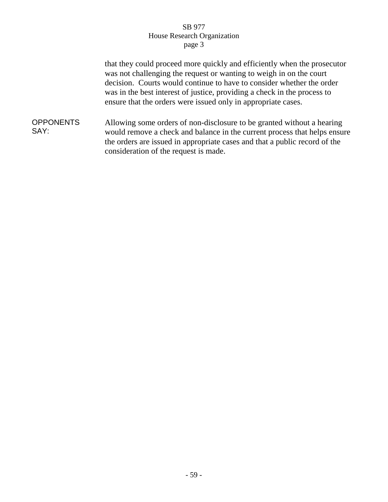that they could proceed more quickly and efficiently when the prosecutor was not challenging the request or wanting to weigh in on the court decision. Courts would continue to have to consider whether the order was in the best interest of justice, providing a check in the process to ensure that the orders were issued only in appropriate cases.

**OPPONENTS** SAY: Allowing some orders of non-disclosure to be granted without a hearing would remove a check and balance in the current process that helps ensure the orders are issued in appropriate cases and that a public record of the consideration of the request is made.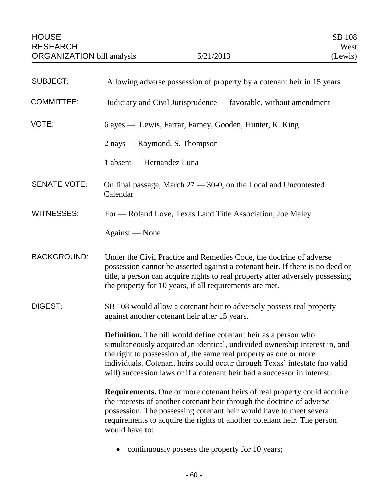| <b>SUBJECT:</b>     | Allowing adverse possession of property by a cotenant heir in 15 years                                                                                                                                                                                                                                                                                                              |
|---------------------|-------------------------------------------------------------------------------------------------------------------------------------------------------------------------------------------------------------------------------------------------------------------------------------------------------------------------------------------------------------------------------------|
| <b>COMMITTEE:</b>   | Judiciary and Civil Jurisprudence — favorable, without amendment                                                                                                                                                                                                                                                                                                                    |
| VOTE:               | 6 ayes — Lewis, Farrar, Farney, Gooden, Hunter, K. King                                                                                                                                                                                                                                                                                                                             |
|                     | 2 nays — Raymond, S. Thompson                                                                                                                                                                                                                                                                                                                                                       |
|                     | 1 absent — Hernandez Luna                                                                                                                                                                                                                                                                                                                                                           |
| <b>SENATE VOTE:</b> | On final passage, March $27 - 30 - 0$ , on the Local and Uncontested<br>Calendar                                                                                                                                                                                                                                                                                                    |
| <b>WITNESSES:</b>   | For — Roland Love, Texas Land Title Association; Joe Maley                                                                                                                                                                                                                                                                                                                          |
|                     | Against — None                                                                                                                                                                                                                                                                                                                                                                      |
| <b>BACKGROUND:</b>  | Under the Civil Practice and Remedies Code, the doctrine of adverse<br>possession cannot be asserted against a cotenant heir. If there is no deed or<br>title, a person can acquire rights to real property after adversely possessing<br>the property for 10 years, if all requirements are met.                                                                                   |
| DIGEST:             | SB 108 would allow a cotenant heir to adversely possess real property<br>against another cotenant heir after 15 years.                                                                                                                                                                                                                                                              |
|                     | <b>Definition.</b> The bill would define cotenant heir as a person who<br>simultaneously acquired an identical, undivided ownership interest in, and<br>the right to possession of, the same real property as one or more<br>individuals. Cotenant heirs could occur through Texas' intestate (no valid<br>will) succession laws or if a cotenant heir had a successor in interest. |
|                     | <b>Requirements.</b> One or more cotenant heirs of real property could acquire<br>the interests of another cotenant heir through the doctrine of adverse<br>possession. The possessing cotenant heir would have to meet several<br>requirements to acquire the rights of another cotenant heir. The person<br>would have to:                                                        |
|                     | continuously possess the property for 10 years;                                                                                                                                                                                                                                                                                                                                     |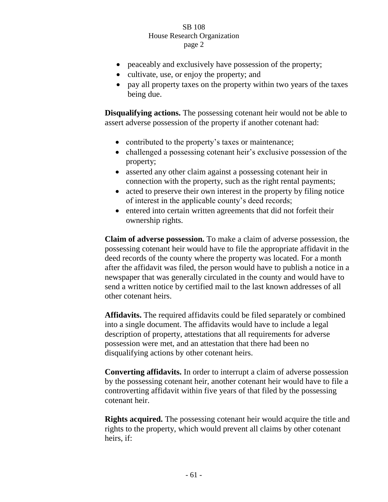- peaceably and exclusively have possession of the property;
- cultivate, use, or enjoy the property; and
- pay all property taxes on the property within two years of the taxes being due.

**Disqualifying actions.** The possessing cotenant heir would not be able to assert adverse possession of the property if another cotenant had:

- contributed to the property's taxes or maintenance;
- challenged a possessing cotenant heir's exclusive possession of the property;
- asserted any other claim against a possessing cotenant heir in connection with the property, such as the right rental payments;
- acted to preserve their own interest in the property by filing notice of interest in the applicable county's deed records;
- entered into certain written agreements that did not forfeit their ownership rights.

**Claim of adverse possession.** To make a claim of adverse possession, the possessing cotenant heir would have to file the appropriate affidavit in the deed records of the county where the property was located. For a month after the affidavit was filed, the person would have to publish a notice in a newspaper that was generally circulated in the county and would have to send a written notice by certified mail to the last known addresses of all other cotenant heirs.

**Affidavits.** The required affidavits could be filed separately or combined into a single document. The affidavits would have to include a legal description of property, attestations that all requirements for adverse possession were met, and an attestation that there had been no disqualifying actions by other cotenant heirs.

**Converting affidavits.** In order to interrupt a claim of adverse possession by the possessing cotenant heir, another cotenant heir would have to file a controverting affidavit within five years of that filed by the possessing cotenant heir.

**Rights acquired.** The possessing cotenant heir would acquire the title and rights to the property, which would prevent all claims by other cotenant heirs, if: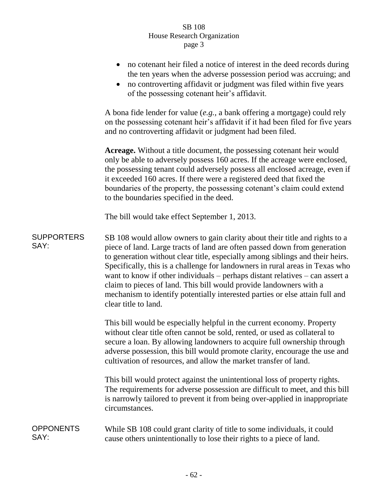|                           | no cotenant heir filed a notice of interest in the deed records during<br>the ten years when the adverse possession period was accruing; and<br>no controverting affidavit or judgment was filed within five years<br>$\bullet$<br>of the possessing cotenant heir's affidavit.                                                                                                                                                                                                                                                                                                             |
|---------------------------|---------------------------------------------------------------------------------------------------------------------------------------------------------------------------------------------------------------------------------------------------------------------------------------------------------------------------------------------------------------------------------------------------------------------------------------------------------------------------------------------------------------------------------------------------------------------------------------------|
|                           | A bona fide lender for value $(e.g., a bank offering a mortgage)$ could rely<br>on the possessing cotenant heir's affidavit if it had been filed for five years<br>and no controverting affidavit or judgment had been filed.                                                                                                                                                                                                                                                                                                                                                               |
|                           | Acreage. Without a title document, the possessing cotenant heir would<br>only be able to adversely possess 160 acres. If the acreage were enclosed,<br>the possessing tenant could adversely possess all enclosed acreage, even if<br>it exceeded 160 acres. If there were a registered deed that fixed the<br>boundaries of the property, the possessing cotenant's claim could extend<br>to the boundaries specified in the deed.                                                                                                                                                         |
|                           | The bill would take effect September 1, 2013.                                                                                                                                                                                                                                                                                                                                                                                                                                                                                                                                               |
| <b>SUPPORTERS</b><br>SAY: | SB 108 would allow owners to gain clarity about their title and rights to a<br>piece of land. Large tracts of land are often passed down from generation<br>to generation without clear title, especially among siblings and their heirs.<br>Specifically, this is a challenge for landowners in rural areas in Texas who<br>want to know if other individuals $-$ perhaps distant relatives $-$ can assert a<br>claim to pieces of land. This bill would provide landowners with a<br>mechanism to identify potentially interested parties or else attain full and<br>clear title to land. |
|                           | This bill would be especially helpful in the current economy. Property<br>without clear title often cannot be sold, rented, or used as collateral to<br>secure a loan. By allowing landowners to acquire full ownership through<br>adverse possession, this bill would promote clarity, encourage the use and<br>cultivation of resources, and allow the market transfer of land.                                                                                                                                                                                                           |
|                           | This bill would protect against the unintentional loss of property rights.<br>The requirements for adverse possession are difficult to meet, and this bill<br>is narrowly tailored to prevent it from being over-applied in inappropriate<br>circumstances.                                                                                                                                                                                                                                                                                                                                 |
| <b>OPPONENTS</b><br>SAY:  | While SB 108 could grant clarity of title to some individuals, it could<br>cause others unintentionally to lose their rights to a piece of land.                                                                                                                                                                                                                                                                                                                                                                                                                                            |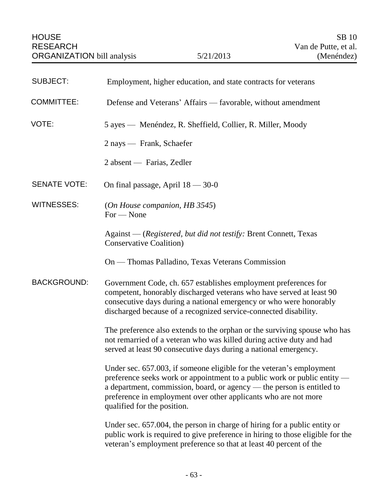| <b>SUBJECT:</b>     | Employment, higher education, and state contracts for veterans                                                                                                                                                                                                                                                               |
|---------------------|------------------------------------------------------------------------------------------------------------------------------------------------------------------------------------------------------------------------------------------------------------------------------------------------------------------------------|
| <b>COMMITTEE:</b>   | Defense and Veterans' Affairs — favorable, without amendment                                                                                                                                                                                                                                                                 |
| VOTE:               | 5 ayes — Menéndez, R. Sheffield, Collier, R. Miller, Moody                                                                                                                                                                                                                                                                   |
|                     | 2 nays — Frank, Schaefer                                                                                                                                                                                                                                                                                                     |
|                     | 2 absent — Farias, Zedler                                                                                                                                                                                                                                                                                                    |
| <b>SENATE VOTE:</b> | On final passage, April $18 - 30 - 0$                                                                                                                                                                                                                                                                                        |
| <b>WITNESSES:</b>   | (On House companion, HB 3545)<br>$For - None$                                                                                                                                                                                                                                                                                |
|                     | Against — (Registered, but did not testify: Brent Connett, Texas<br><b>Conservative Coalition</b> )                                                                                                                                                                                                                          |
|                     | On — Thomas Palladino, Texas Veterans Commission                                                                                                                                                                                                                                                                             |
| <b>BACKGROUND:</b>  | Government Code, ch. 657 establishes employment preferences for<br>competent, honorably discharged veterans who have served at least 90<br>consecutive days during a national emergency or who were honorably<br>discharged because of a recognized service-connected disability.                                            |
|                     | The preference also extends to the orphan or the surviving spouse who has<br>not remarried of a veteran who was killed during active duty and had<br>served at least 90 consecutive days during a national emergency.                                                                                                        |
|                     | Under sec. 657.003, if someone eligible for the veteran's employment<br>preference seeks work or appointment to a public work or public entity —<br>a department, commission, board, or agency — the person is entitled to<br>preference in employment over other applicants who are not more<br>qualified for the position. |
|                     | Under sec. 657.004, the person in charge of hiring for a public entity or<br>public work is required to give preference in hiring to those eligible for the<br>veteran's employment preference so that at least 40 percent of the                                                                                            |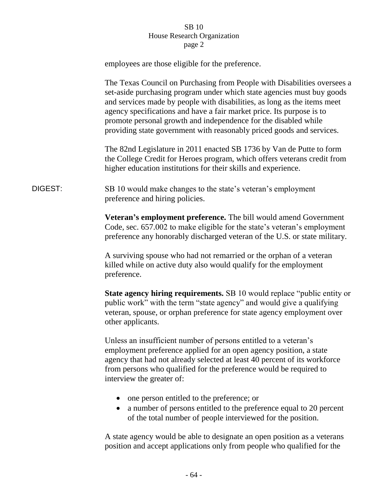|         | employees are those eligible for the preference.                                                                                                                                                                                                                                                                                                                                                                                                    |
|---------|-----------------------------------------------------------------------------------------------------------------------------------------------------------------------------------------------------------------------------------------------------------------------------------------------------------------------------------------------------------------------------------------------------------------------------------------------------|
|         | The Texas Council on Purchasing from People with Disabilities oversees a<br>set-aside purchasing program under which state agencies must buy goods<br>and services made by people with disabilities, as long as the items meet<br>agency specifications and have a fair market price. Its purpose is to<br>promote personal growth and independence for the disabled while<br>providing state government with reasonably priced goods and services. |
|         | The 82nd Legislature in 2011 enacted SB 1736 by Van de Putte to form<br>the College Credit for Heroes program, which offers veterans credit from<br>higher education institutions for their skills and experience.                                                                                                                                                                                                                                  |
| DIGEST: | SB 10 would make changes to the state's veteran's employment<br>preference and hiring policies.                                                                                                                                                                                                                                                                                                                                                     |
|         | Veteran's employment preference. The bill would amend Government<br>Code, sec. 657.002 to make eligible for the state's veteran's employment<br>preference any honorably discharged veteran of the U.S. or state military.                                                                                                                                                                                                                          |
|         | A surviving spouse who had not remarried or the orphan of a veteran<br>killed while on active duty also would qualify for the employment<br>preference.                                                                                                                                                                                                                                                                                             |
|         | <b>State agency hiring requirements.</b> SB 10 would replace "public entity or<br>public work" with the term "state agency" and would give a qualifying<br>veteran, spouse, or orphan preference for state agency employment over<br>other applicants.                                                                                                                                                                                              |
|         | Unless an insufficient number of persons entitled to a veteran's<br>employment preference applied for an open agency position, a state<br>agency that had not already selected at least 40 percent of its workforce<br>from persons who qualified for the preference would be required to<br>interview the greater of:                                                                                                                              |
|         | one person entitled to the preference; or<br>a number of persons entitled to the preference equal to 20 percent<br>of the total number of people interviewed for the position.                                                                                                                                                                                                                                                                      |
|         | A state agency would be able to designate an open position as a veterans                                                                                                                                                                                                                                                                                                                                                                            |

position and accept applications only from people who qualified for the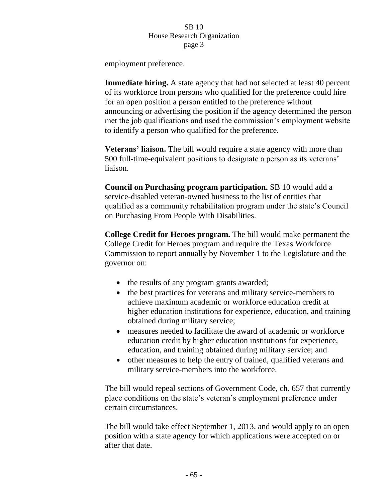employment preference.

**Immediate hiring.** A state agency that had not selected at least 40 percent of its workforce from persons who qualified for the preference could hire for an open position a person entitled to the preference without announcing or advertising the position if the agency determined the person met the job qualifications and used the commission's employment website to identify a person who qualified for the preference.

**Veterans' liaison.** The bill would require a state agency with more than 500 full-time-equivalent positions to designate a person as its veterans' liaison.

**Council on Purchasing program participation.** SB 10 would add a service-disabled veteran-owned business to the list of entities that qualified as a community rehabilitation program under the state's Council on Purchasing From People With Disabilities.

**College Credit for Heroes program.** The bill would make permanent the College Credit for Heroes program and require the Texas Workforce Commission to report annually by November 1 to the Legislature and the governor on:

- the results of any program grants awarded;
- the best practices for veterans and military service-members to achieve maximum academic or workforce education credit at higher education institutions for experience, education, and training obtained during military service;
- measures needed to facilitate the award of academic or workforce education credit by higher education institutions for experience, education, and training obtained during military service; and
- other measures to help the entry of trained, qualified veterans and military service-members into the workforce.

The bill would repeal sections of Government Code, ch. 657 that currently place conditions on the state's veteran's employment preference under certain circumstances.

The bill would take effect September 1, 2013, and would apply to an open position with a state agency for which applications were accepted on or after that date.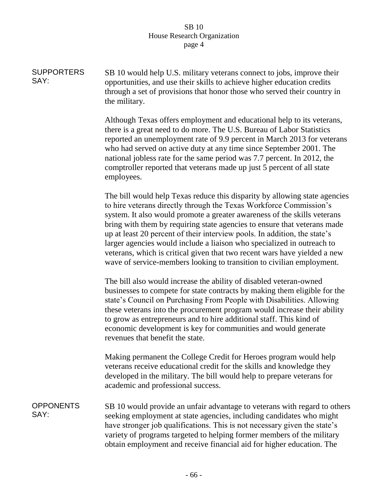| <b>SUPPORTERS</b><br>SAY: | SB 10 would help U.S. military veterans connect to jobs, improve their<br>opportunities, and use their skills to achieve higher education credits<br>through a set of provisions that honor those who served their country in<br>the military.                                                                                                                                                                                                                                                                                                                                                                        |
|---------------------------|-----------------------------------------------------------------------------------------------------------------------------------------------------------------------------------------------------------------------------------------------------------------------------------------------------------------------------------------------------------------------------------------------------------------------------------------------------------------------------------------------------------------------------------------------------------------------------------------------------------------------|
|                           | Although Texas offers employment and educational help to its veterans,<br>there is a great need to do more. The U.S. Bureau of Labor Statistics<br>reported an unemployment rate of 9.9 percent in March 2013 for veterans<br>who had served on active duty at any time since September 2001. The<br>national jobless rate for the same period was 7.7 percent. In 2012, the<br>comptroller reported that veterans made up just 5 percent of all state<br>employees.                                                                                                                                                  |
|                           | The bill would help Texas reduce this disparity by allowing state agencies<br>to hire veterans directly through the Texas Workforce Commission's<br>system. It also would promote a greater awareness of the skills veterans<br>bring with them by requiring state agencies to ensure that veterans made<br>up at least 20 percent of their interview pools. In addition, the state's<br>larger agencies would include a liaison who specialized in outreach to<br>veterans, which is critical given that two recent wars have yielded a new<br>wave of service-members looking to transition to civilian employment. |
|                           | The bill also would increase the ability of disabled veteran-owned<br>businesses to compete for state contracts by making them eligible for the<br>state's Council on Purchasing From People with Disabilities. Allowing<br>these veterans into the procurement program would increase their ability<br>to grow as entrepreneurs and to hire additional staff. This kind of<br>economic development is key for communities and would generate<br>revenues that benefit the state.                                                                                                                                     |
|                           | Making permanent the College Credit for Heroes program would help<br>veterans receive educational credit for the skills and knowledge they<br>developed in the military. The bill would help to prepare veterans for<br>academic and professional success.                                                                                                                                                                                                                                                                                                                                                            |
| <b>OPPONENTS</b><br>SAY:  | SB 10 would provide an unfair advantage to veterans with regard to others<br>seeking employment at state agencies, including candidates who might<br>have stronger job qualifications. This is not necessary given the state's<br>variety of programs targeted to helping former members of the military<br>obtain employment and receive financial aid for higher education. The                                                                                                                                                                                                                                     |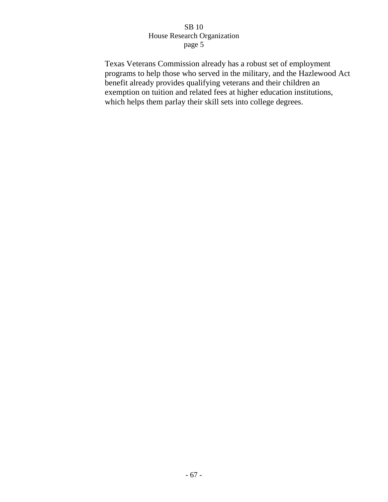Texas Veterans Commission already has a robust set of employment programs to help those who served in the military, and the Hazlewood Act benefit already provides qualifying veterans and their children an exemption on tuition and related fees at higher education institutions, which helps them parlay their skill sets into college degrees.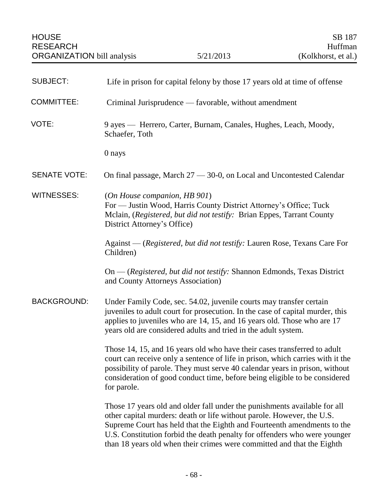| <b>SUBJECT:</b>     | Life in prison for capital felony by those 17 years old at time of offense                                                                                                                                                                                                                                                                                                            |
|---------------------|---------------------------------------------------------------------------------------------------------------------------------------------------------------------------------------------------------------------------------------------------------------------------------------------------------------------------------------------------------------------------------------|
| <b>COMMITTEE:</b>   | Criminal Jurisprudence — favorable, without amendment                                                                                                                                                                                                                                                                                                                                 |
| VOTE:               | 9 ayes — Herrero, Carter, Burnam, Canales, Hughes, Leach, Moody,<br>Schaefer, Toth                                                                                                                                                                                                                                                                                                    |
|                     | 0 nays                                                                                                                                                                                                                                                                                                                                                                                |
| <b>SENATE VOTE:</b> | On final passage, March $27 - 30 - 0$ , on Local and Uncontested Calendar                                                                                                                                                                                                                                                                                                             |
| <b>WITNESSES:</b>   | (On House companion, HB 901)<br>For — Justin Wood, Harris County District Attorney's Office; Tuck<br>Mclain, (Registered, but did not testify: Brian Eppes, Tarrant County<br>District Attorney's Office)                                                                                                                                                                             |
|                     | Against — (Registered, but did not testify: Lauren Rose, Texans Care For<br>Children)                                                                                                                                                                                                                                                                                                 |
|                     | On — (Registered, but did not testify: Shannon Edmonds, Texas District<br>and County Attorneys Association)                                                                                                                                                                                                                                                                           |
| <b>BACKGROUND:</b>  | Under Family Code, sec. 54.02, juvenile courts may transfer certain<br>juveniles to adult court for prosecution. In the case of capital murder, this<br>applies to juveniles who are 14, 15, and 16 years old. Those who are 17<br>years old are considered adults and tried in the adult system.                                                                                     |
|                     | Those 14, 15, and 16 years old who have their cases transferred to adult<br>court can receive only a sentence of life in prison, which carries with it the<br>possibility of parole. They must serve 40 calendar years in prison, without<br>consideration of good conduct time, before being eligible to be considered<br>for parole.                                                |
|                     | Those 17 years old and older fall under the punishments available for all<br>other capital murders: death or life without parole. However, the U.S.<br>Supreme Court has held that the Eighth and Fourteenth amendments to the<br>U.S. Constitution forbid the death penalty for offenders who were younger<br>than 18 years old when their crimes were committed and that the Eighth |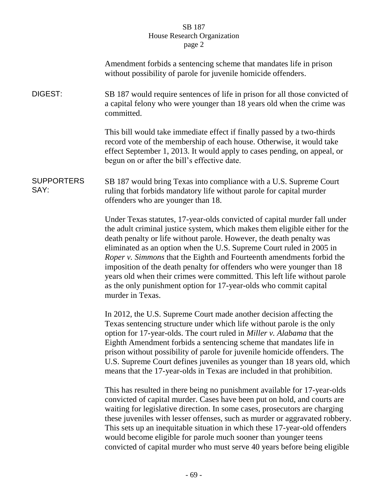|                           | Amendment forbids a sentencing scheme that mandates life in prison<br>without possibility of parole for juvenile homicide offenders.                                                                                                                                                                                                                                                                                                                                                                                                                                                                                              |
|---------------------------|-----------------------------------------------------------------------------------------------------------------------------------------------------------------------------------------------------------------------------------------------------------------------------------------------------------------------------------------------------------------------------------------------------------------------------------------------------------------------------------------------------------------------------------------------------------------------------------------------------------------------------------|
| DIGEST:                   | SB 187 would require sentences of life in prison for all those convicted of<br>a capital felony who were younger than 18 years old when the crime was<br>committed.                                                                                                                                                                                                                                                                                                                                                                                                                                                               |
|                           | This bill would take immediate effect if finally passed by a two-thirds<br>record vote of the membership of each house. Otherwise, it would take<br>effect September 1, 2013. It would apply to cases pending, on appeal, or<br>begun on or after the bill's effective date.                                                                                                                                                                                                                                                                                                                                                      |
| <b>SUPPORTERS</b><br>SAY: | SB 187 would bring Texas into compliance with a U.S. Supreme Court<br>ruling that forbids mandatory life without parole for capital murder<br>offenders who are younger than 18.                                                                                                                                                                                                                                                                                                                                                                                                                                                  |
|                           | Under Texas statutes, 17-year-olds convicted of capital murder fall under<br>the adult criminal justice system, which makes them eligible either for the<br>death penalty or life without parole. However, the death penalty was<br>eliminated as an option when the U.S. Supreme Court ruled in 2005 in<br>Roper v. Simmons that the Eighth and Fourteenth amendments forbid the<br>imposition of the death penalty for offenders who were younger than 18<br>years old when their crimes were committed. This left life without parole<br>as the only punishment option for 17-year-olds who commit capital<br>murder in Texas. |
|                           | In 2012, the U.S. Supreme Court made another decision affecting the<br>Texas sentencing structure under which life without parole is the only<br>option for 17-year-olds. The court ruled in Miller v. Alabama that the<br>Eighth Amendment forbids a sentencing scheme that mandates life in<br>prison without possibility of parole for juvenile homicide offenders. The<br>U.S. Supreme Court defines juveniles as younger than 18 years old, which<br>means that the 17-year-olds in Texas are included in that prohibition.                                                                                                  |
|                           | This has resulted in there being no punishment available for 17-year-olds<br>convicted of capital murder. Cases have been put on hold, and courts are<br>waiting for legislative direction. In some cases, prosecutors are charging<br>these juveniles with lesser offenses, such as murder or aggravated robbery.<br>This sets up an inequitable situation in which these 17-year-old offenders<br>would become eligible for parole much sooner than younger teens<br>convicted of capital murder who must serve 40 years before being eligible                                                                                  |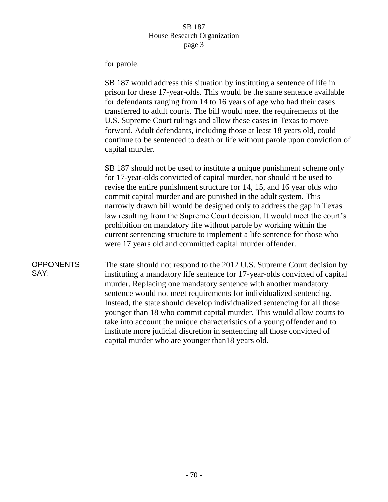for parole.

SB 187 would address this situation by instituting a sentence of life in prison for these 17-year-olds. This would be the same sentence available for defendants ranging from 14 to 16 years of age who had their cases transferred to adult courts. The bill would meet the requirements of the U.S. Supreme Court rulings and allow these cases in Texas to move forward. Adult defendants, including those at least 18 years old, could continue to be sentenced to death or life without parole upon conviction of capital murder.

SB 187 should not be used to institute a unique punishment scheme only for 17-year-olds convicted of capital murder, nor should it be used to revise the entire punishment structure for 14, 15, and 16 year olds who commit capital murder and are punished in the adult system. This narrowly drawn bill would be designed only to address the gap in Texas law resulting from the Supreme Court decision. It would meet the court's prohibition on mandatory life without parole by working within the current sentencing structure to implement a life sentence for those who were 17 years old and committed capital murder offender.

#### **OPPONENTS** SAY:

The state should not respond to the 2012 U.S. Supreme Court decision by instituting a mandatory life sentence for 17-year-olds convicted of capital murder. Replacing one mandatory sentence with another mandatory sentence would not meet requirements for individualized sentencing. Instead, the state should develop individualized sentencing for all those younger than 18 who commit capital murder. This would allow courts to take into account the unique characteristics of a young offender and to institute more judicial discretion in sentencing all those convicted of capital murder who are younger than18 years old.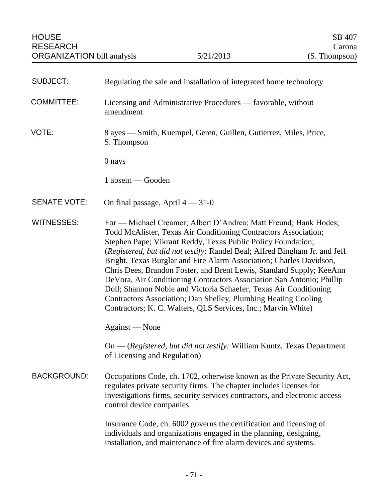| <b>SUBJECT:</b>     | Regulating the sale and installation of integrated home technology                                                                                                                                                                                                                                                                                                                                                                                                                                                                                                                                                                                                                                                |
|---------------------|-------------------------------------------------------------------------------------------------------------------------------------------------------------------------------------------------------------------------------------------------------------------------------------------------------------------------------------------------------------------------------------------------------------------------------------------------------------------------------------------------------------------------------------------------------------------------------------------------------------------------------------------------------------------------------------------------------------------|
| <b>COMMITTEE:</b>   | Licensing and Administrative Procedures — favorable, without<br>amendment                                                                                                                                                                                                                                                                                                                                                                                                                                                                                                                                                                                                                                         |
| VOTE:               | 8 ayes — Smith, Kuempel, Geren, Guillen, Gutierrez, Miles, Price,<br>S. Thompson                                                                                                                                                                                                                                                                                                                                                                                                                                                                                                                                                                                                                                  |
|                     | 0 nays                                                                                                                                                                                                                                                                                                                                                                                                                                                                                                                                                                                                                                                                                                            |
|                     | 1 absent — Gooden                                                                                                                                                                                                                                                                                                                                                                                                                                                                                                                                                                                                                                                                                                 |
| <b>SENATE VOTE:</b> | On final passage, April $4 - 31 - 0$                                                                                                                                                                                                                                                                                                                                                                                                                                                                                                                                                                                                                                                                              |
| <b>WITNESSES:</b>   | For — Michael Creamer; Albert D'Andrea; Matt Freund; Hank Hodes;<br>Todd McAlister, Texas Air Conditioning Contractors Association;<br>Stephen Pape; Vikrant Reddy, Texas Public Policy Foundation;<br>(Registered, but did not testify: Randel Beal; Alfred Bingham Jr. and Jeff<br>Bright, Texas Burglar and Fire Alarm Association; Charles Davidson,<br>Chris Dees, Brandon Foster, and Brent Lewis, Standard Supply; KeeAnn<br>DeVora, Air Conditioning Contractors Association San Antonio; Phillip<br>Doll; Shannon Noble and Victoria Schaefer, Texas Air Conditioning<br>Contractors Association; Dan Shelley, Plumbing Heating Cooling<br>Contractors; K. C. Walters, QLS Services, Inc.; Marvin White) |
|                     | Against — None                                                                                                                                                                                                                                                                                                                                                                                                                                                                                                                                                                                                                                                                                                    |
|                     | On — (Registered, but did not testify: William Kuntz, Texas Department<br>of Licensing and Regulation)                                                                                                                                                                                                                                                                                                                                                                                                                                                                                                                                                                                                            |
| <b>BACKGROUND:</b>  | Occupations Code, ch. 1702, otherwise known as the Private Security Act,<br>regulates private security firms. The chapter includes licenses for<br>investigations firms, security services contractors, and electronic access<br>control device companies.                                                                                                                                                                                                                                                                                                                                                                                                                                                        |
|                     | Insurance Code, ch. 6002 governs the certification and licensing of<br>individuals and organizations engaged in the planning, designing,<br>installation, and maintenance of fire alarm devices and systems.                                                                                                                                                                                                                                                                                                                                                                                                                                                                                                      |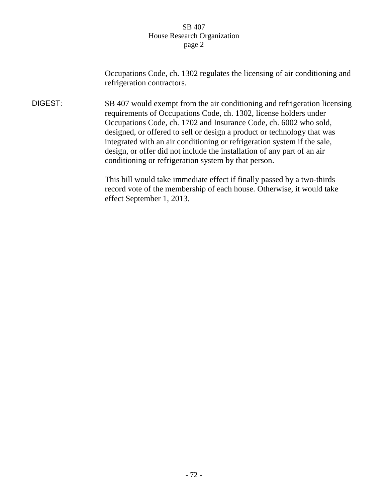## SB 407 House Research Organization page 2

Occupations Code, ch. 1302 regulates the licensing of air conditioning and refrigeration contractors.

DIGEST: SB 407 would exempt from the air conditioning and refrigeration licensing requirements of Occupations Code, ch. 1302, license holders under Occupations Code, ch. 1702 and Insurance Code, ch. 6002 who sold, designed, or offered to sell or design a product or technology that was integrated with an air conditioning or refrigeration system if the sale, design, or offer did not include the installation of any part of an air conditioning or refrigeration system by that person.

> This bill would take immediate effect if finally passed by a two-thirds record vote of the membership of each house. Otherwise, it would take effect September 1, 2013.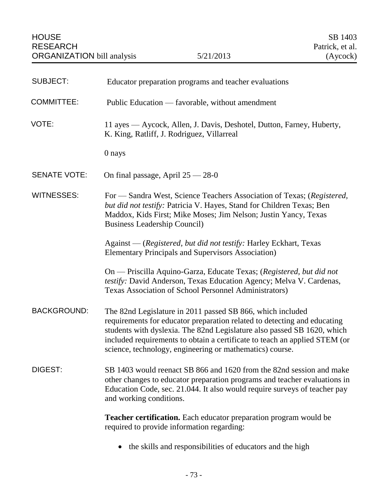| <b>SUBJECT:</b>     | Educator preparation programs and teacher evaluations                                                                                                                                                                                                                                                                                                       |
|---------------------|-------------------------------------------------------------------------------------------------------------------------------------------------------------------------------------------------------------------------------------------------------------------------------------------------------------------------------------------------------------|
| <b>COMMITTEE:</b>   | Public Education — favorable, without amendment                                                                                                                                                                                                                                                                                                             |
| VOTE:               | 11 ayes — Aycock, Allen, J. Davis, Deshotel, Dutton, Farney, Huberty,<br>K. King, Ratliff, J. Rodriguez, Villarreal                                                                                                                                                                                                                                         |
|                     | 0 nays                                                                                                                                                                                                                                                                                                                                                      |
| <b>SENATE VOTE:</b> | On final passage, April $25 - 28 - 0$                                                                                                                                                                                                                                                                                                                       |
| <b>WITNESSES:</b>   | For — Sandra West, Science Teachers Association of Texas; (Registered,<br>but did not testify: Patricia V. Hayes, Stand for Children Texas; Ben<br>Maddox, Kids First; Mike Moses; Jim Nelson; Justin Yancy, Texas<br><b>Business Leadership Council)</b>                                                                                                   |
|                     | Against — (Registered, but did not testify: Harley Eckhart, Texas<br><b>Elementary Principals and Supervisors Association</b> )                                                                                                                                                                                                                             |
|                     | On — Priscilla Aquino-Garza, Educate Texas; (Registered, but did not<br>testify: David Anderson, Texas Education Agency; Melva V. Cardenas,<br>Texas Association of School Personnel Administrators)                                                                                                                                                        |
| <b>BACKGROUND:</b>  | The 82nd Legislature in 2011 passed SB 866, which included<br>requirements for educator preparation related to detecting and educating<br>students with dyslexia. The 82nd Legislature also passed SB 1620, which<br>included requirements to obtain a certificate to teach an applied STEM (or<br>science, technology, engineering or mathematics) course. |
| DIGEST:             | SB 1403 would reenact SB 866 and 1620 from the 82nd session and make<br>other changes to educator preparation programs and teacher evaluations in<br>Education Code, sec. 21.044. It also would require surveys of teacher pay<br>and working conditions.                                                                                                   |
|                     | <b>Teacher certification.</b> Each educator preparation program would be<br>required to provide information regarding:                                                                                                                                                                                                                                      |
|                     | the skills and responsibilities of educators and the high                                                                                                                                                                                                                                                                                                   |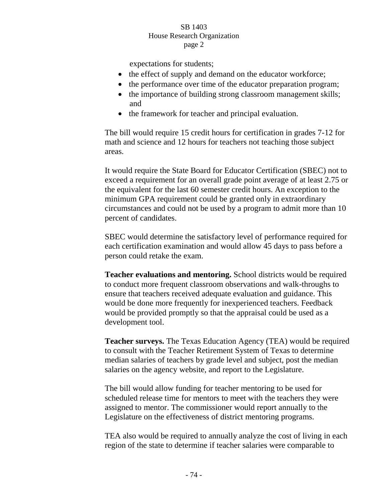## SB 1403 House Research Organization page 2

expectations for students;

- the effect of supply and demand on the educator workforce;
- the performance over time of the educator preparation program;
- the importance of building strong classroom management skills; and
- the framework for teacher and principal evaluation.

The bill would require 15 credit hours for certification in grades 7-12 for math and science and 12 hours for teachers not teaching those subject areas.

It would require the State Board for Educator Certification (SBEC) not to exceed a requirement for an overall grade point average of at least 2.75 or the equivalent for the last 60 semester credit hours. An exception to the minimum GPA requirement could be granted only in extraordinary circumstances and could not be used by a program to admit more than 10 percent of candidates.

SBEC would determine the satisfactory level of performance required for each certification examination and would allow 45 days to pass before a person could retake the exam.

**Teacher evaluations and mentoring.** School districts would be required to conduct more frequent classroom observations and walk-throughs to ensure that teachers received adequate evaluation and guidance. This would be done more frequently for inexperienced teachers. Feedback would be provided promptly so that the appraisal could be used as a development tool.

**Teacher surveys.** The Texas Education Agency (TEA) would be required to consult with the Teacher Retirement System of Texas to determine median salaries of teachers by grade level and subject, post the median salaries on the agency website, and report to the Legislature.

The bill would allow funding for teacher mentoring to be used for scheduled release time for mentors to meet with the teachers they were assigned to mentor. The commissioner would report annually to the Legislature on the effectiveness of district mentoring programs.

TEA also would be required to annually analyze the cost of living in each region of the state to determine if teacher salaries were comparable to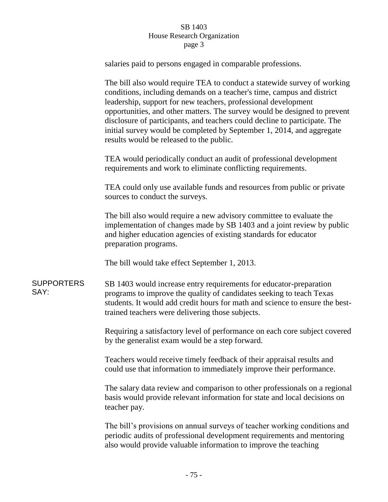## SB 1403 House Research Organization page 3

salaries paid to persons engaged in comparable professions.

The bill also would require TEA to conduct a statewide survey of working conditions, including demands on a teacher's time, campus and district leadership, support for new teachers, professional development opportunities, and other matters. The survey would be designed to prevent disclosure of participants, and teachers could decline to participate. The initial survey would be completed by September 1, 2014, and aggregate results would be released to the public.

TEA would periodically conduct an audit of professional development requirements and work to eliminate conflicting requirements.

TEA could only use available funds and resources from public or private sources to conduct the surveys.

The bill also would require a new advisory committee to evaluate the implementation of changes made by SB 1403 and a joint review by public and higher education agencies of existing standards for educator preparation programs.

The bill would take effect September 1, 2013.

SUPPORTERS SAY:

SB 1403 would increase entry requirements for educator-preparation programs to improve the quality of candidates seeking to teach Texas students. It would add credit hours for math and science to ensure the besttrained teachers were delivering those subjects.

Requiring a satisfactory level of performance on each core subject covered by the generalist exam would be a step forward.

Teachers would receive timely feedback of their appraisal results and could use that information to immediately improve their performance.

The salary data review and comparison to other professionals on a regional basis would provide relevant information for state and local decisions on teacher pay.

The bill's provisions on annual surveys of teacher working conditions and periodic audits of professional development requirements and mentoring also would provide valuable information to improve the teaching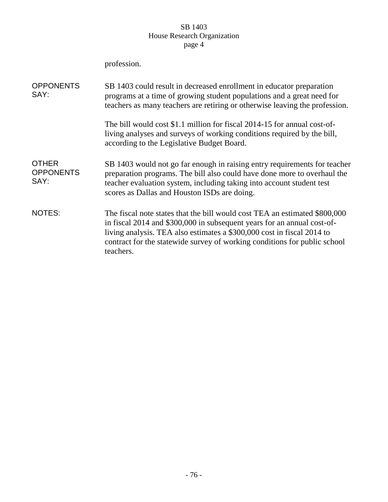# SB 1403 House Research Organization page 4

profession.

| <b>OPPONENTS</b><br>SAY:                 | SB 1403 could result in decreased enrollment in educator preparation<br>programs at a time of growing student populations and a great need for<br>teachers as many teachers are retiring or otherwise leaving the profession.                                                                                             |
|------------------------------------------|---------------------------------------------------------------------------------------------------------------------------------------------------------------------------------------------------------------------------------------------------------------------------------------------------------------------------|
|                                          | The bill would cost \$1.1 million for fiscal 2014-15 for annual cost-of-<br>living analyses and surveys of working conditions required by the bill,<br>according to the Legislative Budget Board.                                                                                                                         |
| <b>OTHER</b><br><b>OPPONENTS</b><br>SAY: | SB 1403 would not go far enough in raising entry requirements for teacher<br>preparation programs. The bill also could have done more to overhaul the<br>teacher evaluation system, including taking into account student test<br>scores as Dallas and Houston ISDs are doing.                                            |
| <b>NOTES:</b>                            | The fiscal note states that the bill would cost TEA an estimated \$800,000<br>in fiscal 2014 and \$300,000 in subsequent years for an annual cost-of-<br>living analysis. TEA also estimates a \$300,000 cost in fiscal 2014 to<br>contract for the statewide survey of working conditions for public school<br>teachers. |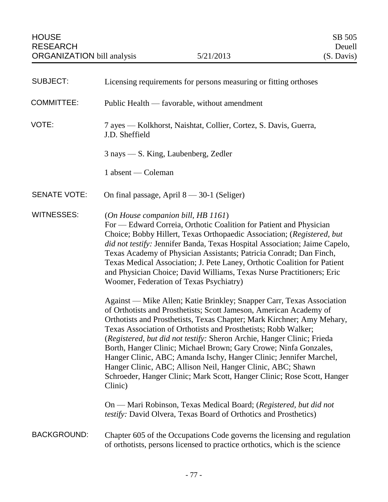| <b>SUBJECT:</b>     | Licensing requirements for persons measuring or fitting orthoses                                                                                                                                                                                                                                                                                                                                                                                                                                                                                                                                                                                                 |
|---------------------|------------------------------------------------------------------------------------------------------------------------------------------------------------------------------------------------------------------------------------------------------------------------------------------------------------------------------------------------------------------------------------------------------------------------------------------------------------------------------------------------------------------------------------------------------------------------------------------------------------------------------------------------------------------|
| <b>COMMITTEE:</b>   | Public Health — favorable, without amendment                                                                                                                                                                                                                                                                                                                                                                                                                                                                                                                                                                                                                     |
| VOTE:               | 7 ayes — Kolkhorst, Naishtat, Collier, Cortez, S. Davis, Guerra,<br>J.D. Sheffield                                                                                                                                                                                                                                                                                                                                                                                                                                                                                                                                                                               |
|                     | $3$ nays $-$ S. King, Laubenberg, Zedler                                                                                                                                                                                                                                                                                                                                                                                                                                                                                                                                                                                                                         |
|                     | 1 absent — Coleman                                                                                                                                                                                                                                                                                                                                                                                                                                                                                                                                                                                                                                               |
| <b>SENATE VOTE:</b> | On final passage, April $8 - 30-1$ (Seliger)                                                                                                                                                                                                                                                                                                                                                                                                                                                                                                                                                                                                                     |
| <b>WITNESSES:</b>   | (On House companion bill, HB 1161)<br>For — Edward Correia, Orthotic Coalition for Patient and Physician<br>Choice; Bobby Hillert, Texas Orthopaedic Association; (Registered, but<br>did not testify: Jennifer Banda, Texas Hospital Association; Jaime Capelo,<br>Texas Academy of Physician Assistants; Patricia Conradt; Dan Finch,<br>Texas Medical Association; J. Pete Laney, Orthotic Coalition for Patient<br>and Physician Choice; David Williams, Texas Nurse Practitioners; Eric<br>Woomer, Federation of Texas Psychiatry)                                                                                                                          |
|                     | Against — Mike Allen; Katie Brinkley; Snapper Carr, Texas Association<br>of Orthotists and Prosthetists; Scott Jameson, American Academy of<br>Orthotists and Prosthetists, Texas Chapter; Mark Kirchner; Amy Mehary,<br>Texas Association of Orthotists and Prosthetists; Robb Walker;<br>(Registered, but did not testify: Sheron Archie, Hanger Clinic; Frieda<br>Borth, Hanger Clinic; Michael Brown; Gary Crowe; Ninfa Gonzales,<br>Hanger Clinic, ABC; Amanda Ischy, Hanger Clinic; Jennifer Marchel,<br>Hanger Clinic, ABC; Allison Neil, Hanger Clinic, ABC; Shawn<br>Schroeder, Hanger Clinic; Mark Scott, Hanger Clinic; Rose Scott, Hanger<br>Clinic) |
|                     | On — Mari Robinson, Texas Medical Board; (Registered, but did not<br>testify: David Olvera, Texas Board of Orthotics and Prosthetics)                                                                                                                                                                                                                                                                                                                                                                                                                                                                                                                            |
| <b>BACKGROUND:</b>  | Chapter 605 of the Occupations Code governs the licensing and regulation<br>of orthotists, persons licensed to practice orthotics, which is the science                                                                                                                                                                                                                                                                                                                                                                                                                                                                                                          |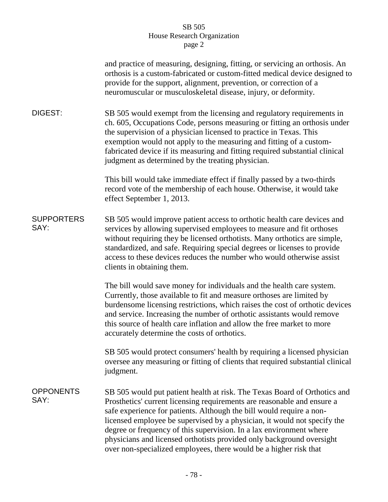|                           | and practice of measuring, designing, fitting, or servicing an orthosis. An<br>orthosis is a custom-fabricated or custom-fitted medical device designed to<br>provide for the support, alignment, prevention, or correction of a<br>neuromuscular or musculoskeletal disease, injury, or deformity.                                                                                                                                                                                                                           |
|---------------------------|-------------------------------------------------------------------------------------------------------------------------------------------------------------------------------------------------------------------------------------------------------------------------------------------------------------------------------------------------------------------------------------------------------------------------------------------------------------------------------------------------------------------------------|
| DIGEST:                   | SB 505 would exempt from the licensing and regulatory requirements in<br>ch. 605, Occupations Code, persons measuring or fitting an orthosis under<br>the supervision of a physician licensed to practice in Texas. This<br>exemption would not apply to the measuring and fitting of a custom-<br>fabricated device if its measuring and fitting required substantial clinical<br>judgment as determined by the treating physician.                                                                                          |
|                           | This bill would take immediate effect if finally passed by a two-thirds<br>record vote of the membership of each house. Otherwise, it would take<br>effect September 1, 2013.                                                                                                                                                                                                                                                                                                                                                 |
| <b>SUPPORTERS</b><br>SAY: | SB 505 would improve patient access to orthotic health care devices and<br>services by allowing supervised employees to measure and fit orthoses<br>without requiring they be licensed orthotists. Many orthotics are simple,<br>standardized, and safe. Requiring special degrees or licenses to provide<br>access to these devices reduces the number who would otherwise assist<br>clients in obtaining them.                                                                                                              |
|                           | The bill would save money for individuals and the health care system.<br>Currently, those available to fit and measure orthoses are limited by<br>burdensome licensing restrictions, which raises the cost of orthotic devices<br>and service. Increasing the number of orthotic assistants would remove<br>this source of health care inflation and allow the free market to more<br>accurately determine the costs of orthotics.                                                                                            |
|                           | SB 505 would protect consumers' health by requiring a licensed physician<br>oversee any measuring or fitting of clients that required substantial clinical<br>judgment.                                                                                                                                                                                                                                                                                                                                                       |
| <b>OPPONENTS</b><br>SAY:  | SB 505 would put patient health at risk. The Texas Board of Orthotics and<br>Prosthetics' current licensing requirements are reasonable and ensure a<br>safe experience for patients. Although the bill would require a non-<br>licensed employee be supervised by a physician, it would not specify the<br>degree or frequency of this supervision. In a lax environment where<br>physicians and licensed orthotists provided only background oversight<br>over non-specialized employees, there would be a higher risk that |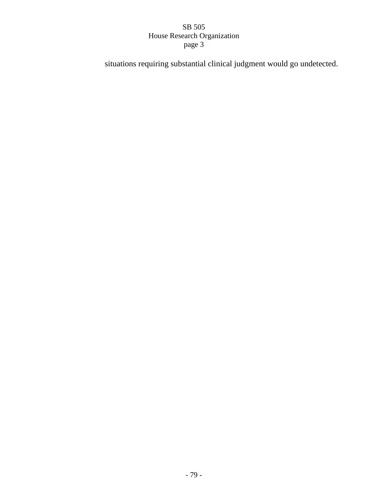situations requiring substantial clinical judgment would go undetected.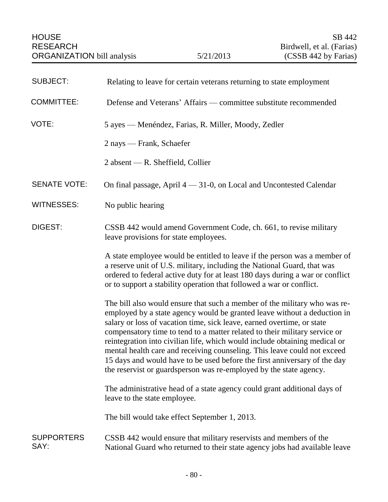| <b>SUBJECT:</b>           | Relating to leave for certain veterans returning to state employment                                                                                                                                                                                                                                                                                                                                                                                                                                                                                                                                                       |
|---------------------------|----------------------------------------------------------------------------------------------------------------------------------------------------------------------------------------------------------------------------------------------------------------------------------------------------------------------------------------------------------------------------------------------------------------------------------------------------------------------------------------------------------------------------------------------------------------------------------------------------------------------------|
| <b>COMMITTEE:</b>         | Defense and Veterans' Affairs — committee substitute recommended                                                                                                                                                                                                                                                                                                                                                                                                                                                                                                                                                           |
| VOTE:                     | 5 ayes — Menéndez, Farias, R. Miller, Moody, Zedler                                                                                                                                                                                                                                                                                                                                                                                                                                                                                                                                                                        |
|                           | 2 nays — Frank, Schaefer                                                                                                                                                                                                                                                                                                                                                                                                                                                                                                                                                                                                   |
|                           | $2$ absent — R. Sheffield, Collier                                                                                                                                                                                                                                                                                                                                                                                                                                                                                                                                                                                         |
| <b>SENATE VOTE:</b>       | On final passage, April $4 - 31-0$ , on Local and Uncontested Calendar                                                                                                                                                                                                                                                                                                                                                                                                                                                                                                                                                     |
| <b>WITNESSES:</b>         | No public hearing                                                                                                                                                                                                                                                                                                                                                                                                                                                                                                                                                                                                          |
| <b>DIGEST:</b>            | CSSB 442 would amend Government Code, ch. 661, to revise military<br>leave provisions for state employees.                                                                                                                                                                                                                                                                                                                                                                                                                                                                                                                 |
|                           | A state employee would be entitled to leave if the person was a member of<br>a reserve unit of U.S. military, including the National Guard, that was<br>ordered to federal active duty for at least 180 days during a war or conflict<br>or to support a stability operation that followed a war or conflict.                                                                                                                                                                                                                                                                                                              |
|                           | The bill also would ensure that such a member of the military who was re-<br>employed by a state agency would be granted leave without a deduction in<br>salary or loss of vacation time, sick leave, earned overtime, or state<br>compensatory time to tend to a matter related to their military service or<br>reintegration into civilian life, which would include obtaining medical or<br>mental health care and receiving counseling. This leave could not exceed<br>15 days and would have to be used before the first anniversary of the day<br>the reservist or guardsperson was re-employed by the state agency. |
|                           | The administrative head of a state agency could grant additional days of<br>leave to the state employee.                                                                                                                                                                                                                                                                                                                                                                                                                                                                                                                   |
|                           | The bill would take effect September 1, 2013.                                                                                                                                                                                                                                                                                                                                                                                                                                                                                                                                                                              |
| <b>SUPPORTERS</b><br>SAY: | CSSB 442 would ensure that military reservists and members of the<br>National Guard who returned to their state agency jobs had available leave                                                                                                                                                                                                                                                                                                                                                                                                                                                                            |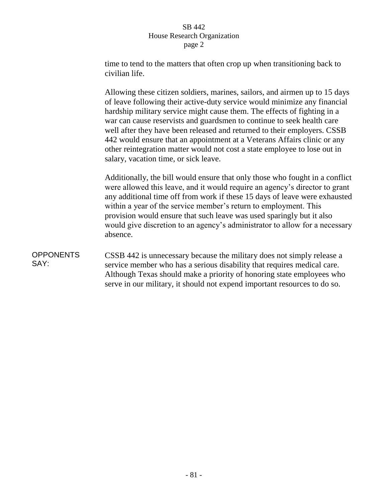time to tend to the matters that often crop up when transitioning back to civilian life.

Allowing these citizen soldiers, marines, sailors, and airmen up to 15 days of leave following their active-duty service would minimize any financial hardship military service might cause them. The effects of fighting in a war can cause reservists and guardsmen to continue to seek health care well after they have been released and returned to their employers. CSSB 442 would ensure that an appointment at a Veterans Affairs clinic or any other reintegration matter would not cost a state employee to lose out in salary, vacation time, or sick leave.

Additionally, the bill would ensure that only those who fought in a conflict were allowed this leave, and it would require an agency's director to grant any additional time off from work if these 15 days of leave were exhausted within a year of the service member's return to employment. This provision would ensure that such leave was used sparingly but it also would give discretion to an agency's administrator to allow for a necessary absence.

#### **OPPONENTS** SAY: CSSB 442 is unnecessary because the military does not simply release a service member who has a serious disability that requires medical care. Although Texas should make a priority of honoring state employees who serve in our military, it should not expend important resources to do so.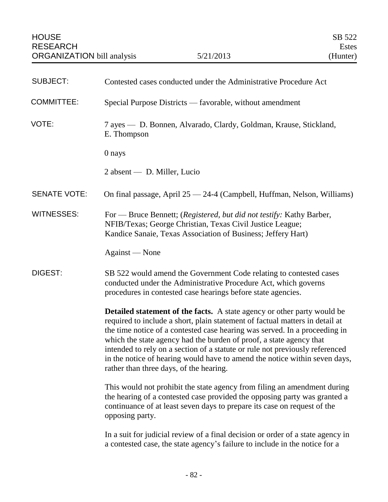| <b>SUBJECT:</b>     | Contested cases conducted under the Administrative Procedure Act                                                                                                                                                                                                                                                                                                                                                                                                                                                             |
|---------------------|------------------------------------------------------------------------------------------------------------------------------------------------------------------------------------------------------------------------------------------------------------------------------------------------------------------------------------------------------------------------------------------------------------------------------------------------------------------------------------------------------------------------------|
| COMMITTEE:          | Special Purpose Districts — favorable, without amendment                                                                                                                                                                                                                                                                                                                                                                                                                                                                     |
| VOTE:               | 7 ayes — D. Bonnen, Alvarado, Clardy, Goldman, Krause, Stickland,<br>E. Thompson                                                                                                                                                                                                                                                                                                                                                                                                                                             |
|                     | 0 nays                                                                                                                                                                                                                                                                                                                                                                                                                                                                                                                       |
|                     | $2$ absent — D. Miller, Lucio                                                                                                                                                                                                                                                                                                                                                                                                                                                                                                |
| <b>SENATE VOTE:</b> | On final passage, April 25 - 24-4 (Campbell, Huffman, Nelson, Williams)                                                                                                                                                                                                                                                                                                                                                                                                                                                      |
| <b>WITNESSES:</b>   | For — Bruce Bennett; (Registered, but did not testify: Kathy Barber,<br>NFIB/Texas; George Christian, Texas Civil Justice League;<br>Kandice Sanaie, Texas Association of Business; Jeffery Hart)                                                                                                                                                                                                                                                                                                                            |
|                     | Against — None                                                                                                                                                                                                                                                                                                                                                                                                                                                                                                               |
| DIGEST:             | SB 522 would amend the Government Code relating to contested cases<br>conducted under the Administrative Procedure Act, which governs<br>procedures in contested case hearings before state agencies.                                                                                                                                                                                                                                                                                                                        |
|                     | <b>Detailed statement of the facts.</b> A state agency or other party would be<br>required to include a short, plain statement of factual matters in detail at<br>the time notice of a contested case hearing was served. In a proceeding in<br>which the state agency had the burden of proof, a state agency that<br>intended to rely on a section of a statute or rule not previously referenced<br>in the notice of hearing would have to amend the notice within seven days,<br>rather than three days, of the hearing. |
|                     | This would not prohibit the state agency from filing an amendment during<br>the hearing of a contested case provided the opposing party was granted a<br>continuance of at least seven days to prepare its case on request of the<br>opposing party.                                                                                                                                                                                                                                                                         |
|                     | In a suit for judicial review of a final decision or order of a state agency in<br>a contested case, the state agency's failure to include in the notice for a                                                                                                                                                                                                                                                                                                                                                               |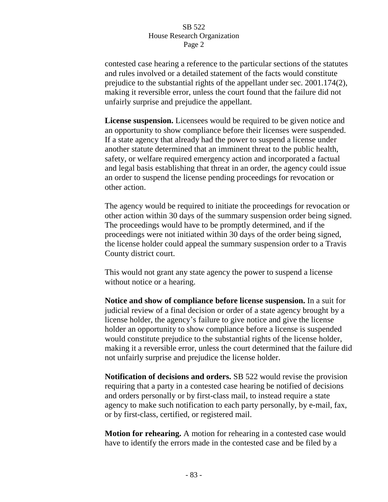contested case hearing a reference to the particular sections of the statutes and rules involved or a detailed statement of the facts would constitute prejudice to the substantial rights of the appellant under sec. 2001.174(2), making it reversible error, unless the court found that the failure did not unfairly surprise and prejudice the appellant.

**License suspension.** Licensees would be required to be given notice and an opportunity to show compliance before their licenses were suspended. If a state agency that already had the power to suspend a license under another statute determined that an imminent threat to the public health, safety, or welfare required emergency action and incorporated a factual and legal basis establishing that threat in an order, the agency could issue an order to suspend the license pending proceedings for revocation or other action.

The agency would be required to initiate the proceedings for revocation or other action within 30 days of the summary suspension order being signed. The proceedings would have to be promptly determined, and if the proceedings were not initiated within 30 days of the order being signed, the license holder could appeal the summary suspension order to a Travis County district court.

This would not grant any state agency the power to suspend a license without notice or a hearing.

**Notice and show of compliance before license suspension.** In a suit for judicial review of a final decision or order of a state agency brought by a license holder, the agency's failure to give notice and give the license holder an opportunity to show compliance before a license is suspended would constitute prejudice to the substantial rights of the license holder, making it a reversible error, unless the court determined that the failure did not unfairly surprise and prejudice the license holder.

**Notification of decisions and orders.** SB 522 would revise the provision requiring that a party in a contested case hearing be notified of decisions and orders personally or by first-class mail, to instead require a state agency to make such notification to each party personally, by e-mail, fax, or by first-class, certified, or registered mail.

**Motion for rehearing.** A motion for rehearing in a contested case would have to identify the errors made in the contested case and be filed by a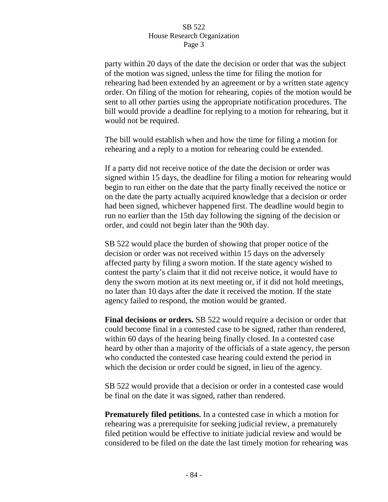party within 20 days of the date the decision or order that was the subject of the motion was signed, unless the time for filing the motion for rehearing had been extended by an agreement or by a written state agency order. On filing of the motion for rehearing, copies of the motion would be sent to all other parties using the appropriate notification procedures. The bill would provide a deadline for replying to a motion for rehearing, but it would not be required.

The bill would establish when and how the time for filing a motion for rehearing and a reply to a motion for rehearing could be extended.

If a party did not receive notice of the date the decision or order was signed within 15 days, the deadline for filing a motion for rehearing would begin to run either on the date that the party finally received the notice or on the date the party actually acquired knowledge that a decision or order had been signed, whichever happened first. The deadline would begin to run no earlier than the 15th day following the signing of the decision or order, and could not begin later than the 90th day.

SB 522 would place the burden of showing that proper notice of the decision or order was not received within 15 days on the adversely affected party by filing a sworn motion. If the state agency wished to contest the party's claim that it did not receive notice, it would have to deny the sworn motion at its next meeting or, if it did not hold meetings, no later than 10 days after the date it received the motion. If the state agency failed to respond, the motion would be granted.

**Final decisions or orders.** SB 522 would require a decision or order that could become final in a contested case to be signed, rather than rendered, within 60 days of the hearing being finally closed. In a contested case heard by other than a majority of the officials of a state agency, the person who conducted the contested case hearing could extend the period in which the decision or order could be signed, in lieu of the agency.

SB 522 would provide that a decision or order in a contested case would be final on the date it was signed, rather than rendered.

**Prematurely filed petitions.** In a contested case in which a motion for rehearing was a prerequisite for seeking judicial review, a prematurely filed petition would be effective to initiate judicial review and would be considered to be filed on the date the last timely motion for rehearing was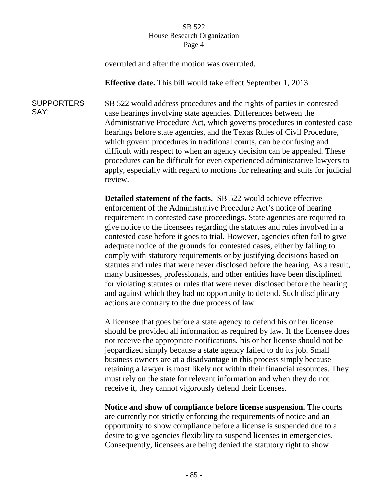overruled and after the motion was overruled.

**Effective date.** This bill would take effect September 1, 2013.

**SUPPORTERS** SAY: SB 522 would address procedures and the rights of parties in contested case hearings involving state agencies. Differences between the Administrative Procedure Act, which governs procedures in contested case hearings before state agencies, and the Texas Rules of Civil Procedure, which govern procedures in traditional courts, can be confusing and difficult with respect to when an agency decision can be appealed. These procedures can be difficult for even experienced administrative lawyers to apply, especially with regard to motions for rehearing and suits for judicial review.

> **Detailed statement of the facts.** SB 522 would achieve effective enforcement of the Administrative Procedure Act's notice of hearing requirement in contested case proceedings. State agencies are required to give notice to the licensees regarding the statutes and rules involved in a contested case before it goes to trial. However, agencies often fail to give adequate notice of the grounds for contested cases, either by failing to comply with statutory requirements or by justifying decisions based on statutes and rules that were never disclosed before the hearing. As a result, many businesses, professionals, and other entities have been disciplined for violating statutes or rules that were never disclosed before the hearing and against which they had no opportunity to defend. Such disciplinary actions are contrary to the due process of law.

> A licensee that goes before a state agency to defend his or her license should be provided all information as required by law. If the licensee does not receive the appropriate notifications, his or her license should not be jeopardized simply because a state agency failed to do its job. Small business owners are at a disadvantage in this process simply because retaining a lawyer is most likely not within their financial resources. They must rely on the state for relevant information and when they do not receive it, they cannot vigorously defend their licenses.

**Notice and show of compliance before license suspension.** The courts are currently not strictly enforcing the requirements of notice and an opportunity to show compliance before a license is suspended due to a desire to give agencies flexibility to suspend licenses in emergencies. Consequently, licensees are being denied the statutory right to show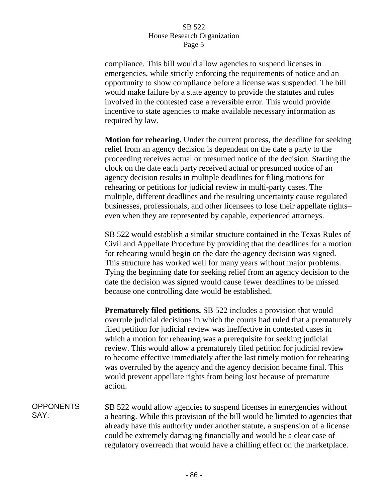compliance. This bill would allow agencies to suspend licenses in emergencies, while strictly enforcing the requirements of notice and an opportunity to show compliance before a license was suspended. The bill would make failure by a state agency to provide the statutes and rules involved in the contested case a reversible error. This would provide incentive to state agencies to make available necessary information as required by law.

**Motion for rehearing.** Under the current process, the deadline for seeking relief from an agency decision is dependent on the date a party to the proceeding receives actual or presumed notice of the decision. Starting the clock on the date each party received actual or presumed notice of an agency decision results in multiple deadlines for filing motions for rehearing or petitions for judicial review in multi-party cases. The multiple, different deadlines and the resulting uncertainty cause regulated businesses, professionals, and other licensees to lose their appellate rights– even when they are represented by capable, experienced attorneys.

SB 522 would establish a similar structure contained in the Texas Rules of Civil and Appellate Procedure by providing that the deadlines for a motion for rehearing would begin on the date the agency decision was signed. This structure has worked well for many years without major problems. Tying the beginning date for seeking relief from an agency decision to the date the decision was signed would cause fewer deadlines to be missed because one controlling date would be established.

**Prematurely filed petitions.** SB 522 includes a provision that would overrule judicial decisions in which the courts had ruled that a prematurely filed petition for judicial review was ineffective in contested cases in which a motion for rehearing was a prerequisite for seeking judicial review. This would allow a prematurely filed petition for judicial review to become effective immediately after the last timely motion for rehearing was overruled by the agency and the agency decision became final. This would prevent appellate rights from being lost because of premature action.

**OPPONENTS** SAY: SB 522 would allow agencies to suspend licenses in emergencies without a hearing. While this provision of the bill would be limited to agencies that already have this authority under another statute, a suspension of a license could be extremely damaging financially and would be a clear case of regulatory overreach that would have a chilling effect on the marketplace.